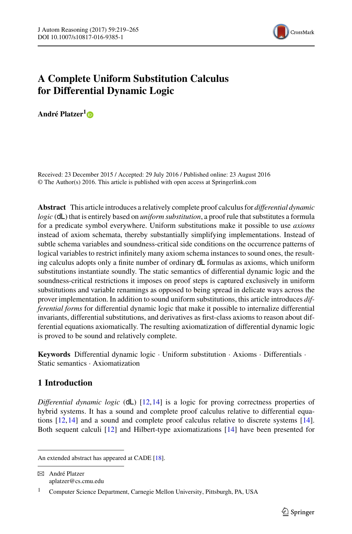

# **A Complete Uniform Substitution Calculus for Differential Dynamic Logic**

**André Platzer[1](http://orcid.org/0000-0001-7238-5710)**

Received: 23 December 2015 / Accepted: 29 July 2016 / Published online: 23 August 2016 © The Author(s) 2016. This article is published with open access at Springerlink.com

**Abstract** This article introduces a relatively complete proof calculus for *differential dynamic logic* (dL) that is entirely based on *uniform substitution*, a proof rule that substitutes a formula for a predicate symbol everywhere. Uniform substitutions make it possible to use *axioms* instead of axiom schemata, thereby substantially simplifying implementations. Instead of subtle schema variables and soundness-critical side conditions on the occurrence patterns of logical variables to restrict infinitely many axiom schema instances to sound ones, the resulting calculus adopts only a finite number of ordinary dL formulas as axioms, which uniform substitutions instantiate soundly. The static semantics of differential dynamic logic and the soundness-critical restrictions it imposes on proof steps is captured exclusively in uniform substitutions and variable renamings as opposed to being spread in delicate ways across the prover implementation. In addition to sound uniform substitutions, this article introduces *differential forms* for differential dynamic logic that make it possible to internalize differential invariants, differential substitutions, and derivatives as first-class axioms to reason about differential equations axiomatically. The resulting axiomatization of differential dynamic logic is proved to be sound and relatively complete.

**Keywords** Differential dynamic logic · Uniform substitution · Axioms · Differentials · Static semantics · Axiomatization

## **1 Introduction**

*Differential dynamic logic* (dL) [\[12](#page-45-0)[,14\]](#page-45-1) is a logic for proving correctness properties of hybrid systems. It has a sound and complete proof calculus relative to differential equations [\[12,](#page-45-0)[14](#page-45-1)] and a sound and complete proof calculus relative to discrete systems [\[14\]](#page-45-1). Both sequent calculi [\[12](#page-45-0)] and Hilbert-type axiomatizations [\[14\]](#page-45-1) have been presented for

B André Platzer aplatzer@cs.cmu.edu

An extended abstract has appeared at CADE [\[18\]](#page-45-2).

<sup>1</sup> Computer Science Department, Carnegie Mellon University, Pittsburgh, PA, USA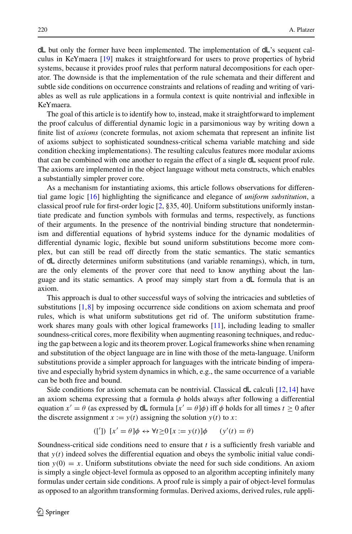dL but only the former have been implemented. The implementation of dL's sequent calculus in KeYmaera [\[19\]](#page-45-3) makes it straightforward for users to prove properties of hybrid systems, because it provides proof rules that perform natural decompositions for each operator. The downside is that the implementation of the rule schemata and their different and subtle side conditions on occurrence constraints and relations of reading and writing of variables as well as rule applications in a formula context is quite nontrivial and inflexible in KeYmaera.

The goal of this article is to identify how to, instead, make it straightforward to implement the proof calculus of differential dynamic logic in a parsimonious way by writing down a finite list of *axioms* (concrete formulas, not axiom schemata that represent an infinite list of axioms subject to sophisticated soundness-critical schema variable matching and side condition checking implementations). The resulting calculus features more modular axioms that can be combined with one another to regain the effect of a single dL sequent proof rule. The axioms are implemented in the object language without meta constructs, which enables a substantially simpler prover core.

As a mechanism for instantiating axioms, this article follows observations for differential game logic [\[16](#page-45-4)] highlighting the significance and elegance of *uniform substitution*, a classical proof rule for first-order logic [\[2,](#page-45-5) §35, 40]. Uniform substitutions uniformly instantiate predicate and function symbols with formulas and terms, respectively, as functions of their arguments. In the presence of the nontrivial binding structure that nondeterminism and differential equations of hybrid systems induce for the dynamic modalities of differential dynamic logic, flexible but sound uniform substitutions become more complex, but can still be read off directly from the static semantics. The static semantics of dL directly determines uniform substitutions (and variable renamings), which, in turn, are the only elements of the prover core that need to know anything about the language and its static semantics. A proof may simply start from a dL formula that is an axiom.

This approach is dual to other successful ways of solving the intricacies and subtleties of substitutions [\[1](#page-45-6)[,8](#page-45-7)] by imposing occurrence side conditions on axiom schemata and proof rules, which is what uniform substitutions get rid of. The uniform substitution framework shares many goals with other logical frameworks [\[11\]](#page-45-8), including leading to smaller soundness-critical cores, more flexibility when augmenting reasoning techniques, and reducing the gap between a logic and its theorem prover. Logical frameworks shine when renaming and substitution of the object language are in line with those of the meta-language. Uniform substitutions provide a simpler approach for languages with the intricate binding of imperative and especially hybrid system dynamics in which, e.g., the same occurrence of a variable can be both free and bound.

Side conditions for axiom schemata can be nontrivial. Classical  $dL$  calculi [\[12](#page-45-0)[,14\]](#page-45-1) have an axiom schema expressing that a formula  $\phi$  holds always after following a differential equation  $x' = \theta$  (as expressed by **dL** formula  $[x' = \theta]\phi$ ) iff  $\phi$  holds for all times  $t \ge 0$  after the discrete assignment  $x := y(t)$  assigning the solution  $y(t)$  to x:

$$
([') \quad [x' = \theta] \phi \leftrightarrow \forall t \ge 0 \ [x := y(t)] \phi \qquad (y'(t) = \theta)
$$

Soundness-critical side conditions need to ensure that *t* is a sufficiently fresh variable and that  $y(t)$  indeed solves the differential equation and obeys the symbolic initial value condition  $y(0) = x$ . Uniform substitutions obviate the need for such side conditions. An axiom is simply a single object-level formula as opposed to an algorithm accepting infinitely many formulas under certain side conditions. A proof rule is simply a pair of object-level formulas as opposed to an algorithm transforming formulas. Derived axioms, derived rules, rule appli-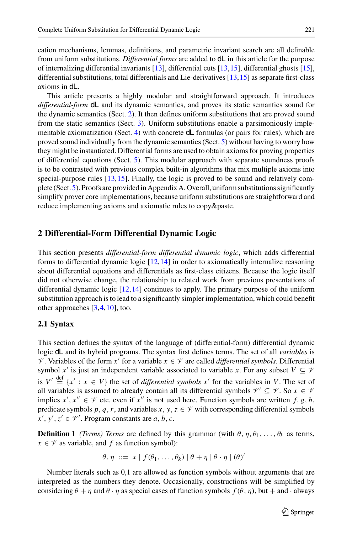cation mechanisms, lemmas, definitions, and parametric invariant search are all definable from uniform substitutions. *Differential forms* are added to dL in this article for the purpose of internalizing differential invariants [\[13\]](#page-45-9), differential cuts [\[13](#page-45-9)[,15\]](#page-45-10), differential ghosts [\[15\]](#page-45-10), differential substitutions, total differentials and Lie-derivatives  $[13,15]$  $[13,15]$  as separate first-class axioms in dL.

This article presents a highly modular and straightforward approach. It introduces *differential-form* dL and its dynamic semantics, and proves its static semantics sound for the dynamic semantics (Sect. [2\)](#page-2-0). It then defines uniform substitutions that are proved sound from the static semantics (Sect. [3\)](#page-11-0). Uniform substitutions enable a parsimoniously implementable axiomatization (Sect. [4\)](#page-16-0) with concrete dL formulas (or pairs for rules), which are proved sound individually from the dynamic semantics (Sect. [5\)](#page-19-0) without having to worry how they might be instantiated. Differential forms are used to obtain axioms for proving properties of differential equations (Sect. [5\)](#page-19-0). This modular approach with separate soundness proofs is to be contrasted with previous complex built-in algorithms that mix multiple axioms into special-purpose rules [\[13,](#page-45-9)[15](#page-45-10)]. Finally, the logic is proved to be sound and relatively complete (Sect. [5\)](#page-19-0). Proofs are provided in Appendix A. Overall, uniform substitutions significantly simplify prover core implementations, because uniform substitutions are straightforward and reduce implementing axioms and axiomatic rules to copy&paste.

## <span id="page-2-1"></span><span id="page-2-0"></span>**2 Differential-Form Differential Dynamic Logic**

This section presents *differential-form differential dynamic logic*, which adds differential forms to differential dynamic logic  $[12,14]$  $[12,14]$  in order to axiomatically internalize reasoning about differential equations and differentials as first-class citizens. Because the logic itself did not otherwise change, the relationship to related work from previous presentations of differential dynamic logic [\[12](#page-45-0),[14](#page-45-1)] continues to apply. The primary purpose of the uniform substitution approach is to lead to a significantly simpler implementation, which could benefit other approaches [\[3](#page-45-11)[,4,](#page-45-12)[10](#page-45-13)], too.

## **2.1 Syntax**

This section defines the syntax of the language of (differential-form) differential dynamic logic dL and its hybrid programs. The syntax first defines terms. The set of all *variables* is *V*. Variables of the form *x*<sup> $\prime$ </sup> for a variable *x* ∈  $\mathcal V$  are called *differential symbols*. Differential symbol  $x'$  is just an independent variable associated to variable *x*. For any subset  $V \subseteq V$ is  $V' \stackrel{\text{def}}{=} \{x' : x \in V\}$  the set of *differential symbols*  $x'$  for the variables in *V*. The set of all variables is assumed to already contain all its differential symbols  $\mathcal{V}' \subseteq \mathcal{V}$ . So  $x \in \mathcal{V}$ implies  $x', x'' \in \mathcal{V}$  etc. even if  $x''$  is not used here. Function symbols are written  $f, g, h$ , predicate symbols  $p, q, r$ , and variables  $x, y, z \in V$  with corresponding differential symbols  $x', y', z' \in \mathcal{V}'$ . Program constants are *a*, *b*, *c*.

**Definition 1** *(Terms) Terms* are defined by this grammar (with  $\theta$ ,  $\eta$ ,  $\theta$ <sub>1</sub>,...,  $\theta$ <sub>k</sub> as terms,  $x \in \mathcal{V}$  as variable, and *f* as function symbol):

$$
\theta, \eta \ ::= x \mid f(\theta_1, \ldots, \theta_k) \mid \theta + \eta \mid \theta \cdot \eta \mid (\theta)'
$$

Number literals such as 0,1 are allowed as function symbols without arguments that are interpreted as the numbers they denote. Occasionally, constructions will be simplified by considering  $\theta + \eta$  and  $\theta \cdot \eta$  as special cases of function symbols  $f(\theta, \eta)$ , but  $+$  and  $\cdot$  always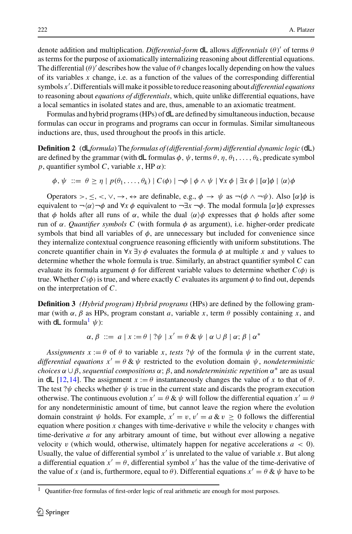denote addition and multiplication. *Differential-form* **dL** allows *differentials* (θ)' of terms θ as terms for the purpose of axiomatically internalizing reasoning about differential equations. The differential  $(\theta)$  describes how the value of  $\theta$  changes locally depending on how the values of its variables *x* change, i.e. as a function of the values of the corresponding differential symbols *x*- . Differentials will make it possible to reduce reasoning about *differential equations* to reasoning about *equations of differentials*, which, quite unlike differential equations, have a local semantics in isolated states and are, thus, amenable to an axiomatic treatment.

Formulas and hybrid programs (HPs) of dL are defined by simultaneous induction, because formulas can occur in programs and programs can occur in formulas. Similar simultaneous inductions are, thus, used throughout the proofs in this article.

**Definition 2** (dL*formula*) The *formulas of (differential-form) differential dynamic logic* (dL) are defined by the grammar (with dL formulas  $\phi$ ,  $\psi$ , terms  $\theta$ ,  $\eta$ ,  $\theta$ <sub>1</sub>, ...,  $\theta$ <sub>k</sub>, predicate symbol *p*, quantifier symbol *C*, variable *x*, HP  $\alpha$ ):

$$
\phi, \psi ::= \theta \ge \eta \mid p(\theta_1, \ldots, \theta_k) \mid C(\phi) \mid \neg \phi \mid \phi \land \psi \mid \forall x \phi \mid \exists x \phi \mid [\alpha] \phi \mid \langle \alpha \rangle \phi
$$

Operators >,  $\leq$ ,  $\lt$ ,  $\vee$ ,  $\to$ ,  $\Leftrightarrow$  are definable, e.g.,  $\phi \to \psi$  as  $\neg(\phi \land \neg \psi)$ . Also  $\lbrack \alpha \rbrack \phi$  is equivalent to  $\neg(\alpha)\neg\phi$  and  $\forall x \phi$  equivalent to  $\neg\exists x \neg\phi$ . The modal formula [ $\alpha$ ] $\phi$  expresses that  $\phi$  holds after all runs of  $\alpha$ , while the dual  $\langle \alpha \rangle \phi$  expresses that  $\phi$  holds after some run of α. *Quantifier symbols C* (with formula φ as argument), i.e. higher-order predicate symbols that bind all variables of  $\phi$ , are unnecessary but included for convenience since they internalize contextual congruence reasoning efficiently with uniform substitutions. The concrete quantifier chain in  $\forall x \exists y \phi$  evaluates the formula  $\phi$  at multiple *x* and *y* values to determine whether the whole formula is true. Similarly, an abstract quantifier symbol *C* can evaluate its formula argument  $\phi$  for different variable values to determine whether  $C(\phi)$  is true. Whether  $C(\phi)$  is true, and where exactly C evaluates its argument  $\phi$  to find out, depends on the interpretation of *C*.

**Definition 3** *(Hybrid program) Hybrid programs* (HPs) are defined by the following grammar (with  $\alpha$ ,  $\beta$  as HPs, program constant *a*, variable *x*, term  $\theta$  possibly containing *x*, and with dL formula<sup>[1](#page-3-0)</sup>  $\psi$ :

$$
\alpha, \beta \ ::= a \ | \ x := \theta \ | \ ?\psi \ | \ x' = \theta \ \& \ \psi \ | \ \alpha \cup \beta \ | \ \alpha; \ \beta \ | \ \alpha^*
$$

*Assignments*  $x := \theta$  of  $\theta$  to variable x, *tests* ? $\psi$  of the formula  $\psi$  in the current state, differential equations  $x' = \theta \& \psi$  restricted to the evolution domain  $\psi$ , *nondeterministic choices*  $\alpha \cup \beta$ *, sequential compositions*  $\alpha$ ;  $\beta$ *, and nondeterministic repetition*  $\alpha^*$  are as usual in dL [\[12](#page-45-0)[,14\]](#page-45-1). The assignment  $x := \theta$  instantaneously changes the value of x to that of  $\theta$ . The test  $?$  $\psi$  checks whether  $\psi$  is true in the current state and discards the program execution otherwise. The continuous evolution  $x' = \theta \& \psi$  will follow the differential equation  $x' = \theta$ for any nondeterministic amount of time, but cannot leave the region where the evolution domain constraint  $\psi$  holds. For example,  $x' = v$ ,  $v' = a \& v \ge 0$  follows the differential equation where position x changes with time-derivative v while the velocity v changes with time-derivative *a* for any arbitrary amount of time, but without ever allowing a negative velocity v (which would, otherwise, ultimately happen for negative accelerations  $a < 0$ ). Usually, the value of differential symbol  $x'$  is unrelated to the value of variable  $x$ . But along a differential equation  $x' = \theta$ , differential symbol  $x'$  has the value of the time-derivative of the value of *x* (and is, furthermore, equal to  $\theta$ ). Differential equations  $x' = \theta \& \psi$  have to be

<span id="page-3-0"></span><sup>&</sup>lt;sup>1</sup> Quantifier-free formulas of first-order logic of real arithmetic are enough for most purposes.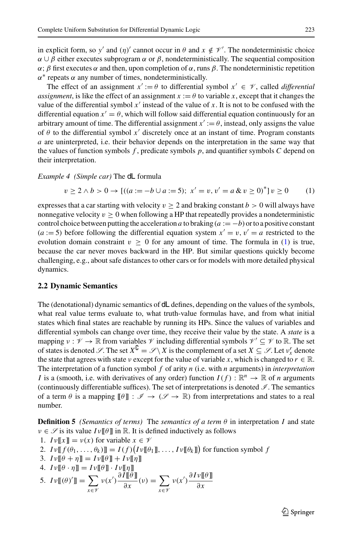in explicit form, so *y'* and (*η*)' cannot occur in  $\theta$  and  $x \notin V'$ . The nondeterministic choice  $\alpha \cup \beta$  either executes subprogram  $\alpha$  or  $\beta$ , nondeterministically. The sequential composition  $\alpha$ ;  $\beta$  first executes  $\alpha$  and then, upon completion of  $\alpha$ , runs  $\beta$ . The nondeterministic repetition  $\alpha^*$  repeats  $\alpha$  any number of times, nondeterministically.

The effect of an assignment  $x' := \theta$  to differential symbol  $x' \in \mathcal{V}$ , called *differential assignment*, is like the effect of an assignment  $x := \theta$  to variable *x*, except that it changes the value of the differential symbol  $x'$  instead of the value of  $x$ . It is not to be confused with the differential equation  $x' = \theta$ , which will follow said differential equation continuously for an arbitrary amount of time. The differential assignment  $x' := \theta$ , instead, only assigns the value of  $\theta$  to the differential symbol  $x'$  discretely once at an instant of time. Program constants *a* are uninterpreted, i.e. their behavior depends on the interpretation in the same way that the values of function symbols  $f$ , predicate symbols  $p$ , and quantifier symbols  $C$  depend on their interpretation.

*Example 4 (Simple car)* The dL formula

<span id="page-4-0"></span>
$$
v \ge 2 \land b > 0 \to [((a := -b \cup a := 5); x' = v, v' = a \& v \ge 0)^*] v \ge 0 \tag{1}
$$

expresses that a car starting with velocity  $v \ge 2$  and braking constant  $b > 0$  will always have nonnegative velocity  $v \geq 0$  when following a HP that repeatedly provides a nondeterministic control choice between putting the acceleration *a* to braking  $(a := -b)$  or to a positive constant  $(a := 5)$  before following the differential equation system  $x' = v$ ,  $v' = a$  restricted to the evolution domain constraint  $v \ge 0$  for any amount of time. The formula in [\(1\)](#page-4-0) is true, because the car never moves backward in the HP. But similar questions quickly become challenging, e.g., about safe distances to other cars or for models with more detailed physical dynamics.

#### **2.2 Dynamic Semantics**

The (denotational) dynamic semantics of dL defines, depending on the values of the symbols, what real value terms evaluate to, what truth-value formulas have, and from what initial states which final states are reachable by running its HPs. Since the values of variables and differential symbols can change over time, they receive their value by the state. A *state* is a mapping  $v : \mathcal{V} \to \mathbb{R}$  from variables  $\mathcal{V}$  including differential symbols  $\mathcal{V}' \subseteq \mathcal{V}$  to  $\mathbb{R}$ . The set of states is denoted *S*. The set  $X^C = S \setminus X$  is the complement of a set  $X \subseteq S$ . Let  $v_x^r$  denote the state that agrees with state  $\nu$  except for the value of variable *x*, which is changed to  $r \in \mathbb{R}$ . The interpretation of a function symbol *f* of arity *n* (i.e. with *n* arguments) in *interpretation I* is a (smooth, i.e. with derivatives of any order) function  $I(f) : \mathbb{R}^n \to \mathbb{R}$  of *n* arguments (continuously differentiable suffices). The set of interpretations is denoted *I* . The semantics of a term  $\theta$  is a mapping  $[\![\theta]\!] : \mathscr{I} \to (\mathscr{I} \to \mathbb{R})$  from interpretations and states to a real number.

<span id="page-4-1"></span>**Definition 5** *(Semantics of terms)* The *semantics of a term*  $\theta$  *in interpretation I and state*  $v \in \mathscr{S}$  is its value  $Iv[\![\theta]\!]$  in  $\mathbb{R}$ . It is defined inductively as follows

1. 
$$
Iv[[x]] = v(x)
$$
 for variable  $x \in V$ 

2. 
$$
I \nu \llbracket f(\theta_1, \ldots, \theta_k) \rrbracket = I(f) (I \nu \llbracket \theta_1 \rrbracket, \ldots, I \nu \llbracket \theta_k \rrbracket)
$$
 for function symbol  $f$ 

3.  $I \nu [\![\theta + \eta]\!] = I \nu [\![\theta]\!] + I \nu [\![\eta]\!]$ 

4. 
$$
Iv[\![\theta \cdot \eta]\!] = Iv[\![\theta]\!]\cdot Iv[\![\eta]\!]
$$

5. 
$$
I\nu
$$
  $[\![ (\theta)']\!] = \sum_{x \in \mathscr{V}} \nu(x') \frac{\partial I[\![ \theta ]\!]}{\partial x}(\nu) = \sum_{x \in \mathscr{V}} \nu(x') \frac{\partial I\nu [\![ \theta ]\!]}{\partial x}$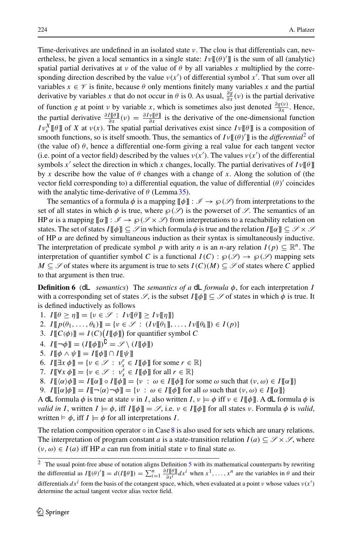Time-derivatives are undefined in an isolated state  $\nu$ . The clou is that differentials can, nevertheless, be given a local semantics in a single state:  $I \nu \llbracket (\theta) \rrbracket$  is the sum of all (analytic) spatial partial derivatives at  $\nu$  of the value of  $\theta$  by all variables x multiplied by the corresponding direction described by the value  $v(x')$  of differential symbol x'. That sum over all variables  $x \in \mathcal{V}$  is finite, because  $\theta$  only mentions finitely many variables x and the partial derivative by variables *x* that do not occur in  $\theta$  is 0. As usual,  $\frac{\partial g}{\partial x}(v)$  is the partial derivative of function *g* at point *v* by variable *x*, which is sometimes also just denoted  $\frac{\partial g(v)}{\partial x}$ . Hence, the partial derivative  $\frac{\partial I[\theta]}{\partial x}(v) = \frac{\partial Iv[\theta]}{\partial x}$  is the derivative of the one-dimensional function *I*  $v_x^X$  [[ $\theta$ ]] of *X* at  $v(x)$ . The spatial partial derivatives exist since *I*  $v[\theta]$  is a composition of smooth functions, so is itself smooth. Thus, the semantics of  $I \nu [[(\theta)']]$  is the *differential*<sup>[2](#page-5-0)</sup> of (the value of)  $\theta$ , hence a differential one-form giving a real value for each tangent vector (i.e. point of a vector field) described by the values  $v(x')$ . The values  $v(x')$  of the differential symbols *x'* select the direction in which *x* changes, locally. The partial derivatives of  $I \nu \llbracket \theta \rrbracket$ by x describe how the value of  $\theta$  changes with a change of x. Along the solution of (the vector field corresponding to) a differential equation, the value of differential  $(\theta)'$  coincides with the analytic time-derivative of  $\theta$  (Lemma [35\)](#page-24-0).

The semantics of a formula  $\phi$  is a mapping  $\llbracket \phi \rrbracket : \mathscr{I} \to \wp(\mathscr{S})$  from interpretations to the set of all states in which  $\phi$  is true, where  $\wp(\mathscr{S})$  is the powerset of  $\mathscr{S}$ . The semantics of an HP  $\alpha$  is a mapping  $\llbracket \alpha \rrbracket : \mathscr{I} \to \mathfrak{O}(\mathscr{I} \times \mathscr{I})$  from interpretations to a reachability relation on states. The set of states  $I[\![\phi]\!] \subseteq \mathcal{S}$  in which formula  $\phi$  is true and the relation  $I[\![\alpha]\!] \subseteq \mathcal{S} \times \mathcal{S}$ of HP  $\alpha$  are defined by simultaneous induction as their syntax is simultaneously inductive. The interpretation of predicate symbol *p* with arity *n* is an *n*-ary relation  $I(p) \subseteq \mathbb{R}^n$ . The interpretation of quantifier symbol *C* is a functional  $I(C)$  :  $\wp(\mathscr{S}) \to \wp(\mathscr{S})$  mapping sets *M* ⊆  $\mathscr S$  of states where its argument is true to sets *I*(*C*)(*M*) ⊆  $\mathscr S$  of states where *C* applied to that argument is then true.

**Definition 6** (dL *semantics*) The *semantics of a* dL *formula* φ, for each interpretation *I* with a corresponding set of states  $\mathscr{S}$ , is the subset  $I[\![\phi]\!] \subseteq \mathscr{S}$  of states in which  $\phi$  is true. It is defined inductively as follows

1.  $I[\![\theta \geq \eta]\!] = \{v \in \mathcal{S} : Iv[\![\theta]\!] \geq Iv[\![\eta]\!] \}$ 

- 2.  $I[\![p(\theta_1,\ldots,\theta_k)]\!] = \{v \in \mathcal{S} : (Iv[\![\theta_1]\!],\ldots,Iv[\![\theta_k]\!]) \in I(p)\}$
- 3.  $I[[C(\phi)]] = I(C) (I[[\phi]])$  for quantifier symbol *C*
- 4.  $I[\lbrack \lbrack \neg \phi \rbrack] = (I[\lbrack \phi \rbrack])^{\mathsf{U}} = \mathscr{S} \setminus (I[\lbrack \phi \rbrack])$
- 5.  $I[\phi \wedge \psi] = I[\phi] \cap I[\psi]$
- 6.  $I[\exists x \phi] = \{v \in \mathcal{S} : v_x^r \in I[\phi] \text{ for some } r \in \mathbb{R}\}\$
- <span id="page-5-1"></span>7.  $I[\![\forall x \phi]\!] = \{v \in \mathcal{S} : v_x^{\mathcal{F}} \in I[\![\phi]\!] \text{ for all } r \in \mathbb{R}\}$
- 8.  $I[\![\langle \alpha \rangle \phi] \!] = I[\![\alpha]\!] \circ I[\![\phi]\!] = \{ \nu : \omega \in I[\![\phi]\!] \text{ for some } \omega \text{ such that } (\nu, \omega) \in I[\![\alpha]\!] \}$
- 9.  $I[[\alpha]\phi]] = I[\neg(\alpha)\neg\phi]] = \{v : \omega \in I[\phi]] \text{ for all } \omega \text{ such that } (v, \omega) \in I[[\alpha]]\}$

A dL formula  $\phi$  is true at state v in *I*, also written *I*,  $\nu \models \phi$  iff  $\nu \in I[\![\phi]\!]$ . A dL formula  $\phi$  is *valid in I*, written  $I \models \phi$ , iff  $I[\![\phi]\!] = \mathscr{S}$ , i.e.  $v \in I[\![\phi]\!]$  for all states v. Formula  $\phi$  is *valid*, written  $\models \phi$ , iff  $I \models \phi$  for all interpretations *I*.

The relation composition operator  $\circ$  in Case [8](#page-5-1) is also used for sets which are unary relations. The interpretation of program constant *a* is a state-transition relation  $I(a) \subseteq \mathcal{S} \times \mathcal{S}$ , where  $(\nu, \omega) \in I(a)$  iff HP *a* can run from initial state  $\nu$  to final state  $\omega$ .

<span id="page-5-2"></span><span id="page-5-0"></span><sup>&</sup>lt;sup>2</sup> The usual point-free abuse of notation aligns Definition [5](#page-4-1) with its mathematical counterparts by rewriting the differential as  $I[(\theta)] = d(I[(\theta)]) = \sum_{i=1}^{n} \frac{\partial I[(\theta)]}{\partial x^{i}} dx^{i}$  when  $x^{1}, \ldots, x^{n}$  are the variables in  $\theta$  and their

differentials  $dx^i$  form the basis of the cotangent space, which, when evaluated at a point *ν* whose values  $v(x')$ determine the actual tangent vector alias vector field.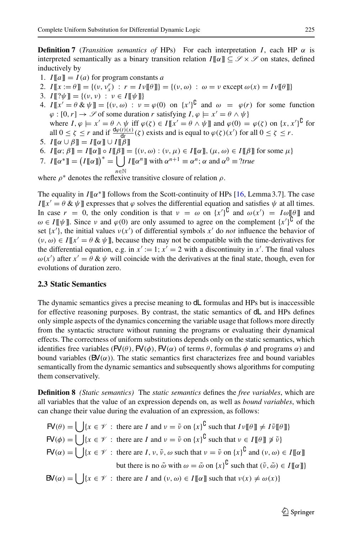**Definition 7** (*Transition semantics of* HPs) For each interpretation *I*, each HP  $\alpha$  is interpreted semantically as a binary transition relation  $I[\![\alpha]\!] \subseteq \mathscr{S} \times \mathscr{S}$  on states, defined inductively by

- 1.  $I[[a]] = I(a)$  for program constants *a*
- 2.  $I[[x := \theta]] = \{(v, v_x^r) : r = Iv[[\theta]]\} = \{(v, \omega) : \omega = v \text{ except } \omega(x) = Iv[[\theta]]\}$
- 3.  $I[\psi] = \{(\nu, \nu) : \nu \in I[\psi]\}$
- 4.  $I[[x'] = \theta \& \psi]] = \{ (v, \omega) : v = \varphi(0) \text{ on } \{x'\}^{\cup} \text{ and } \omega = \varphi(r) \text{ for some function }$  $\varphi : [0, r] \to \mathscr{S}$  of some duration *r* satisfying  $I, \varphi \models x' = \theta \land \psi$ where  $I, \varphi \models x' = \theta \land \psi$  iff  $\varphi(\zeta) \in I[[x' = \theta \land \psi]]$  and  $\varphi(0) = \varphi(\zeta)$  on  $\{x, x'\}^{\mathsf{U}}$  for all  $0 \le \zeta \le r$  and if  $\frac{d\varphi(t)(x)}{dt}(\zeta)$  exists and is equal to  $\varphi(\zeta)(x')$  for all  $0 \le \zeta \le r$ .
- 5.  $I[\![\alpha \cup \beta]\!] = I[\![\alpha]\!] \cup I[\![\beta]\!]$
- 6.  $I[\![\alpha;\beta]\!] = I[\![\alpha]\!] \circ I[\![\beta]\!] = \{(v,\omega) : (v,\mu) \in I[\![\alpha]\!], (\mu,\omega) \in I[\![\beta]\!]$  for some  $\mu\}$
- 7.  $I[\![\alpha^*]\!] = (I[\![\alpha]\!])^* = \bigcup I[\![\alpha^n]\!]$  with  $\alpha^{n+1} \equiv \alpha^n$ ;  $\alpha$  and  $\alpha^0 \equiv ?$ *true <sup>n</sup>*∈<sup>N</sup>

where  $\rho^*$  denotes the reflexive transitive closure of relation  $\rho$ .

The equality in *I*[[α∗]] follows from the Scott-continuity of HPs [\[16,](#page-45-4) Lemma 3.7]. The case  $I[[x'] = \theta \& \psi]$  expresses that  $\varphi$  solves the differential equation and satisfies  $\psi$  at all times. In case  $r = 0$ , the only condition is that  $v = \omega$  on  $\{x'\}^{\mathsf{U}}$  and  $\omega(x') = I\omega[\![\theta]\!]$  and  $\omega \in I[\![\psi]\!]$ . Since  $\nu$  and  $\varphi(0)$  are only assumed to agree on the complement  $\{x'\}^{\mathsf{U}}$  of the set  $\{x'\}$ , the initial values  $v(x')$  of differential symbols  $x'$  do *not* influence the behavior of  $(v, \omega) \in I[[x] = \theta \& \psi$ ], because they may not be compatible with the time-derivatives for the differential equation, e.g. in  $x' := 1$ ;  $x' = 2$  with a discontinuity in  $x'$ . The final values  $\omega(x')$  after  $x' = \theta \& \psi$  will coincide with the derivatives at the final state, though, even for evolutions of duration zero.

#### <span id="page-6-0"></span>**2.3 Static Semantics**

The dynamic semantics gives a precise meaning to dL formulas and HPs but is inaccessible for effective reasoning purposes. By contrast, the static semantics of dL and HPs defines only simple aspects of the dynamics concerning the variable usage that follows more directly from the syntactic structure without running the programs or evaluating their dynamical effects. The correctness of uniform substitutions depends only on the static semantics, which identifies free variables ( $FV(\theta)$ ,  $FV(\phi)$ ,  $FV(\alpha)$  of terms  $\theta$ , formulas  $\phi$  and programs  $\alpha$ ) and bound variables ( $\mathbf{B}'(\alpha)$ ). The static semantics first characterizes free and bound variables semantically from the dynamic semantics and subsequently shows algorithms for computing them conservatively.

<span id="page-6-1"></span>**Definition 8** *(Static semantics)* The *static semantics* defines the *free variables*, which are all variables that the value of an expression depends on, as well as *bound variables*, which can change their value during the evaluation of an expression, as follows:

$$
\mathsf{FV}(\theta) = \bigcup \{x \in \mathscr{V} : \text{ there are } I \text{ and } v = \tilde{v} \text{ on } \{x\}^{\mathsf{U}} \text{ such that } Iv[\![\theta]\!] \neq I\tilde{v}[\![\theta]\!]
$$
\n
$$
\mathsf{FV}(\phi) = \bigcup \{x \in \mathscr{V} : \text{ there are } I \text{ and } v = \tilde{v} \text{ on } \{x\}^{\mathsf{U}} \text{ such that } v \in I[\![\theta]\!] \neq \tilde{v}\}
$$
\n
$$
\mathsf{FV}(\alpha) = \bigcup \{x \in \mathscr{V} : \text{ there are } I, v, \tilde{v}, \omega \text{ such that } v = \tilde{v} \text{ on } \{x\}^{\mathsf{U}} \text{ and } (v, \omega) \in I[\![\alpha]\!]
$$
\nbut there is no  $\tilde{\omega}$  with  $\omega = \tilde{\omega}$  on  $\{x\}^{\mathsf{U}} \text{ such that } (\tilde{v}, \tilde{\omega}) \in I[\![\alpha]\!]$ 

 $\mathbf{B} \mathbf{V}(\alpha) = \begin{cases} \n\exists \{x \in \mathcal{V} : \text{there are } I \text{ and } (v, \omega) \in I[\![\alpha]\!] \text{ such that } v(x) \neq \omega(x) \}\n\end{cases}$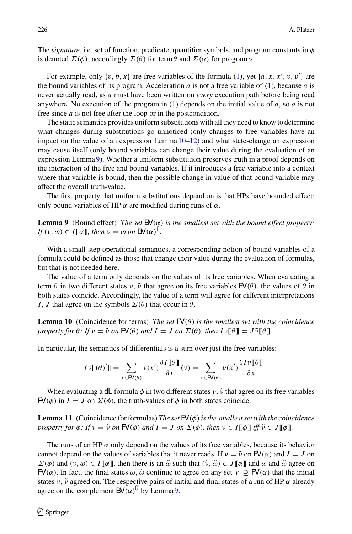The *signature*, i.e. set of function, predicate, quantifier symbols, and program constants in  $\phi$ is denoted  $\Sigma(\phi)$ ; accordingly  $\Sigma(\theta)$  for term  $\theta$  and  $\Sigma(\alpha)$  for program $\alpha$ .

For example, only  $\{v, b, x\}$  are free variables of the formula [\(1\)](#page-4-0), yet  $\{a, x, x', v, v'\}$  are the bound variables of its program. Acceleration  $a$  is not a free variable of  $(1)$ , because  $a$  is never actually read, as *a* must have been written on *every* execution path before being read anywhere. No execution of the program in [\(1\)](#page-4-0) depends on the initial value of *a*, so *a* is not free since *a* is not free after the loop or in the postcondition.

The static semantics provides uniform substitutions with all they need to know to determine what changes during substitutions go unnoticed (only changes to free variables have an impact on the value of an expression Lemma  $10-12$ ) and what state-change an expression may cause itself (only bound variables can change their value during the evaluation of an expression Lemma [9\)](#page-7-2). Whether a uniform substitution preserves truth in a proof depends on the interaction of the free and bound variables. If it introduces a free variable into a context where that variable is bound, then the possible change in value of that bound variable may affect the overall truth-value.

<span id="page-7-2"></span>The first property that uniform substitutions depend on is that HPs have bounded effect: only bound variables of HP  $\alpha$  are modified during runs of  $\alpha$ .

**Lemma 9** (Bound effect) *The set*  $BV(\alpha)$  *is the smallest set with the bound effect property:*  $If (v, \omega) \in I[\![\alpha]\!]$ *, then*  $v = \omega$  *on*  $BV(\alpha)^{\mathsf{U}}$ *.* 

With a small-step operational semantics, a corresponding notion of bound variables of a formula could be defined as those that change their value during the evaluation of formulas, but that is not needed here.

The value of a term only depends on the values of its free variables. When evaluating a term  $\theta$  in two different states  $\nu$ ,  $\tilde{\nu}$  that agree on its free variables  $\mathbf{FV}(\theta)$ , the values of  $\theta$  in both states coincide. Accordingly, the value of a term will agree for different interpretations *I*, *J* that agree on the symbols  $\Sigma(\theta)$  that occur in  $\theta$ .

<span id="page-7-0"></span>**Lemma 10** (Coincidence for terms) *The set*  $\mathbf{FV}(\theta)$  *is the smallest set with the coincidence property for*  $\theta$ *: If*  $\nu = \tilde{\nu}$  *on*  $\mathbf{FV}(\theta)$  *and*  $I = J$  *on*  $\Sigma(\theta)$ *, then*  $I \nu \llbracket \theta \rrbracket = J \tilde{\nu} \llbracket \theta \rrbracket$ *.* 

In particular, the semantics of differentials is a sum over just the free variables:

$$
I\nu\llbracket(\theta)'\rrbracket = \sum_{x \in \mathsf{FV}(\theta)} \nu(x') \frac{\partial I\llbracket \theta \rrbracket}{\partial x}(\nu) = \sum_{x \in \mathsf{FV}(\theta)} \nu(x') \frac{\partial I\nu\llbracket \theta \rrbracket}{\partial x}
$$

<span id="page-7-3"></span>When evaluating a dL formula  $\phi$  in two different states  $\nu$ ,  $\tilde{\nu}$  that agree on its free variables  $FV(\phi)$  in  $I = J$  on  $\Sigma(\phi)$ , the truth-values of  $\phi$  in both states coincide.

**Lemma 11** (Coincidence for formulas) *The set*  $FV(\phi)$  *is the smallest set with the coincidence property for*  $\phi$ *: If*  $v = \tilde{v}$  *on*  $\mathsf{FV}(\phi)$  *and*  $I = J$  *on*  $\Sigma(\phi)$ *, then*  $v \in I[\![\phi]\!]$  *iff*  $\tilde{v} \in J[\![\phi]\!]$ *.* 

<span id="page-7-1"></span>The runs of an HP  $\alpha$  only depend on the values of its free variables, because its behavior cannot depend on the values of variables that it never reads. If  $v = \tilde{v}$  on  $FV(\alpha)$  and  $I = J$  on  $\Sigma(\phi)$  and  $(v, \omega) \in I[\![\alpha]\!]$ , then there is an  $\tilde{\omega}$  such that  $(\tilde{v}, \tilde{\omega}) \in J[\![\alpha]\!]$  and  $\omega$  and  $\tilde{\omega}$  agree on  $FV(\alpha)$ . In fact, the final states  $\omega$ ,  $\tilde{\omega}$  continue to agree on any set  $V \supseteq FV(\alpha)$  that the initial states  $\nu$ ,  $\tilde{\nu}$  agreed on. The respective pairs of initial and final states of a run of HP  $\alpha$  already agree on the complement  $\mathsf{BV}(\alpha)^\mathsf{U}$  by Lemma[9.](#page-7-2)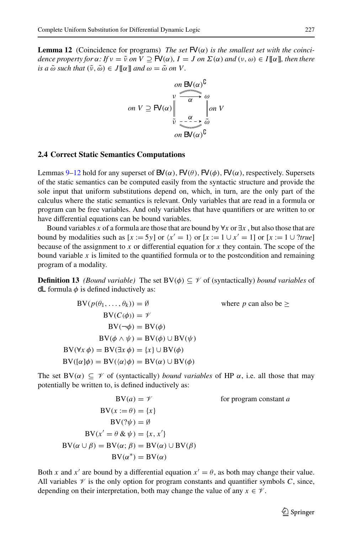**Lemma 12** (Coincidence for programs) *The set*  $FV(\alpha)$  *is the smallest set with the coincidence property for*  $\alpha$ *: If*  $\nu = \tilde{\nu}$  *on*  $V \supseteq \mathbb{F}V(\alpha)$ *, I* = *J on*  $\Sigma(\alpha)$  *and*  $(\nu, \omega) \in I[[\alpha]]$ *, then there is a*  $\tilde{\omega}$  *such that*  $(\tilde{\nu}, \tilde{\omega}) \in J[\![\alpha]\!]$  *and*  $\omega = \tilde{\omega}$  *on V*.

$$
on \ V \supseteq \mathbf{FV}(\alpha) \bigg|_{\substack{v \\ \widetilde{v} \ \cdots \ \widetilde{v} \\ \widetilde{v} \ \cdots \ \widetilde{v} \\ \widetilde{v} \ \widetilde{v} \ \widetilde{v} \\ \widetilde{v} \ \widetilde{v} \ \widetilde{v}} \bigg|_{\substack{v \\ \widetilde{v} \ \widetilde{v} \ \widetilde{v} \\ \widetilde{v} \ \widetilde{v} \ \widetilde{v} \\ \widetilde{v} \ \widetilde{v} \ \widetilde{v} \\ \widetilde{v} \ \widetilde{v} \ \widetilde{v} \ \widetilde{v} \\ \widetilde{v} \ \widetilde{v} \ \widetilde{v} \ \widetilde{v} \ \widetilde{v} \ \widetilde{v} \ \widetilde{v} \ \widetilde{v} \ \widetilde{v} \ \widetilde{v} \ \widetilde{v} \ \widetilde{v} \ \widetilde{v} \ \widetilde{v} \ \widetilde{v} \ \widetilde{v} \ \widetilde{v} \ \widetilde{v} \ \widetilde{v} \ \widetilde{v} \ \widetilde{v} \ \widetilde{v} \ \widetilde{v} \ \widetilde{v} \ \widetilde{v} \ \widetilde{v} \ \widetilde{v} \ \widetilde{v} \ \widetilde{v} \ \widetilde{v} \ \widetilde{v} \ \widetilde{v} \ \widetilde{v} \ \widetilde{v} \ \widetilde{v} \ \widetilde{v} \ \widetilde{v} \ \widetilde{v} \ \widetilde{v} \ \widetilde{v} \ \widetilde{v} \ \widetilde{v} \ \widetilde{v} \ \widetilde{v} \ \widetilde{v} \ \widetilde{v} \ \widetilde{v} \ \widetilde{v} \ \widetilde{v} \ \widetilde{v} \ \widetilde{v} \ \widetilde{v} \ \widetilde{v} \ \widetilde{v} \ \widetilde{v} \ \widetilde{v} \ \widetilde{v} \ \widetilde{v} \ \widetilde{v} \ \widetilde{v} \ \widetilde{v} \ \widetilde{v} \ \widetilde{v} \ \widetilde{v} \ \widetilde{v} \ \widetilde{v} \ \
$$

#### <span id="page-8-0"></span>**2.4 Correct Static Semantics Computations**

Lemmas [9–](#page-7-2)[12](#page-7-1) hold for any superset of  $\mathsf{BV}(\alpha)$ ,  $\mathsf{FV}(\theta)$ ,  $\mathsf{FV}(\phi)$ ,  $\mathsf{FV}(\alpha)$ , respectively. Supersets of the static semantics can be computed easily from the syntactic structure and provide the sole input that uniform substitutions depend on, which, in turn, are the only part of the calculus where the static semantics is relevant. Only variables that are read in a formula or program can be free variables. And only variables that have quantifiers or are written to or have differential equations can be bound variables.

Bound variables *x* of a formula are those that are bound by  $\forall x$  or  $\exists x$ , but also those that are bound by modalities such as  $[x := 5y]$  or  $\langle x' = 1 \rangle$  or  $[x := 1 \cup x' = 1]$  or  $[x := 1 \cup ?$ *true* because of the assignment to *x* or differential equation for *x* they contain. The scope of the bound variable  $x$  is limited to the quantified formula or to the postcondition and remaining program of a modality.

**Definition 13** *(Bound variable)* The set  $BV(\phi) \subseteq \mathcal{V}$  of (syntactically) *bound variables* of dL formula  $\phi$  is defined inductively as:

$$
BV(p(\theta_1, ..., \theta_k)) = \emptyset \qquad \text{where } p \text{ can also be } \ge
$$
  
\n
$$
BV(C(\phi)) = \mathscr{V}
$$
  
\n
$$
BV(\neg \phi) = BV(\phi)
$$
  
\n
$$
BV(\phi \land \psi) = BV(\phi) \cup BV(\psi)
$$
  
\n
$$
BV(\forall x \phi) = BV(\exists x \phi) = \{x\} \cup BV(\phi)
$$
  
\n
$$
BV([\alpha]\phi) = BV(\alpha \lor \phi) = BV(\alpha) \cup BV(\phi)
$$

The set  $BV(\alpha) \subseteq \mathcal{V}$  of (syntactically) *bound variables* of HP  $\alpha$ , i.e. all those that may potentially be written to, is defined inductively as:

$$
BV(a) = \mathscr{V}
$$
  
\n
$$
BV(x := \theta) = \{x\}
$$
  
\n
$$
BV(\mathscr{V}) = \emptyset
$$
  
\n
$$
BV(x' = \theta \& \psi) = \{x, x'\}
$$
  
\n
$$
BV(\alpha \cup \beta) = BV(\alpha; \beta) = BV(\alpha) \cup BV(\beta)
$$
  
\n
$$
BV(\alpha^*) = BV(\alpha)
$$

Both *x* and *x'* are bound by a differential equation  $x' = \theta$ , as both may change their value. All variables  $\mathcal V$  is the only option for program constants and quantifier symbols  $C$ , since, depending on their interpretation, both may change the value of any  $x \in \mathcal{V}$ .

 $\circled{2}$  Springer

for program constant *a*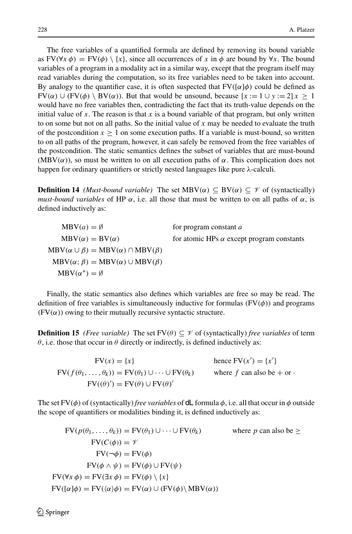The free variables of a quantified formula are defined by removing its bound variable as  $FV(\forall x \phi) = FV(\phi) \setminus \{x\}$ , since all occurrences of *x* in  $\phi$  are bound by  $\forall x$ . The bound variables of a program in a modality act in a similar way, except that the program itself may read variables during the computation, so its free variables need to be taken into account. By analogy to the quantifier case, it is often suspected that  $FV([\alpha]\phi)$  could be defined as  $FV(\alpha) \cup (FV(\phi) \setminus BV(\alpha))$ . But that would be unsound, because  $[x := 1 \cup y := 2]x > 1$ would have no free variables then, contradicting the fact that its truth-value depends on the initial value of  $x$ . The reason is that  $x$  is a bound variable of that program, but only written to on some but not on all paths. So the initial value of *x* may be needed to evaluate the truth of the postcondition  $x > 1$  on some execution paths. If a variable is must-bound, so written to on all paths of the program, however, it can safely be removed from the free variables of the postcondition. The static semantics defines the subset of variables that are must-bound (MBV( $\alpha$ )), so must be written to on all execution paths of  $\alpha$ . This complication does not happen for ordinary quantifiers or strictly nested languages like pure  $\lambda$ -calculi.

**Definition 14** *(Must-bound variable)* The set  $MBV(\alpha) \subseteq BV(\alpha) \subseteq \mathcal{V}$  of (syntactically) *must-bound variables* of HP  $\alpha$ , i.e. all those that must be written to on all paths of  $\alpha$ , is defined inductively as:

 $MBV(a) = \emptyset$  for program constant *a*  $MBV(\alpha) = BV(\alpha)$  for atomic HPs  $\alpha$  except program constants  $MBV(\alpha \cup \beta) = MBV(\alpha) \cap MBV(\beta)$  $MBV(\alpha; \beta) = MBV(\alpha) \cup MBV(\beta)$  $MBV(\alpha^*) = \emptyset$ 

<span id="page-9-0"></span>Finally, the static semantics also defines which variables are free so may be read. The definition of free variables is simultaneously inductive for formulas  $(FV(\phi))$  and programs  $(FV(\alpha))$  owing to their mutually recursive syntactic structure.

**Definition 15** *(Free variable)* The set  $FV(\theta) \subseteq \mathcal{V}$  of (syntactically) *free variables* of term  $\theta$ , i.e. those that occur in  $\theta$  directly or indirectly, is defined inductively as:

 $FV(x) = \{x\}$  $') = \{x'\}$  $FV(f(\theta_1,\ldots,\theta_k)) = FV(\theta_1) \cup \cdots \cup FV(\theta_k)$  where f can also be + or ·  $FV((\theta)') = FV(\theta) \cup FV(\theta)'$ 

The set  $FV(\phi)$  of (syntactically) *free variables* of **d**L formula  $\phi$ , i.e. all that occur in  $\phi$  outside the scope of quantifiers or modalities binding it, is defined inductively as:

$$
FV(p(\theta_1, ..., \theta_k)) = FV(\theta_1) \cup \cdots \cup FV(\theta_k) \qquad \text{where } p \text{ can also be } \ge
$$
  
\n
$$
FV(C(\phi)) = \mathcal{V}
$$
  
\n
$$
FV(\neg \phi) = FV(\phi)
$$
  
\n
$$
FV(\phi \land \psi) = FV(\phi) \cup FV(\psi)
$$
  
\n
$$
FV(\forall x \phi) = FV(\exists x \phi) = FV(\phi) \setminus \{x\}
$$
  
\n
$$
FV([\alpha]\phi) = FV((\alpha)\phi) = FV(\alpha) \cup (FV(\phi) \setminus MBV(\alpha))
$$

 $\mathcal{L}$  Springer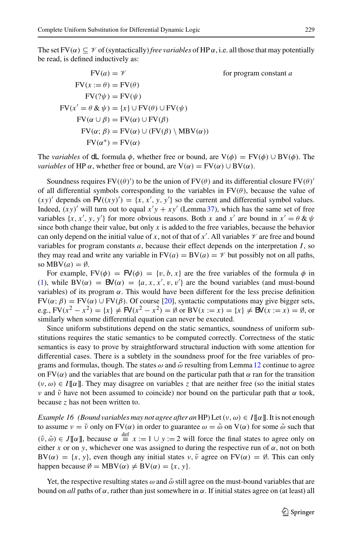The set  $FV(\alpha) \subseteq \mathcal{V}$  of (syntactically) *free variables* of HP  $\alpha$ , i.e. all those that may potentially be read, is defined inductively as:

$$
FV(a) = \mathcal{V} \qquad \text{for program constant } a
$$
  
\n
$$
FV(x := \theta) = FV(\theta)
$$
  
\n
$$
FV(\mathcal{V}) = FV(\psi)
$$
  
\n
$$
FV(x' = \theta \& \psi) = \{x\} \cup FV(\theta) \cup FV(\psi)
$$
  
\n
$$
FV(\alpha \cup \beta) = FV(\alpha) \cup FV(\beta)
$$
  
\n
$$
FV(\alpha; \beta) = FV(\alpha) \cup (FV(\beta) \setminus MBV(\alpha))
$$
  
\n
$$
FV(\alpha^*) = FV(\alpha)
$$

The *variables* of **dL** formula  $\phi$ , whether free or bound, are  $V(\phi) = FV(\phi) \cup BV(\phi)$ . The *variables* of HP  $\alpha$ , whether free or bound, are  $V(\alpha) = FV(\alpha) \cup BV(\alpha)$ .

Soundness requires  $FV((\theta)')$  to be the union of  $FV(\theta)$  and its differential closure  $FV(\theta)'$ of all differential symbols corresponding to the variables in  $FV(\theta)$ , because the value of  $(xy)'$  depends on  $FV((xy)') = \{x, x', y, y'\}$  so the current and differential symbol values. Indeed,  $(xy)'$  will turn out to equal  $x'y + xy'$  (Lemma [37\)](#page-25-0), which has the same set of free variables  $\{x, x', y, y'\}$  for more obvious reasons. Both *x* and *x'* are bound in  $x' = \theta \& \psi$ since both change their value, but only  $x$  is added to the free variables, because the behavior can only depend on the initial value of *x*, not of that of *x'*. All variables  $\mathcal V$  are free and bound variables for program constants *a*, because their effect depends on the interpretation *I*, so they may read and write any variable in  $FV(a) = BV(a) = \mathcal{V}$  but possibly not on all paths, so  $MBV(a) = \emptyset$ .

For example,  $FV(\phi) = FV(\phi) = \{v, b, x\}$  are the free variables of the formula  $\phi$  in [\(1\)](#page-4-0), while  $BV(\alpha) = BV(\alpha) = \{a, x, x', v, v'\}$  are the bound variables (and must-bound variables) of its program  $\alpha$ . This would have been different for the less precise definition  $FV(\alpha; \beta) = FV(\alpha) \cup FV(\beta)$ . Of course [\[20\]](#page-45-14), syntactic computations may give bigger sets, e.g.,  $FV(x^2 - x^2) = {x}$  ≠  $FV(x^2 - x^2) = ∅$  or  $BV(x := x) = {x}$  ≠  $BV(x := x) = ∅$ , or similarly when some differential equation can never be executed.

Since uniform substitutions depend on the static semantics, soundness of uniform substitutions requires the static semantics to be computed correctly. Correctness of the static semantics is easy to prove by straightforward structural induction with some attention for differential cases. There is a subtlety in the soundness proof for the free variables of programs and formulas, though. The states  $\omega$  and  $\tilde{\omega}$  resulting from Lemma [12](#page-7-1) continue to agree on FV( $\alpha$ ) and the variables that are bound on the particular path that  $\alpha$  ran for the transition  $(v, \omega) \in I[\![\alpha]\!]$ . They may disagree on variables *z* that are neither free (so the initial states ν and  $\tilde{v}$  have not been assumed to coincide) nor bound on the particular path that α took, because *z* has not been written to.

*Example 16 (Bound variables may not agree after an HP)* Let  $(v, \omega) \in I[\![\alpha]\!]$ . It is not enough to assume  $v = \tilde{v}$  only on FV( $\alpha$ ) in order to guarantee  $\omega = \tilde{\omega}$  on V( $\alpha$ ) for some  $\tilde{\omega}$  such that  $(\tilde{\nu}, \tilde{\omega}) \in J[\![\alpha]\!]$ , because  $\alpha \stackrel{\text{def}}{=} x := 1 \cup y := 2$  will force the final states to agree only on either *x* or on *y*, whichever one was assigned to during the respective run of  $\alpha$ , not on both  $BV(\alpha) = \{x, y\}$ , even though any initial states  $v, \tilde{v}$  agree on  $FV(\alpha) = \emptyset$ . This can only happen because  $\emptyset = MBV(\alpha) \neq BV(\alpha) = \{x, y\}.$ 

Yet, the respective resulting states  $\omega$  and  $\tilde{\omega}$  still agree on the must-bound variables that are bound on *all* paths of  $\alpha$ , rather than just somewhere in  $\alpha$ . If initial states agree on (at least) all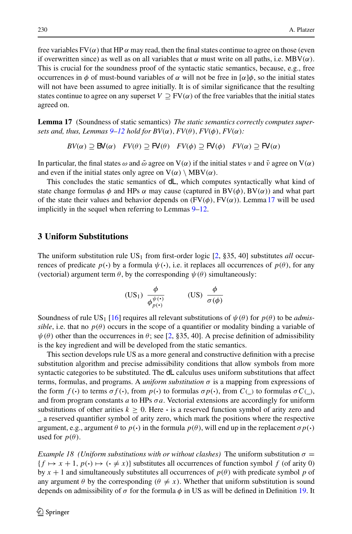free variables  $FV(\alpha)$  that HP  $\alpha$  may read, then the final states continue to agree on those (even if overwritten since) as well as on all variables that  $\alpha$  must write on all paths, i.e. MBV( $\alpha$ ). This is crucial for the soundness proof of the syntactic static semantics, because, e.g., free occurrences in  $\phi$  of must-bound variables of  $\alpha$  will not be free in  $\alpha | \phi$ , so the initial states will not have been assumed to agree initially. It is of similar significance that the resulting states continue to agree on any superset  $V \supseteq FV(\alpha)$  of the free variables that the initial states agreed on.

<span id="page-11-1"></span>**Lemma 17** (Soundness of static semantics) *The static semantics correctly computes supersets and, thus, Lemmas*  $9-12$  $9-12$  *hold for BV*( $\alpha$ ),  $FV(\theta)$ ,  $FV(\phi)$ ,  $FV(\alpha)$ *:* 

$$
BV(\alpha) \supseteq BV(\alpha) \quad FV(\theta) \supseteq \mathsf{FV}(\theta) \quad FV(\phi) \supseteq \mathsf{FV}(\phi) \quad FV(\alpha) \supseteq \mathsf{FV}(\alpha)
$$

In particular, the final states  $\omega$  and  $\tilde{\omega}$  agree on  $V(\alpha)$  if the initial states  $\nu$  and  $\tilde{\nu}$  agree on  $V(\alpha)$ and even if the initial states only agree on  $V(\alpha) \setminus MBV(\alpha)$ .

This concludes the static semantics of dL, which computes syntactically what kind of state change formulas  $\phi$  and HPs  $\alpha$  may cause (captured in BV( $\phi$ ), BV( $\alpha$ )) and what part of the state their values and behavior depends on  $(FV(\phi), FV(\alpha))$ . Lemma [17](#page-11-1) will be used implicitly in the sequel when referring to Lemmas [9](#page-7-2)[–12.](#page-7-1)

## <span id="page-11-0"></span>**3 Uniform Substitutions**

The uniform substitution rule  $US_1$  from first-order logic  $[2, §35, 40]$  $[2, §35, 40]$  substitutes *all* occurrences of predicate  $p(\cdot)$  by a formula  $\psi(\cdot)$ , i.e. it replaces all occurrences of  $p(\theta)$ , for any (vectorial) argument term  $\theta$ , by the corresponding  $\psi(\theta)$  simultaneously:

<span id="page-11-2"></span>
$$
\text{(US}_1) \ \frac{\phi}{\phi_{p(\cdot)}^{\psi(\cdot)}} \qquad \qquad \text{(US)} \ \frac{\phi}{\sigma(\phi)}
$$

Soundness of rule US<sub>1</sub> [\[16](#page-45-4)] requires all relevant substitutions of  $\psi(\theta)$  for  $p(\theta)$  to be *admissible*, i.e. that no  $p(\theta)$  occurs in the scope of a quantifier or modality binding a variable of  $\psi(\theta)$  other than the occurrences in  $\theta$ ; see [\[2,](#page-45-5) §35, 40]. A precise definition of admissibility is the key ingredient and will be developed from the static semantics.

This section develops rule US as a more general and constructive definition with a precise substitution algorithm and precise admissibility conditions that allow symbols from more syntactic categories to be substituted. The **dL** calculus uses uniform substitutions that affect terms, formulas, and programs. A *uniform substitution*  $\sigma$  is a mapping from expressions of the form  $f(\cdot)$  to terms  $\sigma f(\cdot)$ , from  $p(\cdot)$  to formulas  $\sigma p(\cdot)$ , from  $C(\cdot)$  to formulas  $\sigma C(\cdot)$ , and from program constants *a* to HPs σ*a*. Vectorial extensions are accordingly for uniform substitutions of other arities  $k \geq 0$ . Here  $\cdot$  is a reserved function symbol of arity zero and \_ a reserved quantifier symbol of arity zero, which mark the positions where the respective argument, e.g., argument  $\theta$  to  $p(\cdot)$  in the formula  $p(\theta)$ , will end up in the replacement  $\sigma p(\cdot)$ used for  $p(\theta)$ .

<span id="page-11-3"></span>*Example 18 (Uniform substitutions with or without clashes)* The uniform substitution  $\sigma =$  $\{f \mapsto x + 1, p(\cdot) \mapsto (\cdot \neq x)\}$  substitutes all occurrences of function symbol f (of arity 0) by  $x + 1$  and simultaneously substitutes all occurrences of  $p(\theta)$  with predicate symbol p of any argument  $\theta$  by the corresponding ( $\theta \neq x$ ). Whether that uniform substitution is sound depends on admissibility of  $\sigma$  for the formula  $\phi$  in US as will be defined in Definition [19.](#page-12-0) It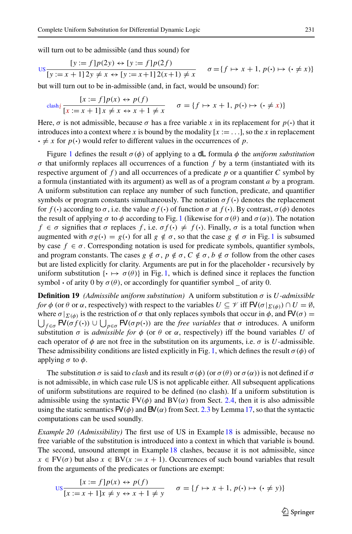will turn out to be admissible (and thus sound) for

$$
\text{US}_{y} = \frac{[y := f]p(2y) \leftrightarrow [y := f]p(2f)}{[y := x + 1]2y \neq x \leftrightarrow [y := x + 1]2(x + 1) \neq x} \quad \sigma = \{f \mapsto x + 1, p(\cdot) \mapsto (\cdot \neq x)\}
$$

but will turn out to be in-admissible (and, in fact, would be unsound) for:

$$
\operatorname{clash}_{\mathcal{I}} \frac{[x := f]p(x) \leftrightarrow p(f)}{[x := x + 1]x \neq x \leftrightarrow x + 1 \neq x} \quad \sigma = \{f \mapsto x + 1, p(\cdot) \mapsto (\cdot \neq x)\}\
$$

Here,  $\sigma$  is not admissible, because  $\sigma$  has a free variable x in its replacement for  $p(\cdot)$  that it introduces into a context where *x* is bound by the modality  $[x := \dots]$ , so the *x* in replacement  $\cdot \neq x$  for  $p(\cdot)$  would refer to different values in the occurrences of p.

Figure [1](#page-13-0) defines the result  $\sigma(\phi)$  of applying to a dL formula  $\phi$  the *uniform substitution*  $\sigma$  that uniformly replaces all occurrences of a function  $f$  by a term (instantiated with its respective argument of  $f$ ) and all occurrences of a predicate  $p$  or a quantifier  $C$  symbol by a formula (instantiated with its argument) as well as of a program constant *a* by a program. A uniform substitution can replace any number of such function, predicate, and quantifier symbols or program constants simultaneously. The notation  $\sigma f(\cdot)$  denotes the replacement for  $f(\cdot)$  according to  $\sigma$ , i.e. the value  $\sigma f(\cdot)$  of function  $\sigma$  at  $f(\cdot)$ . By contrast,  $\sigma(\phi)$  denotes the result of applying  $\sigma$  to  $\phi$  according to Fig. [1](#page-13-0) (likewise for  $\sigma(\theta)$  and  $\sigma(\alpha)$ ). The notation  $f \in \sigma$  signifies that  $\sigma$  replaces  $f$ , i.e.  $\sigma f(\cdot) \neq f(\cdot)$ . Finally,  $\sigma$  is a total function when augmented with  $\sigma g(\cdot) = g(\cdot)$  for all  $g \notin \sigma$ , so that the case  $g \notin \sigma$  in Fig. [1](#page-13-0) is subsumed by case  $f \in \sigma$ . Corresponding notation is used for predicate symbols, quantifier symbols, and program constants. The cases  $g \notin \sigma$ ,  $p \notin \sigma$ ,  $C \notin \sigma$ ,  $b \notin \sigma$  follow from the other cases but are listed explicitly for clarity. Arguments are put in for the placeholder **·** recursively by uniform substitution  $\{\cdot \mapsto \sigma(\theta)\}\$  in Fig. [1,](#page-13-0) which is defined since it replaces the function symbol  $\cdot$  of arity 0 by  $\sigma(\theta)$ , or accordingly for quantifier symbol  $\bar{\ }$  of arity 0.

<span id="page-12-0"></span>**Definition 19** *(Admissible uniform substitution)* A uniform substitution  $σ$  is *U*-admissible *for*  $\phi$  (or  $\theta$  or  $\alpha$ , respectively) with respect to the variables  $U \subseteq \mathcal{V}$  iff  $\mathsf{FV}(\sigma|_{\Sigma(\phi)}) \cap U = \emptyset$ , where  $\sigma|_{\Sigma(\phi)}$  is the restriction of  $\sigma$  that only replaces symbols that occur in  $\phi$ , and  $\mathsf{FV}(\sigma) =$  $\bigcup_{f \in \sigma} \mathsf{FV}(\sigma f(\cdot)) \cup \bigcup_{p \in \sigma} \mathsf{FV}(\sigma p(\cdot))$  are the *free variables* that  $\sigma$  introduces. A uniform substitution  $\sigma$  is *admissible for*  $\phi$  (or  $\theta$  or  $\alpha$ , respectively) iff the bound variables *U* of each operator of  $\phi$  are not free in the substitution on its arguments, i.e.  $\sigma$  is *U*-admissible. These admissibility conditions are listed explicitly in Fig. [1,](#page-13-0) which defines the result  $\sigma(\phi)$  of applying  $\sigma$  to  $\phi$ .

The substitution  $\sigma$  is said to *clash* and its result  $\sigma(\phi)$  (or  $\sigma(\theta)$  or  $\sigma(\alpha)$ ) is not defined if  $\sigma$ is not admissible, in which case rule US is not applicable either. All subsequent applications of uniform substitutions are required to be defined (no clash). If a uniform substitution is admissible using the syntactic  $FV(\phi)$  and  $BV(\alpha)$  from Sect. [2.4,](#page-8-0) then it is also admissible using the static semantics  $FV(\phi)$  and  $FV(\alpha)$  from Sect. [2.3](#page-6-0) by Lemma [17,](#page-11-1) so that the syntactic computations can be used soundly.

*Example 20 (Admissibility)* The first use of US in Example [18](#page-11-3) is admissible, because no free variable of the substitution is introduced into a context in which that variable is bound. The second, unsound attempt in Example [18](#page-11-3) clashes, because it is not admissible, since  $x \in FV(\sigma)$  but also  $x \in BV(x := x + 1)$ . Occurrences of such bound variables that result from the arguments of the predicates or functions are exempt:

$$
\frac{[x := f]p(x) \leftrightarrow p(f)}{[x := x + 1]x \neq y \leftrightarrow x + 1 \neq y} \quad \sigma = \{f \mapsto x + 1, p(\cdot) \mapsto (\cdot \neq y)\}
$$

 $\circled{2}$  Springer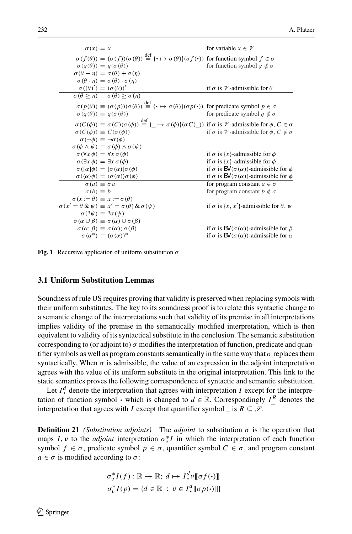$\sigma(x) = x$  for variable  $x \in \mathcal{V}$  $\sigma(f(\theta)) = (\sigma(f))(\sigma(\theta)) \stackrel{\text{def}}{=} {\{\cdot \mapsto \sigma(\theta)\}}(\sigma f(\cdot))$  for function symbol  $f \in \sigma$  $\sigma(g(\theta)) = g(\sigma(\theta))$  for function symbol  $g \notin \sigma$  $\sigma(\theta + n) = \sigma(\theta) + \sigma(n)$  $\sigma(\theta \cdot \eta) = \sigma(\theta) \cdot \sigma(\eta)$  $\sigma((\theta)') = (\sigma(\theta))'$ if  $\sigma$  is  $\mathcal V$ -admissible for  $\theta$  $\sigma(\theta > \eta) \equiv \sigma(\theta) > \sigma(\eta)$  $\sigma(p(\theta)) \equiv (\sigma(p))(\sigma(\theta)) \stackrel{\text{def}}{=} {\{\cdot \mapsto \sigma(\theta)\}}(\sigma p(\cdot))$  for predicate symbol  $p \in \sigma$ <br> $\sigma(q(\theta)) \equiv q(\sigma(\theta))$  $\sigma(q(\theta)) \equiv q(\sigma(\theta))$  for predicate symbol  $q \notin \sigma$  $\sigma(C(\phi)) \equiv \sigma(C)(\sigma(\phi)) \stackrel{\text{def}}{=} \{\_\mapsto \sigma(\phi)\} (\sigma(C\cup)) \text{ if } \sigma \text{ is } \mathcal{V} \text{-admissible for } \phi, C \in \sigma$  $\sigma(C(\phi)) \equiv C(\sigma(\phi))$  if  $\sigma$  is *V*-admissible for  $\phi$ ,  $C \notin \sigma$  $\sigma(\neg \phi) \equiv \neg \sigma(\phi)$  $\sigma(\phi \land \psi) \equiv \sigma(\phi) \land \sigma(\psi)$ <br>  $\sigma(\forall x \phi) = \forall x \sigma(\phi)$  $\sigma(\forall x \phi) = \forall x \sigma(\phi)$  if  $\sigma$  is {*x*}-admissible for  $\phi$ <br>  $\sigma(\exists x \phi) = \exists x \sigma(\phi)$  if  $\sigma$  is {*x*}-admissible for  $\phi$  $\sigma(\exists x \phi) = \exists x \sigma(\phi)$  if  $\sigma$  is {*x*}-admissible for  $\phi$ <br>  $\sigma([\alpha]\phi) = [\sigma(\alpha)]\sigma(\phi)$  if  $\sigma$  is **BV**( $\sigma(\alpha)$ )-admissible if  $\sigma$  is  $\mathsf{BV}(\sigma(\alpha))$ -admissible for  $\phi$  $\sigma(\langle \alpha \rangle \phi) = \langle$  $\sigma(\alpha)\phi = \langle \sigma(\alpha) \rangle \sigma(\phi)$  if  $\sigma$  is  $\mathbf{B}\mathbf{V}(\sigma(\alpha))$ -admissible for  $\phi$ <br>  $\sigma(a) \equiv \sigma a$  for program constant  $a \in \sigma$  $\sigma(a) \equiv \sigma a$  for program constant  $a \in \sigma$ <br>  $\sigma(b) \equiv b$  for program constant  $b \notin \sigma$ for program constant  $b \notin \sigma$  $\sigma(x := \theta) \equiv x := \sigma(\theta)$  $\sigma(x' = \theta \& \psi) \equiv x' = \sigma(\theta) \& \sigma(\psi)$  if  $\sigma$  is {*x*, *x'*  $\mathcal{C}$ }-admissible for  $\theta$ ,  $\psi$  $\sigma$ (? $\psi$ )  $\equiv$  ? $\sigma$ ( $\psi$ )  $\sigma(\alpha \cup \beta) \equiv \sigma(\alpha) \cup \sigma(\beta)$ <br>  $\sigma(\alpha; \beta) \equiv \sigma(\alpha); \sigma(\beta)$  $\sigma(\alpha; \beta) \equiv \sigma(\alpha); \sigma(\beta)$  if  $\sigma$  is **BV**( $\sigma(\alpha)$ )-admissible for  $\beta$ <br>  $\sigma(\alpha^*) \equiv (\sigma(\alpha))^*$  if  $\sigma$  is **BV**( $\sigma(\alpha)$ )-admissible for  $\alpha$ if  $\sigma$  is **BV**( $\sigma(\alpha)$ )-admissible for  $\alpha$ 

<span id="page-13-0"></span>**Fig. 1** Recursive application of uniform substitution  $\sigma$ 

#### **3.1 Uniform Substitution Lemmas**

Soundness of rule US requires proving that validity is preserved when replacing symbols with their uniform substitutes. The key to its soundness proof is to relate this syntactic change to a semantic change of the interpretations such that validity of its premise in all interpretations implies validity of the premise in the semantically modified interpretation, which is then equivalent to validity of its syntactical substitute in the conclusion. The semantic substitution corresponding to (or adjoint to)  $\sigma$  modifies the interpretation of function, predicate and quantifier symbols as well as program constants semantically in the same way that  $\sigma$  replaces them syntactically. When  $\sigma$  is admissible, the value of an expression in the adjoint interpretation agrees with the value of its uniform substitute in the original interpretation. This link to the static semantics proves the following correspondence of syntactic and semantic substitution.

Let  $I^d$  denote the interpretation that agrees with interpretation *I* except for the interpretation of function symbol  $\cdot$  which is changed to  $d \in \mathbb{R}$ . Correspondingly  $I^R$  denotes the interpretation that agrees with *I* except that quantifier symbol \_ is  $R \subseteq \mathcal{S}$ .

**Definition 21** *(Substitution adjoints)* The *adjoint* to substitution  $\sigma$  is the operation that maps *I*, *v* to the *adjoint* interpretation  $\sigma_v^* I$  in which the interpretation of each function symbol  $f \in \sigma$ , predicate symbol  $p \in \sigma$ , quantifier symbol  $C \in \sigma$ , and program constant  $a \in \sigma$  is modified according to  $\sigma$ :

$$
\sigma_v^* I(f) : \mathbb{R} \to \mathbb{R}; d \mapsto I^d \nu \llbracket \sigma f(\cdot) \rrbracket
$$
  

$$
\sigma_v^* I(p) = \{d \in \mathbb{R} : v \in I^d \llbracket \sigma p(\cdot) \rrbracket\}
$$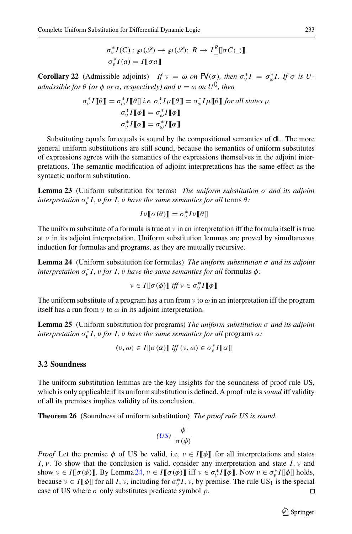$$
\sigma_v^* I(C) : \wp(\mathcal{S}) \to \wp(\mathcal{S}); R \mapsto I^R \llbracket \sigma C \cup \rrbracket
$$
  

$$
\sigma_v^* I(a) = I \llbracket \sigma a \rrbracket
$$

<span id="page-14-2"></span>**Corollary 22** (Admissible adjoints) *If*  $v = \omega$  *on*  $\mathbb{F}( \sigma)$ *, then*  $\sigma_v^* I = \sigma_{\omega}^* I$ *. If*  $\sigma$  *is U* $admissible$  *for*  $\theta$  *(or*  $\phi$  *or*  $\alpha$ *, respectively)* and  $\nu = \omega$  *on*  $U^{\mathsf{G}}$ *, then* 

$$
\sigma_v^* I[\![\theta]\!] = \sigma_o^* I[\![\theta]\!] \text{ i.e. } \sigma_v^* I\mu[\![\theta]\!] = \sigma_o^* I\mu[\![\theta]\!] \text{ for all states } \mu
$$

$$
\sigma_v^* I[\![\phi]\!] = \sigma_o^* I[\![\phi]\!]
$$

$$
\sigma_v^* I[\![\alpha]\!] = \sigma_o^* I[\![\alpha]\!]
$$

Substituting equals for equals is sound by the compositional semantics of dL. The more general uniform substitutions are still sound, because the semantics of uniform substitutes of expressions agrees with the semantics of the expressions themselves in the adjoint interpretations. The semantic modification of adjoint interpretations has the same effect as the syntactic uniform substitution.

<span id="page-14-4"></span>**Lemma 23** (Uniform substitution for terms) *The uniform substitution* σ *and its adjoint interpretation*  $\sigma_v^* I$ , *v for I*, *v have the same semantics for all* terms  $\theta$ *:* 

$$
I\mathfrak{v}[\![\sigma(\theta)]\!]=\sigma_{\mathfrak{v}}^*I\mathfrak{v}[\![\theta]\!]
$$

The uniform substitute of a formula is true at  $\nu$  in an interpretation iff the formula itself is true at  $\nu$  in its adjoint interpretation. Uniform substitution lemmas are proved by simultaneous induction for formulas and programs, as they are mutually recursive.

<span id="page-14-0"></span>**Lemma 24** (Uniform substitution for formulas) *The uniform substitution* σ *and its adjoint interpretation*  $σ<sub>v</sub><sup>∗</sup> I$ , *ν for I*, *ν have the same semantics for all* formulas *φ*:

$$
v \in I[\![\sigma(\phi)]\!] \text{ iff } v \in \sigma_v^* I[\![\phi]\!]
$$

<span id="page-14-3"></span>The uniform substitute of a program has a run from  $\nu$  to  $\omega$  in an interpretation iff the program itself has a run from  $\nu$  to  $\omega$  in its adjoint interpretation.

**Lemma 25** (Uniform substitution for programs) *The uniform substitution* σ *and its adjoint interpretation*  $\sigma_v^* I$ , *ν for I*, *ν have the same semantics for all* programs α*:* 

$$
(\nu, \omega) \in I[\![\sigma(\alpha)]\!]\; iff (\nu, \omega) \in \sigma_{\nu}^* I[\![\alpha]\!]
$$

#### **3.2 Soundness**

The uniform substitution lemmas are the key insights for the soundness of proof rule US, which is only applicable if its uniform substitution is defined. A proof rule is*sound* iff validity of all its premises implies validity of its conclusion.

<span id="page-14-1"></span>**Theorem 26** (Soundness of uniform substitution) *The proof rule US is sound.*

$$
(US) \frac{\phi}{\sigma(\phi)}
$$

*Proof* Let the premise  $\phi$  of US be valid, i.e.  $\nu \in I[\![\phi]\!]$  for all interpretations and states *I*, ν. To show that the conclusion is valid, consider any interpretation and state *I*, ν and show  $v \in I[\![\sigma(\phi)]\!]$ . By Lemma [24,](#page-14-0)  $v \in I[\![\sigma(\phi)]\!]$  iff  $v \in \sigma_v^*I[\![\phi]\!]$ . Now  $v \in \sigma_v^*I[\![\phi]\!]$  holds, because  $v \in I[\![\phi]\!]$  for all *I*,  $v$ , including for  $\sigma_v^* I$ ,  $v$ , by premise. The rule US<sub>1</sub> is the special case of US where  $\sigma$  only substitutes predicate symbol  $p$ .  $\Box$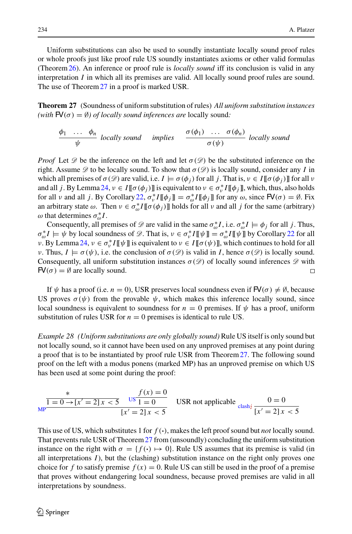Uniform substitutions can also be used to soundly instantiate locally sound proof rules or whole proofs just like proof rule US soundly instantiates axioms or other valid formulas (Theorem[26\)](#page-14-1). An inference or proof rule is *locally sound* iff its conclusion is valid in any interpretation *I* in which all its premises are valid. All locally sound proof rules are sound. The use of Theorem [27](#page-15-0) in a proof is marked USR.

<span id="page-15-0"></span>**Theorem 27** (Soundness of uniform substitution of rules) *All uniform substitution instances* (with  $\mathsf{F}V(\sigma) = \emptyset$ ) of locally sound inferences are locally sound:

<span id="page-15-1"></span>
$$
\frac{\phi_1 \cdots \phi_n}{\psi} \text{ locally sound } \text{implies } \frac{\sigma(\phi_1) \cdots \sigma(\phi_n)}{\sigma(\psi)} \text{ locally sound}
$$

*Proof* Let  $\mathscr D$  be the inference on the left and let  $\sigma(\mathscr D)$  be the substituted inference on the right. Assume  $\mathscr D$  to be locally sound. To show that  $\sigma(\mathscr D)$  is locally sound, consider any *I* in which all premises of  $\sigma(\mathcal{D})$  are valid, i.e.  $I \models \sigma(\phi_i)$  for all *j*. That is,  $v \in I[[\sigma(\phi_i)]]$  for all v and all *j*. By Lemma [24,](#page-14-0)  $v \in I[\![\sigma(\phi_j)]\!]$  is equivalent to  $v \in \sigma_v^*I[\![\phi_j]\!]$ , which, thus, also holds for all v and all *j*. By Corollary [22,](#page-14-2)  $\sigma_v^* I[\![\phi_j]\!] = \sigma_o^* I[\![\phi_j]\!]$  for any  $\omega$ , since  $\mathsf{FV}(\sigma) = \emptyset$ . Fix an arbitrary state  $\omega$ . Then  $\nu \in \sigma_{\omega}^* I[\![\sigma(\phi_j)]\!]$  holds for all  $\nu$  and all  $j$  for the same (arbitrary)  $\omega$  that determines  $\sigma_{\omega}^* I$ .

Consequently, all premises of  $\mathcal{D}$  are valid in the same  $\sigma_{\omega}^* I$ , i.e.  $\sigma_{\omega}^* I \models \phi_j$  for all *j*. Thus,  $\sigma_{\omega}^* I \models \psi$  by local soundness of  $\mathscr{D}$ . That is,  $\nu \in \sigma_v^* I \llbracket \psi \rrbracket = \sigma_{\omega}^* I \llbracket \psi \rrbracket$  by Corollary [22](#page-14-2) for all *ν*. By Lemma [24,](#page-14-0) *ν* ∈  $\sigma_v^* I[\![\psi]\!]$  is equivalent to *ν* ∈ *I*[[σ(ψ)]], which continues to hold for all *ν*. Thus,  $I \models \sigma(\psi)$ , i.e. the conclusion of  $\sigma(\mathscr{D})$  is valid in *I*, hence  $\sigma(\mathscr{D})$  is locally sound. Consequently, all uniform substitution instances  $\sigma(\mathscr{D})$  of locally sound inferences  $\mathscr{D}$  with  $FV(\sigma) = \emptyset$  are locally sound.  $\Box$ 

If  $\psi$  has a proof (i.e. *n* = 0), USR preserves local soundness even if  $\mathsf{FV}(\sigma) \neq \emptyset$ , because US proves  $\sigma(\psi)$  from the provable  $\psi$ , which makes this inference locally sound, since local soundness is equivalent to soundness for  $n = 0$  premises. If  $\psi$  has a proof, uniform substitution of rules USR for  $n = 0$  premises is identical to rule US.

*Example 28 (Uniform substitutions are only globally sound)* Rule US itself is only sound but not locally sound, so it cannot have been used on any unproved premises at any point during a proof that is to be instantiated by proof rule USR from Theorem[27.](#page-15-0) The following sound proof on the left with a modus ponens (marked MP) has an unproved premise on which US has been used at some point during the proof:

$$
\frac{\ast}{1 = 0 \to [x' = 2]x < 5} \quad \frac{f(x) = 0}{1 = 0} \quad \text{USR not applicable} \quad \frac{0 = 0}{[x' = 2]x < 5}
$$

This use of US, which substitutes 1 for  $f(\cdot)$ , makes the left proof sound but *not* locally sound. That prevents rule USR of Theorem[27](#page-15-0) from (unsoundly) concluding the uniform substitution instance on the right with  $\sigma = \{f(\cdot) \mapsto 0\}$ . Rule US assumes that its premise is valid (in all interpretations *I*), but the (clashing) substitution instance on the right only proves one choice for f to satisfy premise  $f(x) = 0$ . Rule US can still be used in the proof of a premise that proves without endangering local soundness, because proved premises are valid in all interpretations by soundness.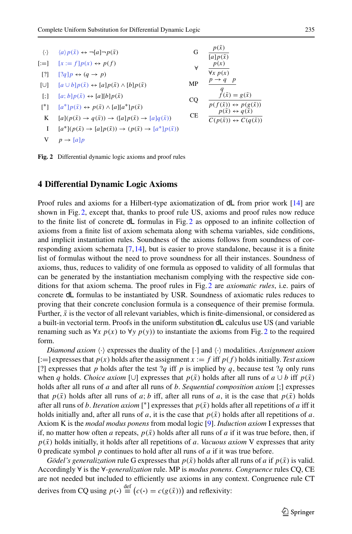<span id="page-16-11"></span><span id="page-16-9"></span><span id="page-16-8"></span><span id="page-16-5"></span><span id="page-16-4"></span><span id="page-16-3"></span><span id="page-16-1"></span>

| $\langle \cdot \rangle$ | $\langle a \rangle p(\bar{x}) \leftrightarrow \neg[a] \neg p(\bar{x})$                             | G         | $p(\bar{x})$<br>$[a]p(\bar{x})$                                                          |
|-------------------------|----------------------------------------------------------------------------------------------------|-----------|------------------------------------------------------------------------------------------|
| $[:=]$                  | $[x := f]p(x) \leftrightarrow p(f)$                                                                | A         | p(x)                                                                                     |
| $\lceil$ ?]             | $[?q]p \leftrightarrow (q \rightarrow p)$                                                          |           | $\forall x p(x)$                                                                         |
| $[\cup]$                | $[a \cup b]p(\bar{x}) \leftrightarrow [a]p(\bar{x}) \wedge [b]p(\bar{x})$                          | MP        | $p \rightarrow q$ p                                                                      |
| $\lceil$ :1             | $[a; b]p(\bar{x}) \leftrightarrow [a][b]p(\bar{x})$                                                | CQ        | $\begin{cases}\n q \\  f(\bar{x}) = g(\bar{x})\n\end{cases}$                             |
| $\mathsf{I}^*$ ]        | $[a^*]p(\bar{x}) \leftrightarrow p(\bar{x}) \wedge [a][a^*]p(\bar{x})$                             |           | $p(f(\bar{x})) \leftrightarrow p(g(\bar{x}))$<br>$p(\bar{x}) \leftrightarrow q(\bar{x})$ |
| K                       | $[a](p(\bar{x}) \rightarrow q(\bar{x})) \rightarrow ([a]p(\bar{x}) \rightarrow [a]q(\bar{x}))$     | <b>CE</b> | $C(p(\bar{x})) \leftrightarrow C(q(\bar{x}))$                                            |
| Ι                       | $[a^*](p(\bar{x}) \rightarrow [a]p(\bar{x})) \rightarrow (p(\bar{x}) \rightarrow [a^*]p(\bar{x}))$ |           |                                                                                          |
| V                       | $p \rightarrow [a] p$                                                                              |           |                                                                                          |

<span id="page-16-10"></span><span id="page-16-7"></span><span id="page-16-6"></span><span id="page-16-2"></span>

#### <span id="page-16-0"></span>**4 Differential Dynamic Logic Axioms**

Proof rules and axioms for a Hilbert-type axiomatization of  $dL$  from prior work [\[14](#page-45-1)] are shown in Fig. [2,](#page-16-2) except that, thanks to proof rule US, axioms and proof rules now reduce to the finite list of concrete dL formulas in Fig. [2](#page-16-2) as opposed to an infinite collection of axioms from a finite list of axiom schemata along with schema variables, side conditions, and implicit instantiation rules. Soundness of the axioms follows from soundness of corresponding axiom schemata [\[7](#page-45-15)[,14\]](#page-45-1), but is easier to prove standalone, because it is a finite list of formulas without the need to prove soundness for all their instances. Soundness of axioms, thus, reduces to validity of one formula as opposed to validity of all formulas that can be generated by the instantiation mechanism complying with the respective side conditions for that axiom schema. The proof rules in Fig. [2](#page-16-2) are *axiomatic rules*, i.e. pairs of concrete dL formulas to be instantiated by USR. Soundness of axiomatic rules reduces to proving that their concrete conclusion formula is a consequence of their premise formula. Further,  $\bar{x}$  is the vector of all relevant variables, which is finite-dimensional, or considered as a built-in vectorial term. Proofs in the uniform substitution dL calculus use US (and variable renaming such as  $\forall x \ p(x)$  to  $\forall y \ p(y)$  to instantiate the axioms from Fig. [2](#page-16-2) to the required form.

Diamond axiom  $\langle \cdot \rangle$  expresses the duality of the  $[\cdot]$  and  $\langle \cdot \rangle$  modalities. Assignment axiom  $[:=]$  expresses that  $p(x)$  holds after the assignment  $x := f$  iff  $p(f)$  holds initially. *Test axiom* [?] expresses that *p* holds after the test  $?q$  iff *p* is implied by *q*, because test  $?q$  only runs when *q* holds. *Choice axiom* [∪] expresses that  $p(\bar{x})$  holds after all runs of  $a \cup b$  iff  $p(\bar{x})$ holds after all runs of *a* and after all runs of *b*. *Sequential composition axiom* [;] expresses that  $p(\bar{x})$  holds after all runs of *a*; *b* iff, after all runs of *a*, it is the case that  $p(\bar{x})$  holds after all runs of *b*. *Iteration axiom* [<sup>\*</sup>] expresses that  $p(\bar{x})$  holds after all repetitions of *a* iff it holds initially and, after all runs of *a*, it is the case that  $p(\bar{x})$  holds after all repetitions of *a*. Axiom K is the *modal modus ponens* from modal logic [\[9\]](#page-45-16). *Induction axiom* I expresses that if, no matter how often *a* repeats,  $p(\bar{x})$  holds after all runs of *a* if it was true before, then, if  $p(\bar{x})$  holds initially, it holds after all repetitions of *a*. *Vacuous axiom* V expresses that arity 0 predicate symbol *p* continues to hold after all runs of *a* if it was true before.

*Gödel's generalization* rule G expresses that  $p(\bar{x})$  holds after all runs of *a* if  $p(\bar{x})$  is valid. Accordingly ∀ is the ∀*-generalization* rule. MP is *modus ponens*. *Congruence* rules CQ, CE are not needed but included to efficiently use axioms in any context. Congruence rule CT derives from CQ using  $p(\cdot) \stackrel{\text{def}}{=} (c(\cdot) = c(g(\bar{x})))$  and reflexivity: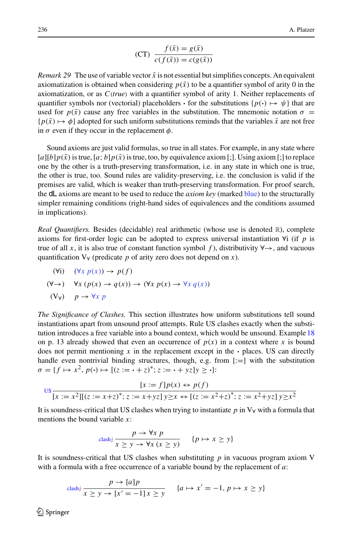$$
(CT) \frac{f(\bar{x}) = g(\bar{x})}{c(f(\bar{x})) = c(g(\bar{x}))}
$$

*Remark* 29 The use of variable vector  $\bar{x}$  is not essential but simplifies concepts. An equivalent axiomatization is obtained when considering  $p(\bar{x})$  to be a quantifier symbol of arity 0 in the axiomatization, or as *C*(*true*) with a quantifier symbol of arity 1. Neither replacements of quantifier symbols nor (vectorial) placeholders  $\cdot$  for the substitutions  $\{p(\cdot) \mapsto \psi\}$  that are used for  $p(\bar{x})$  cause any free variables in the substitution. The mnemonic notation  $\sigma =$  $\{p(\bar{x}) \mapsto \phi\}$  adopted for such uniform substitutions reminds that the variables  $\bar{x}$  are not free in  $\sigma$  even if they occur in the replacement  $\phi$ .

Sound axioms are just valid formulas, so true in all states. For example, in any state where  $[a][b]p(\bar{x})$  is true,  $[a; b]p(\bar{x})$  is true, too, by equivalence axiom [;]. Using axiom [;] to replace one by the other is a truth-preserving transformation, i.e. in any state in which one is true, the other is true, too. Sound rules are validity-preserving, i.e. the conclusion is valid if the premises are valid, which is weaker than truth-preserving transformation. For proof search, the dL axioms are meant to be used to reduce the *axiom key* (marked blue) to the structurally simpler remaining conditions (right-hand sides of equivalences and the conditions assumed in implications).

*Real Quantifiers.* Besides (decidable) real arithmetic (whose use is denoted R), complete axioms for first-order logic can be adopted to express universal instantiation ∀i (if *p* is true of all *x*, it is also true of constant function symbol f), distributivity  $\forall \rightarrow$ , and vacuous quantification  $V_\forall$  (predicate p of arity zero does not depend on x).

<span id="page-17-0"></span>
$$
(\forall i) \quad (\forall x \ p(x)) \to p(f)
$$
  

$$
(\forall \to) \quad \forall x \ (p(x) \to q(x)) \to (\forall x \ p(x) \to \forall x \ q(x))
$$
  

$$
(\forall \forall) \quad p \to \forall x \ p
$$

<span id="page-17-1"></span>*The Significance of Clashes.* This section illustrates how uniform substitutions tell sound instantiations apart from unsound proof attempts. Rule US clashes exactly when the substitution introduces a free variable into a bound context, which would be unsound. Example [18](#page-11-3) on p. 13 already showed that even an occurrence of  $p(x)$  in a context where x is bound does not permit mentioning  $x$  in the replacement except in the  $\cdot$  places. US can directly handle even nontrivial binding structures, though, e.g. from  $[:=]$  with the substitution  $\sigma = \{f \mapsto x^2, p(\cdot) \mapsto [(z := \cdot + z)^*; z := \cdot + yz]y \ge \cdot\}$ :

$$
\frac{[x := f]p(x) \leftrightarrow p(f)}{[x := x^2][(z := x + z)^*; z := x + yz]y \ge x \leftrightarrow [(z := x^2 + z)^*; z := x^2 + yz]y \ge x^2}
$$

It is soundness-critical that US clashes when trying to instantiate *p* in V<sup>∀</sup> with a formula that mentions the bound variable *x*:

$$
c \operatorname{lash}_{\mathcal{U}} \frac{p \to \forall x \ p}{x \ge y \to \forall x \ (x \ge y)} \qquad \{p \mapsto x \ge y\}
$$

It is soundness-critical that US clashes when substituting  $p$  in vacuous program axiom V with a formula with a free occurrence of a variable bound by the replacement of *a*:

$$
\operatorname{clash}_{\mathcal{I}} \frac{p \to [a]p}{x \ge y \to [x' = -1]x \ge y} \quad \{a \mapsto x' = -1, \, p \mapsto x \ge y\}
$$

 $\circledcirc$  Springer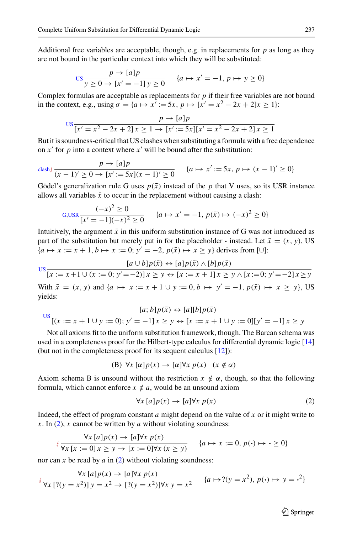Additional free variables are acceptable, though, e.g. in replacements for *p* as long as they are not bound in the particular context into which they will be substituted:

$$
\text{US} \frac{p \to [a]p}{y \ge 0 \to [x' = -1]y \ge 0} \quad \{a \mapsto x' = -1, p \mapsto y \ge 0\}
$$

Complex formulas are acceptable as replacements for *p* if their free variables are not bound in the context, e.g., using  $\sigma = \{a \mapsto x' := 5x, p \mapsto [x' = x^2 - 2x + 2]x \ge 1\}$ :

$$
\frac{p \to [a]p}{[x'=x^2 - 2x + 2]x \ge 1 \to [x':=5x][x'=x^2 - 2x + 2]x \ge 1}
$$

But it is soundness-critical that US clashes when substituting a formula with a free dependence on  $x'$  for  $p$  into a context where  $x'$  will be bound after the substitution:

 $\lim_{x \to a}$   $p \to [a]$ *p*  $\frac{1}{(x-1)^2 \ge 0}$   $\to$   $\frac{1}{x}$   $\frac{1}{x}$   $\frac{1}{x-1}$   $\frac{1}{x^2}$   $\to$   $\frac{1}{x^2}$   $\to$   $\frac{1}{x^2}$   $\to$   $\frac{1}{x-1}$   $\to$   $\frac{1}{x^2}$   $\to$   $\frac{1}{x^2}$   $\to$   $\frac{1}{x^2}$   $\to$   $\frac{1}{x^2}$   $\to$   $\frac{1}{x^2}$   $\to$   $\frac{1}{x^2}$ 

Gödel's generalization rule G uses  $p(\bar{x})$  instead of the p that V uses, so its USR instance allows all variables  $\bar{x}$  to occur in the replacement without causing a clash:

$$
G, \text{USR} \frac{(-x)^2 \ge 0}{[x' = -1](-x)^2 \ge 0} \qquad \{a \mapsto x' = -1, \, p(\bar{x}) \mapsto (-x)^2 \ge 0\}
$$

Intuitively, the argument  $\bar{x}$  in this uniform substitution instance of G was not introduced as part of the substitution but merely put in for the placeholder  $\cdot$  instead. Let  $\bar{x} = (x, y)$ , US {*a* → *x* := *x* + 1, *b* → *x* := 0;  $y' = -2$ ,  $p(\bar{x})$  →  $x \ge y$ } derives from [∪]:

$$
us \frac{[a \cup b]p(\bar{x}) \leftrightarrow [a]p(\bar{x}) \land [b]p(\bar{x})}{[x := x + 1 \cup (x := 0; y' = -2)]x \ge y \leftrightarrow [x := x + 1]x \ge y \land [x := 0; y' = -2]x \ge y}
$$

With  $\bar{x} = (x, y)$  and  $\{a \mapsto x := x + 1 \cup y := 0, b \mapsto y' = -1, p(\bar{x}) \mapsto x \ge y\}$ , US yields:

$$
\frac{[a;b]p(\bar{x}) \leftrightarrow [a][b]p(\bar{x})}{[(x := x + 1 \cup y := 0); y' = -1]x \ge y \leftrightarrow [x := x + 1 \cup y := 0][y' = -1]x \ge y}
$$

Not all axioms fit to the uniform substitution framework, though. The Barcan schema was used in a completeness proof for the Hilbert-type calculus for differential dynamic logic [\[14\]](#page-45-1) (but not in the completeness proof for its sequent calculus [\[12\]](#page-45-0)):

$$
(B) \ \forall x \ [\alpha] p(x) \to [\alpha] \forall x \ p(x) \quad (x \notin \alpha)
$$

Axiom schema B is unsound without the restriction  $x \notin \alpha$ , though, so that the following formula, which cannot enforce  $x \notin a$ , would be an unsound axiom

<span id="page-18-0"></span>
$$
\forall x [a] p(x) \rightarrow [a] \forall x p(x)
$$
 (2)

Indeed, the effect of program constant *a* might depend on the value of *x* or it might write to  $x$ . In [\(2\)](#page-18-0), *x* cannot be written by *a* without violating soundness:

$$
\forall x \ [a] p(x) \rightarrow [a] \forall x \ p(x)
$$
\n
$$
\{\forall x \ [x := 0] \ x \ge y \rightarrow [x := 0] \forall x \ (x \ge y) \qquad \{a \mapsto x := 0, \ p(\cdot) \mapsto \cdot \ge 0\}
$$

nor can *x* be read by  $\alpha$  in [\(2\)](#page-18-0) without violating soundness:

$$
\oint \frac{\forall x \left[ a \right] p(x) \rightarrow [a] \forall x \ p(x)}{\forall x \left[ ?(y = x^2) \right] y = x^2 \rightarrow [? (y = x^2)] \forall x \ y = x^2} \qquad \{a \mapsto ?(y = x^2), \ p(\cdot) \mapsto y = \cdot^2\}
$$

 $\circled{2}$  Springer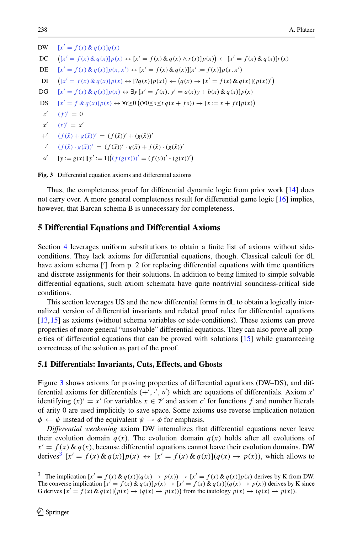<span id="page-19-12"></span><span id="page-19-11"></span><span id="page-19-10"></span><span id="page-19-9"></span><span id="page-19-8"></span>DW [*x*- $[x' = f(x) \& q(x)]q(x)$  $DC$  $([x' = f(x) \& q(x)]p(x) \leftrightarrow [x' = f(x) \& q(x) \land r(x)]p(x)) \leftarrow [x' = f(x) \& q(x)]r(x)$ DE  $[x' = f(x) \& q(x)]p(x, x') \leftrightarrow [x' = f(x) \& q(x)][x' := f(x)]p(x, x')$  $DI$  $([x' = f(x) \& q(x)]p(x) \leftrightarrow [?q(x)]p(x)) \leftarrow (q(x) \rightarrow [x' = f(x) \& q(x)](p(x))')$ DG  $[x' = f(x) \& q(x)]p(x) \leftrightarrow \exists y [x' = f(x), y' = a(x)y + b(x) \& q(x)]p(x)$ DS  $[x' = f & q(x)]p(x) \leftrightarrow \forall t \ge 0 ((\forall 0 ≤ s ≤ t q(x + fs)) \rightarrow [x := x + ft]p(x))$ *c*- $' (f)' = 0$ *x*- $(x)' = x'$  $+^{\prime}$  $(f(\bar{x}) + g(\bar{x}))' = (f(\bar{x}))' + (g(\bar{x}))'$  $\cdot$ <sup>'</sup>  $f' = (f(\bar{x}) \cdot g(\bar{x}))' = (f(\bar{x}))' \cdot g(\bar{x}) + f(\bar{x}) \cdot (g(\bar{x}))'$  $\circ'$  $[y := g(x)][y' := 1]((f(g(x)))' = (f(y))' \cdot (g(x))')$ 

<span id="page-19-7"></span><span id="page-19-6"></span><span id="page-19-5"></span><span id="page-19-4"></span><span id="page-19-3"></span><span id="page-19-1"></span>**Fig. 3** Differential equation axioms and differential axioms

Thus, the completeness proof for differential dynamic logic from prior work [\[14](#page-45-1)] does not carry over. A more general completeness result for differential game logic [\[16](#page-45-4)] implies, however, that Barcan schema B is unnecessary for completeness.

#### <span id="page-19-0"></span>**5 Differential Equations and Differential Axioms**

Section [4](#page-16-0) leverages uniform substitutions to obtain a finite list of axioms without sideconditions. They lack axioms for differential equations, though. Classical calculi for dL have axiom schema ['] from p. 2 for replacing differential equations with time quantifiers and discrete assignments for their solutions. In addition to being limited to simple solvable differential equations, such axiom schemata have quite nontrivial soundness-critical side conditions.

This section leverages US and the new differential forms in  $dL$  to obtain a logically internalized version of differential invariants and related proof rules for differential equations [\[13,](#page-45-9)[15](#page-45-10)] as axioms (without schema variables or side-conditions). These axioms can prove properties of more general "unsolvable" differential equations. They can also prove all properties of differential equations that can be proved with solutions [\[15](#page-45-10)] while guaranteeing correctness of the solution as part of the proof.

#### **5.1 Differentials: Invariants, Cuts, Effects, and Ghosts**

Figure [3](#page-19-1) shows axioms for proving properties of differential equations (DW–DS), and differential axioms for differentials  $(+', ', \circ')$  which are equations of differentials. Axiom  $x'$ identifying  $(x)' = x'$  for variables  $x \in \mathcal{V}$  and axiom *c'* for functions *f* and number literals of arity 0 are used implicitly to save space. Some axioms use reverse implication notation  $\phi \leftarrow \psi$  instead of the equivalent  $\psi \rightarrow \phi$  for emphasis.

*Differential weakening* axiom DW internalizes that differential equations never leave their evolution domain  $q(x)$ . The evolution domain  $q(x)$  holds after all evolutions of  $x' = f(x) \& q(x)$ , because differential equations cannot leave their evolution domains. DW derives<sup>3</sup>  $[x' = f(x) \& q(x)]p(x) \leftrightarrow [x' = f(x) \& q(x)](q(x) \rightarrow p(x))$ , which allows to

<span id="page-19-13"></span><span id="page-19-2"></span><sup>&</sup>lt;sup>3</sup> The implication  $[x' = f(x) \& q(x)](q(x) \rightarrow p(x)) \rightarrow [x' = f(x) \& q(x)]p(x)$  derives by K from DW. The converse implication  $[x' = f(x) \& q(x)]p(x) \rightarrow [x' = f(x) \& q(x)](q(x) \rightarrow p(x))$  derives by K since G derives  $[x' = f(x) \& q(x)](p(x) \rightarrow (q(x) \rightarrow p(x)))$  from the tautology  $p(x) \rightarrow (q(x) \rightarrow p(x))$ .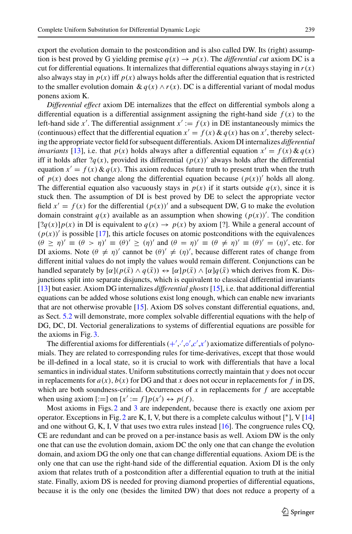export the evolution domain to the postcondition and is also called DW. Its (right) assumption is best proved by G yielding premise  $q(x) \rightarrow p(x)$ . The *differential cut* axiom DC is a cut for differential equations. It internalizes that differential equations always staying in  $r(x)$ also always stay in  $p(x)$  iff  $p(x)$  always holds after the differential equation that is restricted to the smaller evolution domain  $\& q(x) \wedge r(x)$ . DC is a differential variant of modal modus ponens axiom K.

*Differential effect* axiom DE internalizes that the effect on differential symbols along a differential equation is a differential assignment assigning the right-hand side  $f(x)$  to the left-hand side *x'*. The differential assignment  $x' := f(x)$  in DE instantaneously mimics the (continuous) effect that the differential equation  $x' = f(x) \& q(x)$  has on  $x'$ , thereby selecting the appropriate vector field for subsequent differentials. Axiom DI internalizes *differential invariants* [\[13](#page-45-9)], i.e. that  $p(x)$  holds always after a differential equation  $x' = f(x) \& q(x)$ iff it holds after  $?q(x)$ , provided its differential  $(p(x))'$  always holds after the differential equation  $x' = f(x) \& q(x)$ . This axiom reduces future truth to present truth when the truth of  $p(x)$  does not change along the differential equation because  $(p(x))'$  holds all along. The differential equation also vacuously stays in  $p(x)$  if it starts outside  $q(x)$ , since it is stuck then. The assumption of DI is best proved by DE to select the appropriate vector field  $x' = f(x)$  for the differential  $(p(x))'$  and a subsequent DW, G to make the evolution domain constraint  $q(x)$  available as an assumption when showing  $(p(x))'$ . The condition  $[?q(x)]p(x)$  in DI is equivalent to  $q(x) \rightarrow p(x)$  by axiom [?]. While a general account of  $(p(x))'$  is possible [\[17](#page-45-17)], this article focuses on atomic postconditions with the equivalences  $(\theta \ge \eta)' \equiv (\theta > \eta)' \equiv (\theta)' \ge (\eta)'$  and  $(\theta = \eta)' \equiv (\theta \ne \eta)' \equiv (\theta)' = (\eta)'$ , etc. for DI axioms. Note  $(\theta \neq \eta)'$  cannot be  $(\theta)' \neq (\eta)'$ , because different rates of change from different initial values do not imply the values would remain different. Conjunctions can be handled separately by  $[\alpha](p(\bar{x}) \wedge q(\bar{x})) \leftrightarrow [\alpha]p(\bar{x}) \wedge [\alpha]q(\bar{x})$  which derives from K. Disjunctions split into separate disjuncts, which is equivalent to classical differential invariants [\[13\]](#page-45-9) but easier. Axiom DG internalizes *differential ghosts* [\[15\]](#page-45-10), i.e. that additional differential equations can be added whose solutions exist long enough, which can enable new invariants that are not otherwise provable [\[15\]](#page-45-10). Axiom DS solves constant differential equations, and, as Sect. [5.2](#page-21-0) will demonstrate, more complex solvable differential equations with the help of DG, DC, DI. Vectorial generalizations to systems of differential equations are possible for the axioms in Fig. [3.](#page-19-1)

The differential a[x](#page-19-7)ioms for differentials  $(+',',\circ',c',x')$  $(+',',\circ',c',x')$  $(+',',\circ',c',x')$  axiomatize differentials of polynomials. They are related to corresponding rules for time-derivatives, except that those would be ill-defined in a local state, so it is crucial to work with differentials that have a local semantics in individual states. Uniform substitutions correctly maintain that *y* does not occur in replacements for  $a(x)$ ,  $b(x)$  for DG and that *x* does not occur in replacements for *f* in DS, which are both soundness-critical. Occurrences of *x* in replacements for *f* are acceptable when using axiom  $[:=]$  on  $[x' := f]p(x') \leftrightarrow p(f)$ .

Most axioms in Figs. [2](#page-16-2) and [3](#page-19-1) are independent, because there is exactly one axiom per operator. Exceptions in Fig. [2](#page-16-2) are K, I, V, but there is a complete calculus without  $[$ <sup>\*</sup> $]$ , V  $[14]$ and one without G, K, I, V that uses two extra rules instead [\[16\]](#page-45-4). The congruence rules CQ, CE are redundant and can be proved on a per-instance basis as well. Axiom DW is the only one that can use the evolution domain, axiom DC the only one that can change the evolution domain, and axiom DG the only one that can change differential equations. Axiom DE is the only one that can use the right-hand side of the differential equation. Axiom DI is the only axiom that relates truth of a postcondition after a differential equation to truth at the initial state. Finally, axiom DS is needed for proving diamond properties of differential equations, because it is the only one (besides the limited DW) that does not reduce a property of a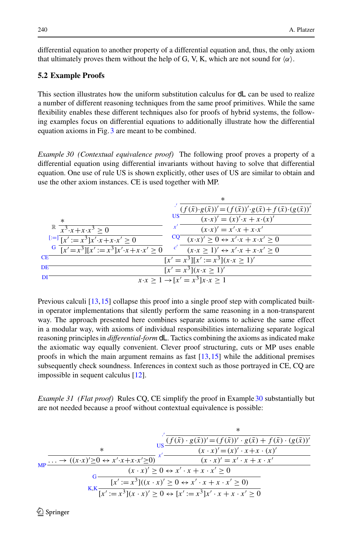differential equation to another property of a differential equation and, thus, the only axiom that ultimately proves them without the help of G, V, K, which are not sound for  $\langle \alpha \rangle$ .

#### <span id="page-21-0"></span>**5.2 Example Proofs**

This section illustrates how the uniform substitution calculus for dL can be used to realize a number of different reasoning techniques from the same proof primitives. While the same flexibility enables these different techniques also for proofs of hybrid systems, the following examples focus on differential equations to additionally illustrate how the differential equation axioms in Fig. [3](#page-19-1) are meant to be combined.

<span id="page-21-1"></span>*Example 30 (Contextual equivalence proof)* The following proof proves a property of a differential equation using differential invariants without having to solve that differential equation. One use of rule US is shown explicitly, other uses of US are similar to obtain and use the other axiom instances. CE is used together with MP.

|                                                                               | *                                                                                               |
|-------------------------------------------------------------------------------|-------------------------------------------------------------------------------------------------|
|                                                                               | $(f(\bar{x})\cdot g(\bar{x}))' = (f(\bar{x}))'\cdot g(\bar{x}) + f(\bar{x})\cdot (g(\bar{x}))'$ |
| $\ast$                                                                        | US<br>$(x \cdot x)' = (x)' \cdot x + \overline{x \cdot (x)'}$                                   |
| $x^3 \cdot x + x \cdot x^3 > 0$                                               | $(x \cdot x)' = x' \cdot x + x \cdot x'$                                                        |
| $[:=]$ $\overline{[x]}: = x^3 \overline{[x' \cdot x + x \cdot x]} \ge 0$      | $\frac{CQ}{(x \cdot x)}$ $(0 \leftrightarrow x' \cdot x + x \cdot x' > 0$                       |
| G $\sqrt{x^2 - x^3}$ $\sqrt{x^2 - x^3}$ $\sqrt{x^2 - x^3}$ $\sqrt{x^2 - x^3}$ | $(x \cdot x \geq 1)' \leftrightarrow x' \cdot x + x \cdot x' \geq 0$                            |
| CE                                                                            | $[x' = x^3][x' := x^3](x \cdot x > 1)'$                                                         |
| DE                                                                            | $\sqrt{x' = x^3(x \cdot x > 1)' }$                                                              |
| ÐI                                                                            | $x \cdot x > 1 \rightarrow [x' = x^3]x \cdot x > 1$                                             |

Previous calculi [\[13](#page-45-9)[,15\]](#page-45-10) collapse this proof into a single proof step with complicated builtin operator implementations that silently perform the same reasoning in a non-transparent way. The approach presented here combines separate axioms to achieve the same effect in a modular way, with axioms of individual responsibilities internalizing separate logical reasoning principles in *differential-form* dL. Tactics combining the axioms as indicated make the axiomatic way equally convenient. Clever proof structuring, cuts or MP uses enable proofs in which the main argument remains as fast [\[13,](#page-45-9)[15](#page-45-10)] while the additional premises subsequently check soundness. Inferences in context such as those portrayed in CE, CQ are impossible in sequent calculus [\[12\]](#page-45-0).

<span id="page-21-2"></span>*Example 31 (Flat proof)* Rules CQ, CE simplify the proof in Example [30](#page-21-1) substantially but are not needed because a proof without contextual equivalence is possible:

$$
\begin{array}{cccc}\n & & & & & \\
 & & & & & \n\frac{\sqrt{x}}{(f(\bar{x}) \cdot g(\bar{x}))' = (f(\bar{x}))' \cdot g(\bar{x}) + f(\bar{x}) \cdot (g(\bar{x}))' \cdot g(\bar{x}))'}{(x \cdot x)' = (x)' \cdot x + x \cdot (x)' \\
 & & & & (x \cdot x)' = (x)' \cdot x + x \cdot (x)' \\
 & & & & (x \cdot x)' \ge 0 \leftrightarrow x' \cdot x + x \cdot x' \ge 0 \\
 & & & & (x \cdot x)' \ge 0 \leftrightarrow x' \cdot x + x \cdot x' \ge 0 \\
 & & & & (x \cdot x)' \ge 0 \leftrightarrow x' \cdot x + x \cdot x' \ge 0 \\
 & & & & (x \cdot x)' = x^3 \cdot x \\
 & & & & (x \cdot x)' \ge 0 \leftrightarrow x' \cdot x + x \cdot x' \ge 0\n\end{array}
$$

 $\circledcirc$  Springer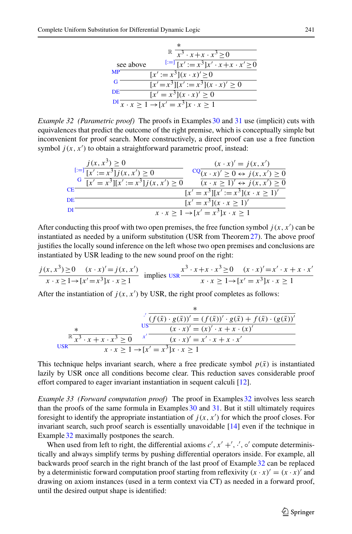|           | $^{\ast}$                                                                                                                                                                                                                                                                                                                                                                                                                   |
|-----------|-----------------------------------------------------------------------------------------------------------------------------------------------------------------------------------------------------------------------------------------------------------------------------------------------------------------------------------------------------------------------------------------------------------------------------|
|           | $x^3$ $\cdot x + x \cdot x^3 > 0$                                                                                                                                                                                                                                                                                                                                                                                           |
| see above | $x^i := \sqrt{x}$ $\overline{x}$ $\overline{x}$ $\overline{x}$ $\overline{x}$ $\overline{x}$ $\overline{x}$ $\overline{x}$ $\overline{x}$ $\overline{x}$ $\overline{x}$ $\overline{x}$ $\overline{x}$ $\overline{x}$ $\overline{x}$ $\overline{x}$ $\overline{x}$ $\overline{x}$ $\overline{x}$ $\overline{x}$ $\overline{x}$ $\overline{x}$ $\overline{x}$ $\overline{x}$ $\overline{x}$ $\overline{x}$ $\overline{x}$ $\$ |
| MP        | $[x' := x^3](x \cdot x)' \ge 0$                                                                                                                                                                                                                                                                                                                                                                                             |
| G         | $[x' = x^3][x' := x^3](x \cdot x)' > 0$                                                                                                                                                                                                                                                                                                                                                                                     |
| DE        | $\sqrt{x'} = x^3(x \cdot x)' \ge 0$                                                                                                                                                                                                                                                                                                                                                                                         |
|           | $\frac{1}{x}$ $\cdot x > 1 \rightarrow [x' = x^3]$ $x \cdot x \ge 1$                                                                                                                                                                                                                                                                                                                                                        |

<span id="page-22-0"></span>*Example 32 (Parametric proof)* The proofs in Examples [30](#page-21-1) and [31](#page-21-2) use (implicit) cuts with equivalences that predict the outcome of the right premise, which is conceptually simple but inconvenient for proof search. More constructively, a direct proof can use a free function symbol  $j(x, x')$  to obtain a straightforward parametric proof, instead:

$$
\frac{j(x, x^{3}) \geq 0}{G [x' := x^{3}](x, x') \geq 0} \qquad \frac{(x \cdot x)' = j(x, x')}{(x' := x^{3}](x', x') \geq 0} \qquad \frac{CQ(x \cdot x)' \geq 0 \leftrightarrow j(x, x') \geq 0}{(x \cdot x \geq 1)' \leftrightarrow j(x, x') \geq 0}
$$
\nCE\n
$$
\frac{[x' = x^{3}][x' := x^{3}](x \cdot x \geq 1)'}{[x' = x^{3}](x \cdot x \geq 1)'}
$$
\nDIF\n
$$
x \cdot x \geq 1 \rightarrow [x' = x^{3}](x \cdot x \geq 1)
$$

After conducting this proof with two open premises, the free function symbol  $j(x, x')$  can be instantiated as needed by a uniform substitution (USR from Theorem[27\)](#page-15-0). The above proof justifies the locally sound inference on the left whose two open premises and conclusions are instantiated by USR leading to the new sound proof on the right:

$$
\frac{j(x, x^3) \ge 0 \quad (x \cdot x)' = j(x, x')}{x \cdot x \ge 1 \to [x' = x^3]x \cdot x \ge 1} \text{ implies } \frac{x^3 \cdot x + x \cdot x^3 \ge 0 \quad (x \cdot x)' = x' \cdot x + x \cdot x'}{x \cdot x \ge 1 \to [x' = x^3]x \cdot x \ge 1}
$$

After the instantiation of  $j(x, x')$  by USR, the right proof completes as follows:

$$
\frac{\frac{\ast}{\sqrt{\left(f(\bar{x}) \cdot g(\bar{x})\right)' = (f(\bar{x}))' \cdot g(\bar{x}) + f(\bar{x}) \cdot (g(\bar{x}))'}}{\frac{\text{us}}{\sqrt{\left(x \cdot x\right)' = (x') \cdot x + x \cdot (x)'} \cdot x + x \cdot (x')}}{\frac{\text{us}}{\sqrt{\left(x \cdot x\right)' = (x') \cdot x + x \cdot (x')}}}
$$
\n
$$
\frac{\frac{\ast}{\sqrt{\left(x \cdot x\right)' = (x' \cdot x + x \cdot (x')}}}{\frac{\cdot}{\sqrt{\left(x \cdot x\right)' = x' \cdot x + x \cdot x'}}}{\frac{\cdot}{\sqrt{\left(x \cdot x\right)' = x^3}}}
$$

This technique helps invariant search, where a free predicate symbol  $p(\bar{x})$  is instantiated lazily by USR once all conditions become clear. This reduction saves considerable proof effort compared to eager invariant instantiation in sequent calculi [\[12](#page-45-0)].

<span id="page-22-1"></span>*Example 33 (Forward computation proof)* The proof in Examples [32](#page-22-0) involves less search than the proofs of the same formula in Examples [30](#page-21-1) and [31.](#page-21-2) But it still ultimately requires foresight to identify the appropriate instantiation of  $j(x, x')$  for which the proof closes. For invariant search, such proof search is essentially unavoidable [\[14\]](#page-45-1) even if the technique in Example [32](#page-22-0) maximally postpones the search.

When used from left to right, the differential axioms  $c', x' + ', \cdot', \circ'$  compute deterministically and always simplify terms by pushing differential operators inside. For example, all backwards proof search in the right branch of the last proof of Example [32](#page-22-0) can be replaced by a deterministic forward computation proof starting from reflexivity  $(x \cdot x)' = (x \cdot x)'$  and drawing on axiom instances (used in a term context via CT) as needed in a forward proof, until the desired output shape is identified: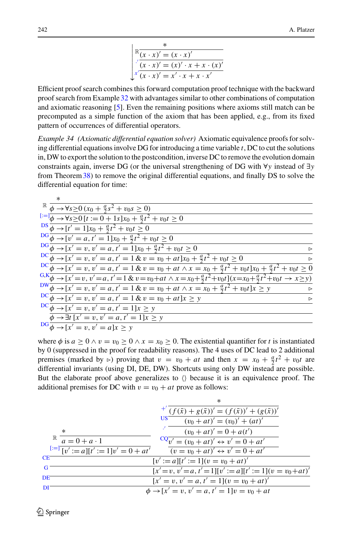$$
\begin{array}{l}\n\mathbb{R}\frac{\pi}{(x \cdot x)' = (x \cdot x)'} \\
\int_{0}^{\infty} \frac{(x \cdot x)' = (x')' \cdot x + x \cdot (x)'}{(x \cdot x)' = x' \cdot x + x \cdot x'}\n\end{array}
$$

Efficient proof search combines this forward computation proof technique with the backward proof search from Example [32](#page-22-0) with advantages similar to other combinations of computation and axiomatic reasoning [\[5](#page-45-18)]. Even the remaining positions where axioms still match can be precomputed as a simple function of the axiom that has been applied, e.g., from its fixed pattern of occurrences of differential operators.

*Example 34 (Axiomatic differential equation solver)* Axiomatic equivalence proofs for solving differential equations involve DG for introducing a time variable *t*, DC to cut the solutions in, DW to export the solution to the postcondition, inverse DC to remove the evolution domain constraints again, inverse DG (or the universal strengthening of DG with ∀*y* instead of ∃*y* from Theorem[38\)](#page-25-1) to remove the original differential equations, and finally DS to solve the differential equation for time:

| $\mathbb{R} \overline{\phi \rightarrow \forall s \geq 0 (x_0 + \frac{a}{2}s^2 + v_0 s \geq 0)}$                                                 |                  |
|-------------------------------------------------------------------------------------------------------------------------------------------------|------------------|
| $[:=]\phi \rightarrow \forall s \ge 0 \ [t := 0 + 1s]x_0 + \frac{a}{2}t^2 + v_0t \ge 0$                                                         |                  |
| $\frac{DS}{\phi} \rightarrow [t' = 1]x_0 + \frac{a}{2}t^2 + v_0t \ge 0$                                                                         |                  |
| $DG \overline{\phi} \rightarrow [v' = a, t' = 1]x_0 + \frac{a}{2}t^2 + v_0t \ge 0$                                                              |                  |
| $DG \overline{\phi} \rightarrow [x' = v, v' = a, t' = 1]x_0 + \frac{a}{2}t^2 + v_0t \ge 0$                                                      |                  |
| $\frac{DC}{\phi} \rightarrow [x' = v, v' = a, t' = 1 \& v = v_0 + at]x_0 + \frac{a}{2}t^2 + v_0t \ge 0$                                         |                  |
| $\frac{DC}{\phi \to [x' = v, v' = a, t' = 1 \& v = v_0 + at \land x = x_0 + \frac{a}{2}t^2 + v_0t]x_0 + \frac{a}{2}t^2 + v_0t \ge 0$            |                  |
| $F_{0,0}^{G,K}\phi \rightarrow [x'=v, v'=a, t'=1 \& v=v_0+at \wedge x=x_0+\frac{a}{2}t^2+v_0t](x=x_0+\frac{a}{2}t^2+v_0t \rightarrow x \geq y)$ |                  |
| $\frac{DW}{\phi} \to [x' = v, v' = a, t' = 1 \& v = v_0 + at \wedge x = x_0 + \frac{a}{2}t^2 + v_0t]x \geq y$                                   |                  |
| $DC \overline{\phi \rightarrow [x' = v, v' = a, t' = 1 \& v = v_0 + at]x \geq y}$                                                               | $\triangleright$ |
| $DC\overline{\phi} \rightarrow [x' = v, v' = a, t' = 1]x \geq y$                                                                                |                  |
| $\phi \rightarrow \exists t$ [x' = v, v' = a, t' = 1]x > y                                                                                      |                  |
| $\overline{\mathrm{DG}}\overline{\phi\rightarrow [x'=v,v'=a]x\geq y}$                                                                           |                  |

where  $\phi$  is  $a \ge 0 \land v = v_0 \ge 0 \land x = x_0 \ge 0$ . The existential quantifier for *t* is instantiated by 0 (suppressed in the proof for readability reasons). The 4 uses of DC lead to 2 additional premises (marked by  $\triangleright$ ) proving that  $v = v_0 + at$  and then  $x = x_0 + \frac{a}{2}t^2 + v_0t$  are differential invariants (using DI, DE, DW). Shortcuts using only DW instead are possible. But the elaborate proof above generalizes to  $\langle \rangle$  because it is an equivalence proof. The additional premises for DC with  $v = v_0 + at$  prove as follows:

|           | $\ast$                                                                                                        |  |
|-----------|---------------------------------------------------------------------------------------------------------------|--|
|           | <sup>+'</sup> $(f(\bar{x}) + g(\bar{x}))' = (f(\bar{x}))' + (g(\bar{x}))'$                                    |  |
|           | US.<br>$(v_0 + at)' = (v_0)' + (at)'$                                                                         |  |
|           | $(v_0 + at)' = 0 + a(t')$<br>$\ast$                                                                           |  |
|           | $\mathbb{R} \quad \overline{a} = 0 + a \cdot 1$<br>$\frac{CQ}{v'} = (v_0 + at)' \leftrightarrow v' = 0 + at'$ |  |
|           | $[:=]$ $[v' := a][t' := 1]v' = 0 + at'$<br>$(v = v_0 + at)' \leftrightarrow v' = 0 + at'$                     |  |
| <b>CE</b> | $[v' := a][t' := 1](v = v_0 + at)'$                                                                           |  |
| G         | $[x'=v, v'=a, t'=1][v':=a][t':=1](v=v_0+at)'$                                                                 |  |
| DE        | $[x' = v, v' = a, t' = 1](v = v_0 + at)'$                                                                     |  |
| ÐI        | $\phi \rightarrow [x' = v, v' = a, t' = 1]v = v_0 + at$                                                       |  |
|           |                                                                                                               |  |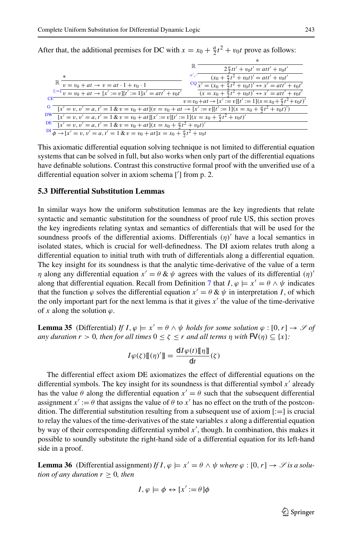|                                                                                                                                      | $2\frac{a}{2}tt' + v_0t' = att' + v_0t'$                                         |
|--------------------------------------------------------------------------------------------------------------------------------------|----------------------------------------------------------------------------------|
| $*$                                                                                                                                  | <sup>+','</sup> $(x_0 + \frac{a}{2}t^2 + v_0t)' = att' + v_0t'$                  |
| $\mathbb{R} \overline{v = v_0 + at} \rightarrow v = at \cdot 1 + v_0 \cdot 1$                                                        | $CQ \over x' = (x_0 + \frac{a}{2}t^2 + v_0t)' \leftrightarrow x' = att' + v_0t'$ |
| $\sqrt{t} = v_0 + at \rightarrow [x' := v][t' := 1]x' = att' + v_0t'$                                                                | $(x = x_0 + \frac{a}{2}t^2 + v_0t)' \leftrightarrow x' = att' + v_0t'$           |
| CE                                                                                                                                   | $v = v_0 + at \rightarrow [x' := v][t' := 1](x = x_0 + \frac{a}{2}t^2 + v_0t)'$  |
| $\frac{d}{dx}(x' = v, v' = a, t' = 1 \& v = v_0 + at](v = v_0 + at \rightarrow [x' := v][t' := 1](x = x_0 + \frac{a}{2}t^2 + v_0t')$ |                                                                                  |
| $\frac{DW}{dx}[x' = v, v' = a, t' = 1 \& v = v_0 + at][x' := v][t' := 1](x = x_0 + \frac{a}{2}t^2 + v_0t)'$                          |                                                                                  |
| DE $[x' = v, v' = a, t' = 1 & v = v_0 + at](x = x_0 + \frac{a}{2}t^2 + v_0t)'$                                                       |                                                                                  |
| $\frac{d}{dx} \frac{d}{dx} + \frac{1}{2}x' = v, v' = a, t' = 1 \& v = v_0 + at \,  x = x_0 + \frac{a}{2}t^2 + v_0t'$                 |                                                                                  |
|                                                                                                                                      |                                                                                  |

After that, the additional premises for DC with  $x = x_0 + \frac{a}{2}t^2 + v_0t$  prove as follows:

This axiomatic differential equation solving technique is not limited to differential equation systems that can be solved in full, but also works when only part of the differential equations have definable solutions. Contrast this constructive formal proof with the unverified use of a differential equation solver in axiom schema ['] from p. 2.

#### **5.3 Differential Substitution Lemmas**

In similar ways how the uniform substitution lemmas are the key ingredients that relate syntactic and semantic substitution for the soundness of proof rule US, this section proves the key ingredients relating syntax and semantics of differentials that will be used for the soundness proofs of the differential axioms. Differentials  $(\eta)'$  have a local semantics in isolated states, which is crucial for well-definedness. The DI axiom relates truth along a differential equation to initial truth with truth of differentials along a differential equation. The key insight for its soundness is that the analytic time-derivative of the value of a term *η* along any differential equation  $x' = \theta \& \psi$  agrees with the values of its differential  $(\eta)$ along that differential equation. Recall from Definition [7](#page-5-2) that  $I, \varphi \models x' = \theta \land \psi$  indicates that the function  $\varphi$  solves the differential equation  $x' = \theta \& \psi$  in interpretation *I*, of which the only important part for the next lemma is that it gives  $x'$  the value of the time-derivative of x along the solution  $\varphi$ .

<span id="page-24-0"></span>**Lemma 35** (Differential) *If*  $I, \varphi \models x' = \theta \land \psi$  *holds for some solution*  $\varphi : [0, r] \rightarrow \mathcal{S}$  *of any duration r* > 0*, then for all times*  $0 < \zeta < r$  *and all terms n with*  $\mathsf{FV}(n) \subseteq \{x\}$ *:* 

$$
I\varphi(\zeta)\mathbb{I}(\eta)'\mathbb{I}=\frac{\mathrm{d}I\varphi(t)\mathbb{I}\eta\mathbb{I}}{\mathrm{d}t}(\zeta)
$$

The differential effect axiom DE axiomatizes the effect of differential equations on the differential symbols. The key insight for its soundness is that differential symbol  $x'$  already has the value  $\theta$  along the differential equation  $x' = \theta$  such that the subsequent differential assignment  $x' := \theta$  that assigns the value of  $\theta$  to  $x'$  has no effect on the truth of the postcondition. The differential substitution resulting from a subsequent use of axiom  $[:=]$  is crucial to relay the values of the time-derivatives of the state variables *x* along a differential equation by way of their corresponding differential symbol x', though. In combination, this makes it possible to soundly substitute the right-hand side of a differential equation for its left-hand side in a proof.

<span id="page-24-1"></span>**Lemma 36** (Differential assignment) *If*  $I, \varphi \models x' = \theta \land \psi$  *where*  $\varphi : [0, r] \rightarrow \mathcal{S}$  *is a solution of any duration*  $r > 0$ *, then* 

$$
I, \varphi \models \phi \leftrightarrow [x' := \theta] \phi
$$

 $\circled{2}$  Springer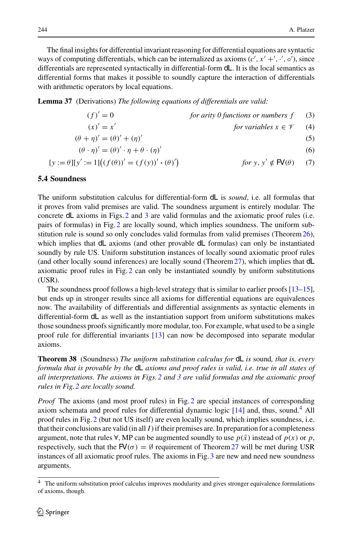The final insights for differential invariant reasoning for differential equations are syntactic ways of computing differentials, which can be internalized as axioms  $(c', x' + ', \cdot', \circ')$ , since differentials are represented syntactically in differential-form dL. It is the local semantics as differential forms that makes it possible to soundly capture the interaction of differentials with arithmetic operators by local equations.

<span id="page-25-0"></span>**Lemma 37** (Derivations) *The following equations of differentials are valid:*

<span id="page-25-7"></span><span id="page-25-6"></span><span id="page-25-5"></span><span id="page-25-4"></span><span id="page-25-3"></span>
$$
(f)' = 0
$$
 for arity 0 functions or numbers f (3)

$$
(x)' = x'
$$
 for variables  $x \in \mathcal{V}$  (4)

$$
(\theta + \eta)' = (\theta)' + (\eta)'
$$
  
\n
$$
(\theta \cdot \eta)' = (\theta)' \cdot \eta + \theta \cdot (\eta)'
$$
  
\n(5)

$$
[y := \theta][y' := 1] \big( (f(\theta))' = (f(y))' \cdot (\theta)'\big) \qquad \text{for } y, y' \notin \mathbf{P} \mathbf{V}(\theta) \tag{7}
$$

#### **5.4 Soundness**

The uniform substitution calculus for differential-form dL is *sound*, i.e. all formulas that it proves from valid premises are valid. The soundness argument is entirely modular. The concrete dL axioms in Figs. [2](#page-16-2) and [3](#page-19-1) are valid formulas and the axiomatic proof rules (i.e. pairs of formulas) in Fig. [2](#page-16-2) are locally sound, which implies soundness. The uniform sub-stitution rule is sound so only concludes valid formulas from valid premises (Theorem [26\)](#page-14-1), which implies that dL axioms (and other provable dL formulas) can only be instantiated soundly by rule US. Uniform substitution instances of locally sound axiomatic proof rules (and other locally sound inferences) are locally sound (Theorem[27\)](#page-15-0), which implies that dL axiomatic proof rules in Fig. [2](#page-16-2) can only be instantiated soundly by uniform substitutions (USR).

The soundness proof follows a high-level strategy that is similar to earlier proofs [\[13](#page-45-9)[–15\]](#page-45-10), but ends up in stronger results since all axioms for differential equations are equivalences now. The availability of differentials and differential assignments as syntactic elements in differential-form dL as well as the instantiation support from uniform substitutions makes those soundness proofs significantly more modular, too. For example, what used to be a single proof rule for differential invariants [\[13](#page-45-9)] can now be decomposed into separate modular axioms.

<span id="page-25-1"></span>**Theorem 38** (Soundness) *The uniform substitution calculus for* dL *is* sound*, that is, every formula that is provable by the* dL *axioms and proof rules is valid, i.e. true in all states of all interpretations. The axioms in Figs[.2](#page-16-2) and [3](#page-19-1) are valid formulas and the axiomatic proof rules in Fig[.2](#page-16-2) are locally sound.*

*Proof* The axioms (and most proof rules) in Fig. [2](#page-16-2) are special instances of corresponding axiom schemata and proof rules for differential dynamic logic  $[14]$  and, thus, sound.<sup>4</sup> All proof rules in Fig. [2](#page-16-2) (but not US itself) are even locally sound, which implies soundness, i.e. that their conclusions are valid (in all  $I$ ) if their premises are. In preparation for a completeness argument, note that rules  $\forall$ , MP can be augmented soundly to use  $p(\bar{x})$  instead of  $p(x)$  or  $p$ , respectively, such that the  $\mathsf{F}V(\sigma) = \emptyset$  requirement of Theorem [27](#page-15-0) will be met during USR instances of all axiomatic proof rules. The axioms in Fig. [3](#page-19-1) are new and need new soundness arguments.

<span id="page-25-2"></span>The uniform substitution proof calculus improves modularity and gives stronger equivalence formulations of axioms, though.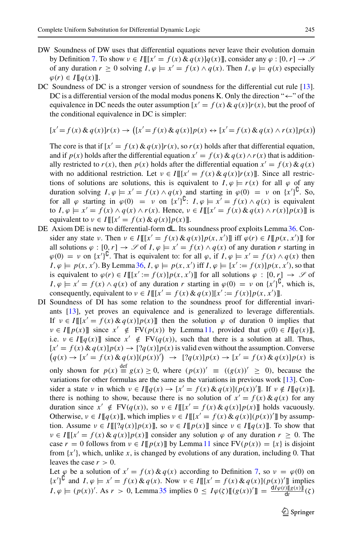- DW Soundness of DW uses that differential equations never leave their evolution domain by Definition [7.](#page-5-2) To show  $v \in I[[[x] = f(x) \& q(x)]q(x)]$ , consider any  $\varphi : [0, r] \to \mathcal{S}$ of any duration  $r \ge 0$  solving  $I, \varphi \models x' = f(x) \land q(x)$ . Then  $I, \varphi \models q(x)$  especially  $\varphi(r)$  ∈ *I*  $\llbracket q(x) \rrbracket$ .
- DC Soundness of DC is a stronger version of soundness for the differential cut rule [\[13\]](#page-45-9). DC is a differential version of the modal modus ponens K. Only the direction " $\leftarrow$ " of the equivalence in DC needs the outer assumption  $[x' = f(x) \& q(x)]r(x)$ , but the proof of the conditional equivalence in DC is simpler:

$$
[x'=f(x) \& q(x)]r(x) \rightarrow ([x'=f(x) \& q(x)]p(x) \leftrightarrow [x'=f(x) \& q(x) \land r(x)]p(x))
$$

The core is that if  $[x' = f(x) \& q(x)]r(x)$ , so  $r(x)$  holds after that differential equation, and if  $p(x)$  holds after the differential equation  $x' = f(x) \& q(x) \land r(x)$  that is additionally restricted to  $r(x)$ , then  $p(x)$  holds after the differential equation  $x' = f(x) \& q(x)$ with no additional restriction. Let  $v \in I[[[x] = f(x) \& q(x)]r(x)]$ . Since all restrictions of solutions are solutions, this is equivalent to  $I, \varphi \models r(x)$  for all  $\varphi$  of any duration solving  $I, \varphi \models x' = f(x) \land q(x)$  and starting in  $\varphi(0) = \nu$  on  $\{x'\}^{\mathsf{U}}$ . So, for all  $\varphi$  starting in  $\varphi(0) = \nu$  on  $\{x'\}^{\mathsf{U}}$ :  $I, \varphi \models x' = f(x) \land q(x)$  is equivalent to  $I, \varphi \models x' = f(x) \land q(x) \land r(x)$ . Hence,  $v \in I[[[x' = f(x) \& q(x) \land r(x)] p(x)]]$  is equivalent to  $v \in I[[[x] = f(x) \& q(x)] p(x)]$ .

- DE Axiom DE is new to differential-form **dL**. Its soundness proof exploits Lemma [36.](#page-24-1) Consider any state  $v$ . Then  $v \in I[[[x] = f(x) \& q(x)]p(x, x')]$  iff  $\varphi(r) \in I[[p(x, x')]$  for all solutions  $\varphi : [0, r] \to \mathscr{S}$  of *I*,  $\varphi \models x' = f(x) \land q(x)$  of any duration *r* starting in  $\varphi(0) = \nu$  on  $\{x'\}^{\mathsf{L}}$ . That is equivalent to: for all  $\varphi$ , if  $I, \varphi \models x' = f(x) \land q(x)$  then  $I, \varphi \models p(x, x')$ . By Lemma [36,](#page-24-1)  $I, \varphi \models p(x, x')$  iff  $I, \varphi \models [x' := f(x)] p(x, x')$ , so that is equivalent to  $\varphi(r) \in I[[[x] := f(x)]p(x, x')]$  for all solutions  $\varphi : [0, r] \to \mathscr{S}$  of  $I, \varphi \models x' = f(x) \land q(x)$  of any duration *r* starting in  $\varphi(0) = \nu$  on  $\{x'\}^{\mathsf{U}},$  which is, consequently, equivalent to  $v \in I[[[x] = f(x) \& q(x)][x] := f(x)]p(x, x')]$ .
- DI Soundness of DI has some relation to the soundness proof for differential invariants [\[13](#page-45-9)], yet proves an equivalence and is generalized to leverage differentials. If  $v \in I[[x'] = f(x) \& q(x)]p(x)]$  then the solution  $\varphi$  of duration 0 implies that  $\nu \in I[[p(x)]]$  since  $x' \notin \text{FV}(p(x))$  by Lemma [11,](#page-7-3) provided that  $\varphi(0) \in I[[q(x)]]$ , i.e.  $v \in I[[q(x)]]$  since  $x' \notin FV(q(x))$ , such that there is a solution at all. Thus,  $[x' = f(x) \& q(x)]p(x) \rightarrow [?q(x)]p(x)$  is valid even without the assumption. Converse  $(q(x) \to [x' = f(x) \& q(x)](p(x))') \to [?q(x)]p(x) \to [x' = f(x) \& q(x)]p(x)$  is

only shown for  $p(x) \stackrel{\text{def}}{=} g(x) \ge 0$ , where  $(p(x))' \equiv ((g(x))' \ge 0)$ , because the variations for other formulas are the same as the variations in previous work [\[13](#page-45-9)]. Consider a state v in which  $v \in I[[q(x) \to [x' = f(x) \& q(x)] (p(x))' ]$ . If  $v \notin I[[q(x)]]$ , there is nothing to show, because there is no solution of  $x' = f(x) \& q(x)$  for any duration since  $x' \notin FV(q(x))$ , so  $v \in I[[[x' = f(x) \& q(x)]p(x)]$  holds vacuously. Otherwise,  $v \in I[[q(x)]]$ , which implies  $v \in I[[[x' = f(x) \& q(x)](p(x))']$  by assumption. Assume  $\nu \in I[[[?q(x)]p(x)]]$ , so  $\nu \in I[[p(x)]]$  since  $\nu \in I[[q(x)]]$ . To show that  $\nu \in I[[[x] = f(x) \& q(x)]p(x)]$  consider any solution  $\varphi$  of any duration  $r \geq 0$ . The case  $r = 0$  follows from  $v \in I[[p(x)]]$  by Lemma [11](#page-7-3) since  $FV(p(x)) = \{x\}$  is disjoint from  $\{x'\}$ , which, unlike *x*, is changed by evolutions of any duration, including 0. That leaves the case  $r > 0$ .

Let  $\varphi$  be a solution of  $x' = f(x) \& q(x)$  according to Definition [7,](#page-5-2) so  $\nu = \varphi(0)$  on  ${x'}^{\text{U}}$  and  $I, \varphi \models x' = f(x) \& q(x)$ . Now  $v \in I[[[x' = f(x) \& q(x)] (p(x))'$  implies  $I, \varphi \models (p(x))'.$  As  $r > 0$ , Lemma [35](#page-24-0) implies  $0 \leq I\varphi(\zeta)[[(g(x))'] = \frac{dI\varphi(t)[[g(x)]]}{dt}(\zeta)$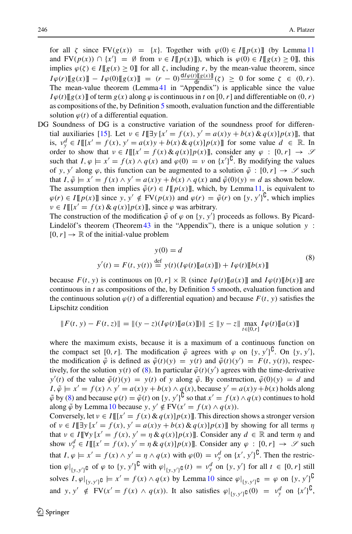for all  $\zeta$  since  $FV(g(x)) = \{x\}$ . Together with  $\varphi(0) \in I[[p(x)]]$  (by Lemma [11](#page-7-3) and  $FV(p(x)) \cap {x'} = \emptyset$  from  $v \in I[[p(x)]]$ , which is  $\varphi(0) \in I[[g(x) \ge 0]]$ , this implies  $\varphi(\zeta) \in I[[g(x)] \ge 0]$  for all  $\zeta$ , including *r*, by the mean-value theorem, since  $I\varphi(r)[[g(x)]] - I\varphi(0)[[g(x)]] = (r - 0)\frac{dI\varphi(t)[[g(x)]]}{dt}(x) \ge 0$  for some  $\zeta \in (0, r)$ . The mean-value theorem (Lemma [41](#page-31-0) in "Appendix") is applicable since the value  $I\varphi(t)[[g(x)]$  of term  $g(x)$  along  $\varphi$  is continuous in *t* on [0, *r*] and differentiable on  $(0, r)$ as compositions of the, by Definition [5](#page-4-1) smooth, evaluation function and the differentiable solution  $\varphi(t)$  of a differential equation.

DG Soundness of DG is a constructive variation of the soundness proof for differen-tial auxiliaries [\[15](#page-45-10)]. Let  $v \in I[\exists y [x' = f(x), y' = a(x)y + b(x) \& q(x)]p(x)]$ , that is,  $v_y^d \in I[[[x' = f(x), y' = a(x)y + b(x) \& q(x)]p(x)]$  for some value  $d \in \mathbb{R}$ . In order to show that  $v \in I[[[x] - f(x) \& q(x)]p(x)]$ , consider any  $\varphi : [0, r] \to \mathcal{S}$ such that  $I, \varphi \models x' = f(x) \land q(x)$  and  $\varphi(0) = \nu$  on  $\{x'\}^{\mathsf{L}}$ . By modifying the values of *y*, *y'* along  $\varphi$ , this function can be augmented to a solution  $\tilde{\varphi} : [0, r] \to \mathcal{S}$  such that  $I, \tilde{\varphi} \models x' = f(x) \land y' = a(x)y + b(x) \land q(x)$  and  $\tilde{\varphi}(0)(y) = d$  as shown below. The assumption then implies  $\tilde{\varphi}(r) \in I[[p(x)]]$ , which, by Lemma [11,](#page-7-3) is equivalent to  $\varphi(r) \in I[[p(x)]]$  since  $y, y' \notin FV(p(x))$  and  $\varphi(r) = \tilde{\varphi}(r)$  on  $\{y, y'\}^{\mathsf{U}}$ , which implies  $\nu \in I[[[x] = f(x) \& q(x)]p(x)]$ , since  $\varphi$  was arbitrary.

The construction of the modification  $\tilde{\varphi}$  of  $\varphi$  on {*y*, *y*<sup>'</sup>} proceeds as follows. By Picard-Lindelöf's theorem (Theorem[43](#page-31-1) in the "Appendix"), there is a unique solution *y* :  $[0, r] \rightarrow \mathbb{R}$  of the initial-value problem

<span id="page-27-0"></span>
$$
y(0) = d
$$
  
\n
$$
y'(t) = F(t, y(t)) \stackrel{\text{def}}{=} y(t) (I\varphi(t)[[a(x)]]) + I\varphi(t)[[b(x)]]
$$
\n(8)

because  $F(t, y)$  is continuous on  $[0, r] \times \mathbb{R}$  (since  $I\varphi(t)\llbracket a(x) \rrbracket$  and  $I\varphi(t)\llbracket b(x) \rrbracket$  are continuous in *t* as compositions of the, by Definition [5](#page-4-1) smooth, evaluation function and the continuous solution  $\varphi(t)$  of a differential equation) and because  $F(t, y)$  satisfies the Lipschitz condition

$$
||F(t, y) - F(t, z)|| = ||(y - z)(I\varphi(t)][a(x)]]|| \le ||y - z|| \max_{t \in [0, r]} I\varphi(t)[[a(x)]]
$$

where the maximum exists, because it is a maximum of a continuous function on the compact set [0, *r*]. The modification  $\tilde{\varphi}$  agrees with  $\varphi$  on {*y*, *y*<sup>'</sup>}<sup>U</sup>. On {*y*, *y*<sup>'</sup>}, the modification  $\tilde{\varphi}$  is defined as  $\tilde{\varphi}(t)(y) = y(t)$  and  $\tilde{\varphi}(t)(y') = F(t, y(t))$ , respectively, for the solution *y*(*t*) of [\(8\)](#page-27-0). In particular  $\tilde{\varphi}(t)(y')$  agrees with the time-derivative  $y'(t)$  of the value  $\tilde{\varphi}(t)(y) = y(t)$  of *y* along  $\tilde{\varphi}$ . By construction,  $\tilde{\varphi}(0)(y) = d$  and  $I, \tilde{\varphi} \models x' = f(x) \land y' = a(x)y + b(x) \land q(x)$ , because  $y' = a(x)y + b(x)$  holds along  $\tilde{\varphi}$  by [\(8\)](#page-27-0) and because  $\varphi(t) = \tilde{\varphi}(t)$  on  $\{y, y'\}^{\mathsf{U}}$  so that  $x' = f(x) \wedge q(x)$  continues to hold along  $\tilde{\varphi}$  by Lemma [10](#page-7-0) because *y*,  $y' \notin FV(x' = f(x) \land q(x))$ .

Conversely, let  $v \in I[[[x] - f(x) \& q(x)]p(x)]$ . This direction shows a stronger version of  $v \in I[\exists y [x' = f(x), y' = a(x)y + b(x) \& q(x)]p(x)]$  by showing for all terms  $\eta$ that  $v \in I[\![\forall y \, [x' = f(x), y' = \eta \& q(x)] p(x)]$ . Consider any  $d \in \mathbb{R}$  and term  $\eta$  and show  $v_y^d \in I[[[x] = f(x), y' = \eta \& q(x)]p(x)]$ . Consider any  $\varphi : [0, r] \to \mathscr{S}$  such that  $I, \varphi \models x' = f(x) \land y' = \eta \land q(x)$  with  $\varphi(0) = v_y^d$  on  $\{x', y'\}^{\complement}$ . Then the restriction  $\varphi|_{\{y,y'\}^{\complement}}$  of  $\varphi$  to  $\{y,y'\}^{\complement}$  with  $\varphi|_{\{y,y'\}^{\complement}}(t) = v_y^d$  on  $\{y,y'\}$  for all  $t \in [0,r]$  still solves  $I, \varphi|_{\{y, y'\}} \mathfrak{g} \models x' = f(x) \land q(x)$  by Lemma [10](#page-7-0) since  $\varphi|_{\{y, y'\}} \mathfrak{g} = \varphi$  on  $\{y, y'\}^{\mathfrak{g}}$ and *y*,  $y' \notin FV(x' = f(x) \land q(x))$ . It also satisfies  $\varphi|_{\{y, y'\}\mathcal{C}}(0) = v_y^d$  on  $\{x'\}^{\mathcal{C}},$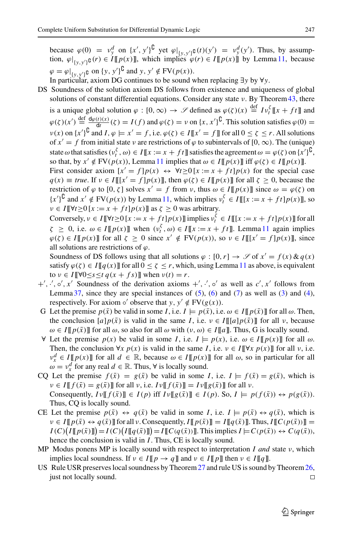because  $\varphi(0) = v_y^d$  on  $\{x', y'\}^L$  yet  $\varphi|_{\{y, y'\}^L}(t)(y') = v_y^d(y')$ . Thus, by assumption,  $\varphi|_{\{y,y'\}\mathfrak{g}}(r) \in I[[p(x)]]$ , which implies  $\varphi(r) \in I[[p(x)]]$  by Lemma [11,](#page-7-3) because  $\varphi = \varphi|_{\{y, y'\}}$  on  $\{y, y'\}$  and  $y, y' \notin FV(p(x)).$ 

- In particular, axiom DG continues to be sound when replacing ∃*y* by ∀*y*.
- DS Soundness of the solution axiom DS follows from existence and uniqueness of global solutions of constant differential equations. Consider any state  $\nu$ . By Theorem [43,](#page-31-1) there

is a unique global solution  $\varphi : [0, \infty) \to \mathscr{S}$  defined as  $\varphi(\zeta)(x) \stackrel{\text{def}}{=} I v_t^{\zeta} [x + ft]$  and  $\varphi(\zeta)(x') \stackrel{\text{def}}{=} \frac{d\varphi(t)(x)}{dt}(\zeta) = I(f)$  and  $\varphi(\zeta) = \nu$  on  $\{x, x'\}^{\complement}$ . This solution satisfies  $\varphi(0) =$  $v(x)$  on  $\{x'\}^{\mathsf{U}}$  and  $I, \varphi \models x' = f$ , i.e.  $\varphi(\zeta) \in I[\![x' = f]\!]$  for all  $0 \le \zeta \le r$ . All solutions of  $x' = f$  from initial state v are restrictions of  $\varphi$  to subintervals of  $[0, \infty)$ . The (unique) state  $\omega$  that satisfies ( $v_t^{\zeta}, \omega$ )  $\in I[[x := x + ft]]$  satisfies the agreement  $\omega = \varphi(\zeta)$  on  $\{x'\}^{\complement}$ , so that, by  $x' \notin FV(p(x))$ , Lemma [11](#page-7-3) implies that  $\omega \in I[\![p(x)]\!]$  iff  $\varphi(\zeta) \in I[\![p(x)]\!]$ . First consider axiom  $[x' = f]p(x) \leftrightarrow \forall t \ge 0 \ [x := x + ft]p(x)$  for the special case

 $q(x) \equiv true$ . If  $v \in I[[[x'-f]p(x)]]$ , then  $\varphi(\zeta) \in I[[p(x)]]$  for all  $\zeta \ge 0$ , because the restriction of  $\varphi$  to  $[0, \zeta]$  solves  $x' = f$  from  $\nu$ , thus  $\omega \in I[\![p(x)]\!]$  since  $\omega = \varphi(\zeta)$  on  $\{x'\}^{\complement}$  and  $x' \notin \text{FV}(p(x))$  by Lemma [11,](#page-7-3) which implies  $v_t^{\xi} \in I[[[x := x + ft]p(x)]]$ , so  $\nu \in I[\![\forall t \geq 0 \, [x := x + ft] p(x)]\!]$  as  $\zeta \geq 0$  was arbitrary.

Conversely,  $v \in I[\![\forall t \ge 0 \, [x := x + ft]p(x)]\!]$  implies  $v_t^{\xi} \in I[\![[x := x + ft]p(x)]\!]$  for all  $\zeta \geq 0$ , i.e.  $\omega \in I[[p(x)]]$  when  $(v_t^{\zeta}, \omega) \in I[[x := x + ft]]$ . Lemma [11](#page-7-3) again implies  $\varphi(\zeta) \in I[[p(x)]]$  for all  $\zeta \ge 0$  since  $x' \notin FV(p(x))$ , so  $\nu \in I[[[x' = f]p(x)]]$ , since all solutions are restrictions of  $\varphi$ .

Soundness of DS follows using that all solutions  $\varphi : [0, r] \to \mathscr{S}$  of  $x' = f(x) \& q(x)$ satisfy  $\varphi(\zeta) \in I[[q(x)]]$  for all  $0 \leq \zeta \leq r$ , which, using Lemma [11](#page-7-3) as above, is equivalent to  $v \in I$   $\forall 0 \leq s \leq t$   $q(x + fs)$   $\exists$  when  $v(t) = r$ .

- $+, \cdot, \circ', x'$  Soundness of the derivation axioms  $+, \cdot', \circ'$  as well as  $c', x'$  follows from Lemma  $37$ , since they are special instances of  $(5)$ ,  $(6)$  and  $(7)$  as well as  $(3)$  and  $(4)$ , respectively. For axiom  $\circ'$  observe that *y*,  $y' \notin FV(g(x))$ .
- G Let the premise  $p(\bar{x})$  be valid in some *I*, i.e.  $I \models p(\bar{x})$ , i.e.  $\omega \in I[\![p(\bar{x})]\!]$  for all  $\omega$ . Then, the conclusion  $[a]p(\bar{x})$  is valid in the same *I*, i.e.  $\nu \in I[[[a]p(\bar{x})]]$  for all  $\nu$ , because  $\omega \in I[[p(\bar{x})]]$  for all  $\omega$ , so also for all  $\omega$  with  $(\nu, \omega) \in I[[a]]$ . Thus, G is locally sound.
- ∀ Let the premise *p*(*x*) be valid in some *I*, i.e. *I*  $\models p(x)$ , i.e.  $ω ∈ I[[p(x)]]$  for all  $ω$ . Then, the conclusion  $\forall x \ p(x)$  is valid in the same *I*, i.e.  $\nu \in I[\![\forall x \ p(x)]\!]$  for all  $\nu$ , i.e.  $v_x^d \in I[\![p(x)]\!]$  for all  $d \in \mathbb{R}$ , because  $\omega \in I[\![p(x)]\!]$  for all  $\omega$ , so in particular for all  $\omega = v_x^d$  for any real  $d \in \mathbb{R}$ . Thus,  $\forall$  is locally sound.
- CQ Let the premise  $f(\bar{x}) = g(\bar{x})$  be valid in some *I*, i.e.  $I \models f(\bar{x}) = g(\bar{x})$ , which is  $\nu \in I[[f(\bar{x}) = g(\bar{x})]]$  for all  $\nu$ , i.e.  $I\nu[[f(\bar{x})]] = I\nu[[g(\bar{x})]]$  for all  $\nu$ . Consequently,  $I \nu \llbracket f(\bar{x}) \rrbracket \in I(p)$  iff  $I \nu \llbracket g(\bar{x}) \rrbracket \in I(p)$ . So,  $I \models p(f(\bar{x})) \leftrightarrow p(g(\bar{x})).$ Thus, CQ is locally sound.
- CE Let the premise  $p(\bar{x}) \leftrightarrow q(\bar{x})$  be valid in some *I*, i.e.  $I \models p(\bar{x}) \leftrightarrow q(\bar{x})$ , which is  $\nu \in I[[p(\bar{x}) \leftrightarrow q(\bar{x})]]$  for all  $\nu$ . Consequently,  $I[[p(\bar{x})]] = I[[q(\bar{x})]]$ . Thus,  $I[[C(p(\bar{x}))]] =$  $I(C)\big(I[\![p(\bar{x})]\!]\big) = I(C)\big(I[\![q(\bar{x})]\!]\big) = I[\![C(q(\bar{x}))]\!]$ . This implies  $I \models C(p(\bar{x})) \leftrightarrow C(q(\bar{x})),$ hence the conclusion is valid in *I*. Thus, CE is locally sound.
- MP Modus ponens MP is locally sound with respect to interpretation *I and* state ν, which implies local soundness. If  $v \in I \llbracket p \rightarrow q \rrbracket$  and  $v \in I \llbracket p \rrbracket$  then  $v \in I \llbracket q \rrbracket$ .
- US Rule USR preserves local soundness by Theorem  $27$  and rule US is sound by Theorem  $26$ , just not locally sound.  $\Box$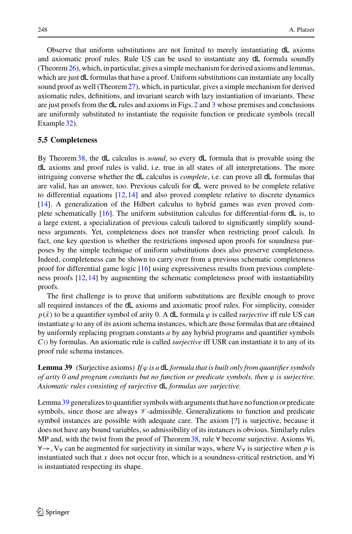Observe that uniform substitutions are not limited to merely instantiating dL axioms and axiomatic proof rules. Rule US can be used to instantiate any dL formula soundly (Theorem[26\)](#page-14-1), which, in particular, gives a simple mechanism for derived axioms and lemmas, which are just dL formulas that have a proof. Uniform substitutions can instantiate any locally sound proof as well (Theorem[27\)](#page-15-0), which, in particular, gives a simple mechanism for derived axiomatic rules, definitions, and invariant search with lazy instantiation of invariants. These are just proofs from the dL rules and axioms in Figs. [2](#page-16-2) and [3](#page-19-1) whose premises and conclusions are uniformly substituted to instantiate the requisite function or predicate symbols (recall Example [32\)](#page-22-0).

## **5.5 Completeness**

By Theorem[38,](#page-25-1) the dL calculus is *sound*, so every dL formula that is provable using the dL axioms and proof rules is valid, i.e. true in all states of all interpretations. The more intriguing converse whether the dL calculus is *complete*, i.e. can prove all dL formulas that are valid, has an answer, too. Previous calculi for dL were proved to be complete relative to differential equations  $[12,14]$  $[12,14]$  $[12,14]$  and also proved complete relative to discrete dynamics [\[14\]](#page-45-1). A generalization of the Hilbert calculus to hybrid games was even proved com-plete schematically [\[16\]](#page-45-4). The uniform substitution calculus for differential-form  $d\mathsf{L}$  is, to a large extent, a specialization of previous calculi tailored to significantly simplify soundness arguments. Yet, completeness does not transfer when restricting proof calculi. In fact, one key question is whether the restrictions imposed upon proofs for soundness purposes by the simple technique of uniform substitutions does also preserve completeness. Indeed, completeness can be shown to carry over from a previous schematic completeness proof for differential game logic [\[16](#page-45-4)] using expressiveness results from previous completeness proofs [\[12](#page-45-0)[,14](#page-45-1)] by augmenting the schematic completeness proof with instantiability proofs.

The first challenge is to prove that uniform substitutions are flexible enough to prove all required instances of the dL axioms and axiomatic proof rules. For simplicity, consider  $p(\bar{x})$  to be a quantifier symbol of arity 0. A dL formula  $\varphi$  is called *surjective* iff rule US can instantiate  $\varphi$  to any of its axiom schema instances, which are those formulas that are obtained by uniformly replacing program constants *a* by any hybrid programs and quantifier symbols *C*() by formulas. An axiomatic rule is called *surjective* iff USR can instantiate it to any of its proof rule schema instances.

<span id="page-29-0"></span>**Lemma 39** (Surjective axioms) If  $\varphi$  *is a* dL formula that is built only from quantifier symbols *of arity 0 and program constants but no function or predicate symbols, then*  $\varphi$  *is surjective. Axiomatic rules consisting of surjective* dL *formulas are surjective.*

Lemma [39](#page-29-0) generalizes to quantifier symbols with arguments that have no function or predicate symbols, since those are always  $\nu$ -admissible. Generalizations to function and predicate symbol instances are possible with adequate care. The axiom [?] is surjective, because it does not have any bound variables, so admissibility of its instances is obvious. Similarly rules MP and, with the twist from the proof of Theorem [38,](#page-25-1) rule  $\forall$  become surjective. Axioms  $\forall i$ , ∀→, V<sup>∀</sup> can be augmented for surjectivity in similar ways, where V<sup>∀</sup> is surjective when *p* is instantiated such that *x* does not occur free, which is a soundness-critical restriction, and ∀i is instantiated respecting its shape.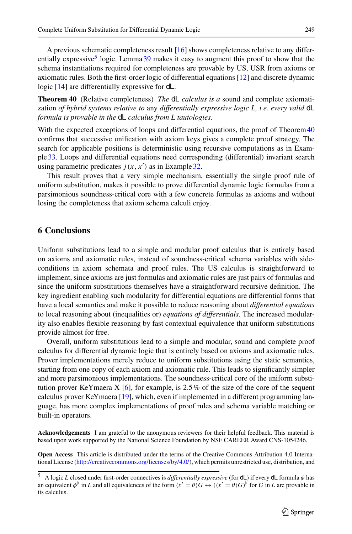A previous schematic completeness result [\[16](#page-45-4)] shows completeness relative to any differ-entially expressive<sup>[5](#page-30-0)</sup> logic. Lemma [39](#page-29-0) makes it easy to augment this proof to show that the schema instantiations required for completeness are provable by US, USR from axioms or axiomatic rules. Both the first-order logic of differential equations [\[12](#page-45-0)] and discrete dynamic logic [\[14](#page-45-1)] are differentially expressive for dL.

<span id="page-30-1"></span>**Theorem 40** (Relative completeness) *The* dL *calculus is a* sound and complete axiomatization *of hybrid systems relative to* any *differentially expressive logic L, i.e. every valid* dL *formula is provable in the* dL *calculus from L tautologies.*

With the expected exceptions of loops and differential equations, the proof of Theorem [40](#page-30-1) confirms that successive unification with axiom keys gives a complete proof strategy. The search for applicable positions is deterministic using recursive computations as in Example [33.](#page-22-1) Loops and differential equations need corresponding (differential) invariant search using parametric predicates  $j(x, x')$  as in Example [32.](#page-22-0)

This result proves that a very simple mechanism, essentially the single proof rule of uniform substitution, makes it possible to prove differential dynamic logic formulas from a parsimonious soundness-critical core with a few concrete formulas as axioms and without losing the completeness that axiom schema calculi enjoy.

#### **6 Conclusions**

Uniform substitutions lead to a simple and modular proof calculus that is entirely based on axioms and axiomatic rules, instead of soundness-critical schema variables with sideconditions in axiom schemata and proof rules. The US calculus is straightforward to implement, since axioms are just formulas and axiomatic rules are just pairs of formulas and since the uniform substitutions themselves have a straightforward recursive definition. The key ingredient enabling such modularity for differential equations are differential forms that have a local semantics and make it possible to reduce reasoning about *differential equations* to local reasoning about (inequalities or) *equations of differentials*. The increased modularity also enables flexible reasoning by fast contextual equivalence that uniform substitutions provide almost for free.

Overall, uniform substitutions lead to a simple and modular, sound and complete proof calculus for differential dynamic logic that is entirely based on axioms and axiomatic rules. Prover implementations merely reduce to uniform substitutions using the static semantics, starting from one copy of each axiom and axiomatic rule. This leads to significantly simpler and more parsimonious implementations. The soundness-critical core of the uniform substi-tution prover KeYmaera X [\[6](#page-45-19)], for example, is 2.5% of the size of the core of the sequent calculus prover KeYmaera [\[19](#page-45-3)], which, even if implemented in a different programming language, has more complex implementations of proof rules and schema variable matching or built-in operators.

**Acknowledgements** I am grateful to the anonymous reviewers for their helpful feedback. This material is based upon work supported by the National Science Foundation by NSF CAREER Award CNS-1054246.

**Open Access** This article is distributed under the terms of the Creative Commons Attribution 4.0 International License [\(http://creativecommons.org/licenses/by/4.0/\)](http://creativecommons.org/licenses/by/4.0/), which permits unrestricted use, distribution, and

<span id="page-30-0"></span><sup>5</sup> A logic *L* closed under first-order connectives is *differentially expressive* (for dL) if every dL formula φ has an equivalent  $\phi^{\flat}$  in *L* and all equivalences of the form  $\langle x' = \theta \rangle G \leftrightarrow (\langle x' = \theta \rangle G)^{\flat}$  for *G* in *L* are provable in its calculus.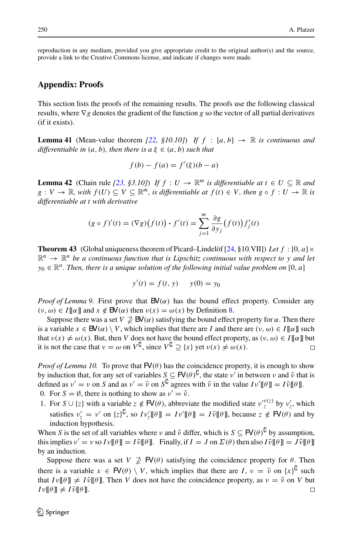reproduction in any medium, provided you give appropriate credit to the original author(s) and the source, provide a link to the Creative Commons license, and indicate if changes were made.

#### **Appendix: Proofs**

This section lists the proofs of the remaining results. The proofs use the following classical results, where ∇*g* denotes the gradient of the function *g* so the vector of all partial derivatives (if it exists).

<span id="page-31-0"></span>**Lemma 41** (Mean-value theorem [\[22,](#page-46-0) §10.10]) If  $f : [a, b] \rightarrow \mathbb{R}$  is continuous and *differentiable in*  $(a, b)$ *, then there is*  $a \xi \in (a, b)$  *such that* 

$$
f(b) - f(a) = f'(\xi)(b - a)
$$

<span id="page-31-2"></span>**Lemma 42** (Chain rule [\[23](#page-46-1), §3.10]) *If*  $f: U \to \mathbb{R}^m$  *is differentiable at*  $t \in U \subseteq \mathbb{R}$  *and*  $g: V \to \mathbb{R}$ , with  $f(U) \subseteq V \subseteq \mathbb{R}^m$ , is differentiable at  $f(t) \in V$ , then  $g \circ f: U \to \mathbb{R}$  is *differentiable at t with derivative*

$$
(g \circ f)'(t) = (\nabla g)\big(f(t)\big) \cdot f'(t) = \sum_{j=1}^{m} \frac{\partial g}{\partial y_j} \big(f(t)\big) f'_j(t)
$$

<span id="page-31-1"></span>**Theorem 43** (Global uniqueness theorem of Picard–Lindelöf [\[24,](#page-46-2) §10.VII]) Let f: [0, *a*]  $\times$  $\mathbb{R}^n \to \mathbb{R}^n$  be a continuous function that is Lipschitz continuous with respect to y and let  $y_0 \in \mathbb{R}^n$ . Then, there is a unique solution of the following initial value problem on [0, *a*]

$$
y'(t) = f(t, y)
$$
  $y(0) = y_0$ 

*Proof of Lemma 9.* First prove that  $\mathbf{B}V(\alpha)$  has the bound effect property. Consider any  $(v, \omega) \in I[\![\alpha]\!]$  and  $x \notin \mathbb{B}\mathsf{V}(\alpha)$  then  $v(x) = \omega(x)$  by Definition [8.](#page-6-1)

Suppose there was a set  $V \nsubseteq \mathsf{BV}(\alpha)$  satisfying the bound effect property for  $\alpha$ . Then there is a variable  $x \in BV(\alpha) \setminus V$ , which implies that there are *I* and there are  $(v, \omega) \in I[[\alpha]]$  such that  $v(x) \neq \omega(x)$ . But, then *V* does not have the bound effect property, as  $(v, \omega) \in I[\![\alpha]\!]$  but<br>it is not the case that  $v = \omega$  on  $V^{\complement}$ , since  $V^{\complement} \supset \{x\}$  vet  $v(x) \neq \omega(x)$ . it is not the case that  $v = \omega$  on  $V^{\mathsf{U}}$ , since  $V^{\mathsf{U}} \supseteq \{x\}$  yet  $v(x) \neq \omega(x)$ .

*Proof of Lemma 10.* To prove that  $FV(\theta)$  has the coincidence property, it is enough to show by induction that, for any set of variables  $S \subseteq \mathsf{FV}(\theta)^{\mathsf{G}}$ , the state  $\nu'$  in between  $\nu$  and  $\tilde{\nu}$  that is defined as  $v' = v$  on *S* and as  $v' = \tilde{v}$  on  $S^{\mathsf{G}}$  agrees with  $\tilde{v}$  in the value  $Iv'[\![\theta]\!] = I\tilde{v}[\![\theta]\!]$ . 0. For  $S = \emptyset$ , there is nothing to show as  $v' = \tilde{v}$ .

1. For  $S \cup \{z\}$  with a variable  $z \notin \mathsf{FV}(\theta)$ , abbreviate the modified state  $v_z^{v(z)}$  by  $v_z'$ , which satisfies  $v'_z = v'$  on  $\{z\}^{\mathcal{L}},$  so  $Iv'_z[\![\theta]\!] = IV'[\![\theta]\!] = I\tilde{v}[\![\theta]\!]$ , because  $z \notin \mathsf{FV}(\theta)$  and by induction hypothesis.

When *S* is the set of all variables where  $\nu$  and  $\tilde{\nu}$  differ, which is  $S \subseteq \mathsf{FV}(\theta)^\mathsf{U}$  by assumption, this implies  $v' = v$  so  $Iv[[\theta]] = I\tilde{v}[[\theta]]$ . Finally, if  $I = J$  on  $\Sigma(\theta)$  then also  $I\tilde{v}[[\theta]] = J\tilde{v}[[\theta]]$ by an induction.

Suppose there was a set  $V \not\supseteq \mathsf{FV}(\theta)$  satisfying the coincidence property for  $\theta$ . Then there is a variable  $x \in \mathbb{F}(\theta) \setminus V$ , which implies that there are  $I, v = \tilde{v}$  on  $\{x\}^{\mathbb{U}}$  such that  $I \nu \llbracket \theta \rrbracket \neq I \tilde{\nu} \llbracket \theta \rrbracket$ . Then *V* does not have the coincidence property, as  $\nu = \tilde{\nu}$  on *V* but  $I \nu \llbracket \theta \rrbracket \neq I \tilde{\nu} \llbracket \theta \rrbracket$ .  $\Box$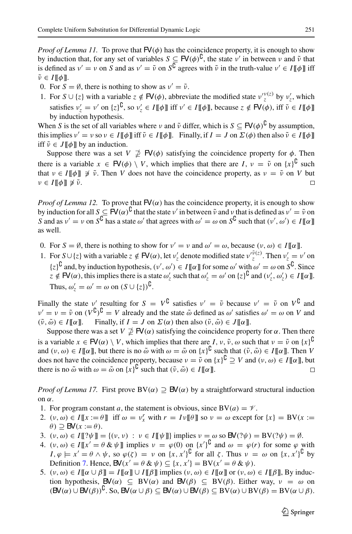*Proof of Lemma 11.* To prove that  $FV(\phi)$  has the coincidence property, it is enough to show by induction that, for any set of variables  $S \subseteq \mathsf{FV}(\phi)^{\mathsf{U}}$ , the state  $v'$  in between  $v$  and  $\tilde{v}$  that is defined as  $v' = v$  on *S* and as  $v' = \tilde{v}$  on  $S^G$  agrees with  $\tilde{v}$  in the truth-value  $v' \in I[\![\phi]\!]$  iff  $\tilde{\nu} \in I[\![\phi]\!].$ 

- 0. For  $S = \emptyset$ , there is nothing to show as  $v' = \tilde{v}$ .
- 1. For  $S \cup \{z\}$  with a variable  $z \notin \mathsf{FV}(\phi)$ , abbreviate the modified state  $v_z^{v_1(z)}$  by  $v_z'$ , which satisfies  $v'_z = v'$  on  $\{z\}^{\mathbf{L}}$ , so  $v'_z \in I[\![\phi]\!]$  iff  $v' \in I[\![\phi]\!]$ , because  $z \notin \mathsf{FV}(\phi)$ , iff  $\tilde{v} \in I[\![\phi]\!]$ by induction hypothesis.

When *S* is the set of all variables where  $\nu$  and  $\tilde{\nu}$  differ, which is  $S \subseteq \mathsf{FV}(\phi)^{\mathsf{C}}$  by assumption, this implies  $v' = v$  so  $v \in I[\![\phi]\!]$  iff  $\tilde{v} \in I[\![\phi]\!]$ . Finally, if  $I = J$  on  $\Sigma(\phi)$  then also  $\tilde{v} \in I[\![\phi]\!]$ iff  $\tilde{v} \in J$   $\llbracket \phi \rrbracket$  by an induction.

Suppose there was a set  $V \ncong \mathsf{FV}(\phi)$  satisfying the coincidence property for  $\phi$ . Then there is a variable  $x \in \mathbb{F}(\phi) \setminus V$ , which implies that there are  $I, v = \tilde{v}$  on  $\{x\}^{\mathbb{U}}$  such that  $v \in I[\![\phi]\!] \not\supset \tilde{\nu}$ . Then *V* does not have the coincidence property, as  $v = \tilde{\nu}$  on *V* but  $v \in I[\![\phi]\!] \not\supset \tilde{\nu}$ .  $v \in I[\![\phi]\!] \not\ni \tilde{v}.$ 

*Proof of Lemma 12.* To prove that  $FV(\alpha)$  has the coincidence property, it is enough to show by induction for all  $S \subseteq \text{FV}(\alpha)^{\mathsf{C}}$  that the state  $v'$  in between  $\tilde{v}$  and  $v$  that is defined as  $v' = \tilde{v}$  on *S* and as  $v' = v$  on  $S^{\mathsf{U}}$  has a state  $\omega'$  that agrees with  $\omega' = \omega$  on  $S^{\mathsf{U}}$  such that  $(v', \omega') \in I[\![\alpha]\!]$ as well.

- 0. For  $S = \emptyset$ , there is nothing to show for  $v' = v$  and  $\omega' = \omega$ , because  $(v, \omega) \in I[\![\alpha]\!]$ .
- 1. For  $S \cup \{z\}$  with a variable  $z \notin \mathbb{F}(a)$ , let  $v'_z$  denote modified state  $v'^{\tilde{\nu}(z)}_z$ . Then  $v'_z = v'$  on  $\{z\}^{\mathbf{U}}$  and, by induction hypothesis,  $(v', \omega') \in I[\![\alpha]\!]$  for some  $\omega'$  with  $\omega' = \omega$  on  $S^{\mathbf{U}}$ . Since  $z \notin \mathbb{FV}(\alpha)$ , this implies there is a state  $\omega_z'$  such that  $\omega_z' = \omega'$  on  $\{z\}^{\mathbb{U}}$  and  $(v_z', \omega_z') \in I[\![\alpha]\!]$ . Thus,  $\omega_z' = \omega' = \omega$  on  $(S \cup \{z\})^{\mathsf{U}}$ .

Finally the state v' resulting for  $S = V^{\mathsf{U}}$  satisfies  $v' = \tilde{v}$  because  $v' = \tilde{v}$  on  $V^{\mathsf{U}}$  and  $v' = v = \tilde{v}$  on  $(V^U)^U = V$  already and the state  $\tilde{\omega}$  defined as  $\omega'$  satisfies  $\omega' = \omega$  on *V* and  $(\tilde{\nu}, \tilde{\omega}) \in I[\![\alpha]\!]$ . Finally, if  $I = J$  on  $\Sigma(\alpha)$  then also  $(\tilde{\nu}, \tilde{\omega}) \in J[\![\alpha]\!]$ .

Suppose there was a set  $V \nsubseteq \mathsf{FV}(\alpha)$  satisfying the coincidence property for  $\alpha$ . Then there is a variable  $x \in \mathbb{F}(a) \setminus V$ , which implies that there are  $I, v, \tilde{v}, \omega$  such that  $v = \tilde{v}$  on  $\{x\}^{\mathbb{C}}$ and  $(v, \omega) \in I[\![\alpha]\!]$ , but there is no  $\tilde{\omega}$  with  $\omega = \tilde{\omega}$  on  $\{x\}^{\mathbf{U}}$  such that  $(\tilde{v}, \tilde{\omega}) \in I[\![\alpha]\!]$ . Then *V* does not have the coincidence property, because  $v = \tilde{v}$  on  $\{x\}^{\mathbb{C}} \supseteq V$  and  $(v, \omega) \in I[\![\alpha]\!]$ , but there is no  $\tilde{\omega}$  with  $\omega = \tilde{\omega}$  on  $\{x\}^{\mathbf{C}}$  such that  $(\tilde{\nu}, \tilde{\omega}) \in I[\![\alpha]\!]$ .

*Proof of Lemma 17.* First prove  $BV(\alpha) \supseteq BV(\alpha)$  by a straightforward structural induction on α.

- 1. For program constant *a*, the statement is obvious, since  $BV(a) = V$ .
- 2.  $(v, \omega) \in I[[x := \theta]]$  iff  $\omega = v_x^r$  with  $r = Iv[[\theta]]$  so  $v = \omega$  except for  $\{x\} = BV(x := \theta)$  $\theta$ )  $\supseteq$  **BV**( $x := \theta$ ).
- 3.  $(v, \omega) \in I[\![? \psi]\!] = \{(v, v) : v \in I[\![\psi]\!] \}$  implies  $v = \omega$  so  $\mathbf{B}V(? \psi) = \mathbf{B}V(? \psi) = \emptyset$ .
- 4.  $(v, \omega) \in I[[x' = \theta \& \psi]]$  implies  $v = \varphi(0)$  on  $\{x'\}^{\mathsf{U}}$  and  $\omega = \varphi(r)$  for some  $\varphi$  with  $I, \varphi \models x' = \theta \land \psi$ , so  $\varphi(\zeta) = \nu$  on  $\{x, x'\}^{\mathsf{U}}$  for all  $\zeta$ . Thus  $\nu = \omega$  on  $\{x, x'\}^{\mathsf{U}}$  by Definition [7.](#page-5-2) Hence,  $\mathsf{BV}(x' = \theta \& \psi) \subseteq \{x, x'\} = \mathrm{BV}(x' = \theta \& \psi).$
- 5.  $(v, \omega) \in I[\![\alpha \cup \beta]\!] = I[\![\alpha]\!] \cup I[\![\beta]\!]$  implies  $(v, \omega) \in I[\![\alpha]\!]$  or  $(v, \omega) \in I[\![\beta]\!]$ , By induction hypothesis,  $\mathsf{BV}(\alpha) \subseteq \mathrm{BV}(\alpha)$  and  $\mathsf{BV}(\beta) \subseteq \mathrm{BV}(\beta)$ . Either way,  $v = \omega$  on  $(\mathsf{BV}(\alpha) \cup \mathsf{BV}(\beta))^{\mathsf{U}}$ . So,  $\mathsf{BV}(\alpha \cup \beta) \subseteq \mathsf{BV}(\alpha) \cup \mathsf{BV}(\beta) \subseteq \mathsf{BV}(\alpha) \cup \mathsf{BV}(\beta) = \mathsf{BV}(\alpha \cup \beta)$ .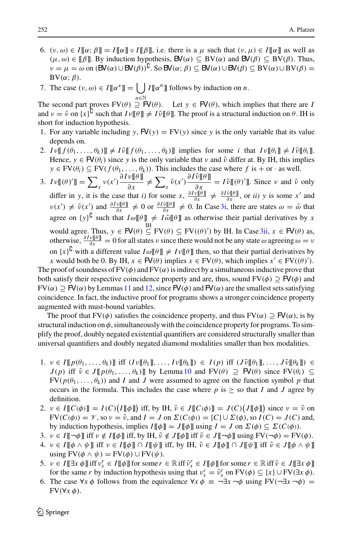- 6.  $(v, \omega) \in I[\![\alpha; \beta]\!] = I[\![\alpha]\!] \circ I[\![\beta]\!]$ , i.e. there is a  $\mu$  such that  $(v, \mu) \in I[\![\alpha]\!]$  as well as  $(\mu, \omega) \in [\![\beta]\!]$ . By induction hypothesis,  $\mathsf{BV}(\alpha) \subseteq \mathrm{BV}(\alpha)$  and  $\mathsf{BV}(\beta) \subseteq \mathrm{BV}(\beta)$ . Thus,  $\nu = \mu = \omega$  on  $(\mathsf{BV}(\alpha) \cup \mathsf{BV}(\beta))^{\mathsf{U}}$ . So  $\mathsf{BV}(\alpha; \beta) \subseteq \mathsf{BV}(\alpha) \cup \mathsf{BV}(\beta) \subseteq \mathsf{BV}(\alpha) \cup \mathsf{BV}(\beta) =$  $BV(\alpha; \beta)$ .
- 7. The case  $(v, \omega) \in I[\![\alpha^*]\!] = \bigcup I[\![\alpha^n]\!]$  follows by induction on *n*.

*<sup>n</sup>*∈<sup>N</sup> The second part proves  $FV(\theta) \supseteq FV(\theta)$ . Let  $y \in FV(\theta)$ , which implies that there are *I* and  $v = \tilde{v}$  on  $\{x\}^{\mathbf{U}}$  such that  $Iv[\![\theta]\!] \neq I\tilde{v}[\![\theta]\!]$ . The proof is a structural induction on  $\theta$ . IH is short for induction hypothesis.

- 1. For any variable including  $y$ ,  $FV(y) = FV(y)$  since y is the only variable that its value depends on.
- 2.  $I \nu \llbracket f(\theta_1, \ldots, \theta_k) \rrbracket \neq I \tilde{\nu} \llbracket f(\theta_1, \ldots, \theta_k) \rrbracket$  implies for some *i* that  $I \nu \llbracket \theta_i \rrbracket \neq I \tilde{\nu} \llbracket \theta_i \rrbracket$ . Hence,  $y \in \mathbb{FV}(\theta_i)$  since y is the only variable that v and  $\tilde{\nu}$  differ at. By IH, this implies  $y \in FV(\theta_i) \subseteq FV(f(\theta_1, ..., \theta_k))$ . This includes the case where  $f$  is  $+$  or  $\cdot$  as well.
- <span id="page-33-1"></span><span id="page-33-0"></span>3.  $Iv(\theta)'\mathbb{I} = \sum_{x} v(x') \frac{\partial Iv(\theta)\mathbb{I}}{\partial x} \neq \sum_{x} \tilde{v}(x') \frac{\partial I\tilde{v}(\theta)\mathbb{I}}{\partial x} = I\tilde{v}(\theta)'\mathbb{I}$ . Since *v* and  $\tilde{v}$  only differ in *y*, it is the case that *i*) for some  $x$ ,  $\frac{\partial I \nu[[\theta]]}{\partial x} \neq \frac{\partial I \tilde{\nu}[[\theta]]}{\partial x}$ , or *ii*) *y* is some *x*<sup>*'*</sup> and  $\nu(x') \neq \tilde{\nu}(x')$  and  $\frac{\partial I \nu[[\theta]]}{\partial x} \neq 0$  or  $\frac{\partial I \tilde{\nu}[[\theta]]}{\partial x} \neq 0$ . In Case [3i,](#page-33-0) there are states  $\omega = \tilde{\omega}$  that agree on  $\{y\}^{\mathbf{G}}$  such that  $I\omega[\![\theta]\!] \neq I\tilde{\omega}[\![\theta]\!]$  as otherwise their partial derivatives by *x* would agree. Thus,  $y \in \mathsf{FV}(\theta) \subseteq \mathrm{FV}(\theta) \cap \mathrm{FV}(\theta')$  by IH. In Case [3ii,](#page-33-1)  $x \in \mathsf{FV}(\theta)$  as, otherwise,  $\frac{\partial Iv[\![\theta]\!]}{\partial x} = 0$  for all states v since there would not be any state  $\omega$  agreeing  $\omega = v$ on  $\{x\}^{\mathbf{U}}$  with a different value  $I\omega[\![\theta]\!] \neq I\nu[\![\theta]\!]$  then, so that their partial derivatives by

*x* would both be 0. By IH,  $x \in \mathbb{FV}(\theta)$  implies  $x \in \mathrm{FV}(\theta)$ , which implies  $x' \in \mathrm{FV}((\theta))$ . The proof of soundness of  $FV(\phi)$  and  $FV(\alpha)$  is indirect by a simultaneous inductive prove that both satisfy their respective coincidence property and are, thus, sound  $FV(\phi) \supseteq FV(\phi)$  and  $FV(\alpha) \supseteq FV(\alpha)$  by Lemmas [11](#page-7-3) and [12,](#page-7-1) since  $FV(\phi)$  and  $FV(\alpha)$  are the smallest sets satisfying coincidence. In fact, the inductive proof for programs shows a stronger coincidence property augmented with must-bound variables.

The proof that FV( $\phi$ ) satisfies the coincidence property, and thus FV( $\alpha$ )  $\supset$  FV( $\alpha$ ), is by structural induction on  $\phi$ , simultaneously with the coincidence property for programs. To simplify the proof, doubly negated existential quantifiers are considered structurally smaller than universal quantifiers and doubly negated diamond modalities smaller than box modalities.

- $1. \quad v \in I[[p(\theta_1,\ldots,\theta_k)]]$  iff  $(Iv[[\theta_1]]\ldots,Iv[[\theta_k]]) \in I(p)$  iff  $(J\tilde{v}[[\theta_1]]\ldots,J\tilde{v}[[\theta_k]]) \in I(p)$  $J(p)$  iff  $\tilde{v} \in J[[p(\theta_1,\ldots,\theta_k)]]$  by Lemma [10](#page-7-0) and FV( $\theta$ )  $\supseteq$  FV( $\theta$ ) since FV( $\theta_i$ )  $\subseteq$  $FV(p(\theta_1,\ldots,\theta_k))$  and *I* and *J* were assumed to agree on the function symbol *p* that occurs in the formula. This includes the case where  $p$  is  $\geq$  so that *I* and *J* agree by definition.
- 2.  $\nu \in I[[C(\phi)]] = I(C) (I[[\phi]])$  iff, by IH,  $\tilde{\nu} \in J[[C(\phi)]] = J(C) (J[[\phi]])$  since  $\nu = \tilde{\nu}$  on  $FV(C(\phi)) = V$ , so  $v = \tilde{v}$ , and  $I = J$  on  $\Sigma(C(\phi)) = \{C\} \cup \Sigma(\phi)$ , so  $I(C) = J(C)$  and, by induction hypothesis, implies  $I[\![\phi]\!] = J[\![\phi]\!]$  using  $I = J$  on  $\Sigma(\phi) \subseteq \Sigma(C(\phi))$ .
- 3.  $v \in I[\![\neg \phi]\!]$  iff  $v \notin I[\![\phi]\!]$  iff, by IH,  $\tilde{v} \notin J[\![\phi]\!]$  iff  $\tilde{v} \in J[\![\neg \phi]\!]$  using  $FV(\neg \phi) = FV(\phi)$ .
- 4.  $v \in I[\![\phi \wedge \psi]\!]$  iff  $v \in I[\![\phi]\!] \cap I[\![\psi]\!]$  iff, by IH,  $\tilde{v} \in J[\![\phi]\!] \cap J[\![\psi]\!]$  iff  $\tilde{v} \in J[\![\phi \wedge \psi]\!]$ using  $FV(\phi \land \psi) = FV(\phi) \cup FV(\psi)$ .
- 5.  $v \in I[\![\exists x \phi]\!]$  iff  $v_x^r \in I[\![\phi]\!]$  for some  $r \in \mathbb{R}$  iff  $\tilde{v}_x^r \in I[\![\phi]\!]$  for some  $r \in \mathbb{R}$  iff  $\tilde{v} \in J[\![\exists x \phi]\!]$ for the same *r* by induction hypothesis using that  $v_x^r = \tilde{v}_x^r$  on  $FV(\phi) \subseteq \{x\} \cup FV(\exists x \phi)$ .
- 6. The case  $\forall x \phi$  follows from the equivalence  $\forall x \phi \equiv \neg \exists x \neg \phi$  using  $FV(\neg \exists x \neg \phi) =$  $FV(\forall x \phi)$ .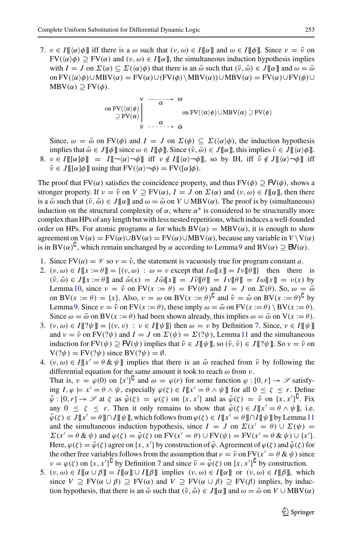7.  $v \in I[\![\langle \alpha \rangle \phi]\!]$  iff there is a  $\omega$  such that  $(v, \omega) \in I[\![\alpha]\!]$  and  $\omega \in I[\![\phi]\!]$ . Since  $v = \tilde{v}$  on  $FV(\langle \alpha \rangle \phi) \supseteq FV(\alpha)$  and  $(\nu, \omega) \in I[\![\alpha]\!]$ , the simultaneous induction hypothesis implies with  $I = J$  on  $\Sigma(\alpha) \subseteq \Sigma(\langle \alpha \rangle \phi)$  that there is an  $\tilde{\omega}$  such that  $(\tilde{\nu}, \tilde{\omega}) \in J[\![\alpha]\!]$  and  $\omega = \tilde{\omega}$ on  $FV(\langle \alpha \rangle \phi) \cup MBV(\alpha) = FV(\alpha) \cup (FV(\phi) \setminus MBV(\alpha)) \cup MBV(\alpha) = FV(\alpha) \cup FV(\phi) \cup$  $MBV(\alpha) \supset FV(\phi)$ .

on 
$$
\text{FV}(\langle \alpha \rangle \phi)
$$
  $\rightarrow \alpha$   $\phi$   
\n $\supseteq \text{FV}(\alpha)$   $\downarrow \rightarrow \alpha$   $\downarrow$   $\phi$   
\n $\psi$   $\rightarrow \alpha$   $\downarrow$   $\phi$   
\n $\psi$  on  $\text{FV}(\langle \alpha \rangle \phi) \cup \text{MBV}(\alpha) \supseteq \text{FV}(\phi)$ 

Since,  $\omega = \tilde{\omega}$  on FV( $\phi$ ) and  $I = J$  on  $\Sigma(\phi) \subseteq \Sigma(\langle \alpha \rangle \phi)$ , the induction hypothesis implies that  $\tilde{\omega} \in J[\![\phi]\!]$  since  $\omega \in I[\![\phi]\!]$ . Since  $(\tilde{\nu}, \tilde{\omega}) \in J[\![\alpha]\!]$ , this implies  $\tilde{\nu} \in J[\![\langle \alpha \rangle \phi]\!]$ . 8.  $v \in I[[\alpha]\phi] = I[-\langle \alpha \rangle \neg \phi]$  iff  $v \notin I[(\alpha) \neg \phi]$ , so by IH, iff  $\tilde{v} \notin J[(\alpha) \neg \phi]$  iff  $\tilde{\nu} \in J[[\alpha]\phi]]$  using that  $\text{FV}(\langle \alpha \rangle \neg \phi) = \text{FV}([\alpha]\phi)$ .

The proof that FV( $\alpha$ ) satisfies the coincidence property, and thus FV( $\phi$ )  $\supseteq$  FV( $\phi$ ), shows a stronger property. If  $v = \tilde{v}$  on  $V \supseteq FV(\alpha)$ ,  $I = J$  on  $\Sigma(\alpha)$  and  $(v, \omega) \in I[[\alpha]]$ , then there is a  $\tilde{\omega}$  such that  $(\tilde{\nu}, \tilde{\omega}) \in J[\![\alpha]\!]$  and  $\omega = \tilde{\omega}$  on  $V \cup \text{MBV}(\alpha)$ . The proof is by (simultaneous) induction on the structural complexity of  $\alpha$ , where  $\alpha^*$  is considered to be structurally more complex than HPs of any length but with less nested repetitions, which induces a well-founded order on HPs. For atomic programs  $\alpha$  for which  $BV(\alpha) = MBV(\alpha)$ , it is enough to show agreement on  $V(\alpha) = FV(\alpha) \cup BV(\alpha) = FV(\alpha) \cup MBV(\alpha)$ , because any variable in  $V \setminus V(\alpha)$ is in BV( $\alpha$ )<sup>C</sup>, which remain unchanged by  $\alpha$  according to Lemma [9](#page-7-2) and BV( $\alpha$ )  $\supseteq$  BV( $\alpha$ ).

- 1. Since  $FV(a) = \mathcal{V}$  so  $v = \tilde{v}$ , the statement is vacuously true for program constant *a*.
- 2.  $(v, \omega) \in I[[x := \theta]] = \{(v, \omega) : \omega = v \text{ except that } I\omega[[x]] = I\nu[[\theta]]\}$  then there is  $(\tilde{v}, \tilde{\omega}) \in J[[x := \theta]]$  and  $\tilde{\omega}(x) = J\tilde{\omega}[[x]] = J\tilde{\nu}[[\theta]] = I\omega[[x]] = \nu(x)$  by Lemma [10,](#page-7-0) since  $v = \tilde{v}$  on  $FV(x := \theta) = FV(\theta)$  and  $I = J$  on  $\Sigma(\theta)$ . So,  $\omega = \tilde{\omega}$ on BV( $x := \theta$ ) = { $x$ }. Also,  $v = \omega$  on BV( $x := \theta$ )<sup> $\cup$ </sup> and  $\tilde{v} = \tilde{\omega}$  on BV( $x := \theta$ )<sup> $\cup$ </sup> by Lemma [9.](#page-7-2) Since  $v = \tilde{v}$  on  $FV(x := \theta)$ , these imply  $\omega = \tilde{\omega}$  on  $FV(x := \theta) \setminus BV(x := \theta)$ . Since  $\omega = \tilde{\omega}$  on BV( $x := \theta$ ) had been shown already, this implies  $\omega = \tilde{\omega}$  on V( $x := \theta$ ).
- 3.  $(v, \omega) \in I[\![? \psi]\!] = \{(v, v) : v \in I[\![\psi]\!] \}$  then  $\omega = v$  by Definition [7.](#page-5-2) Since,  $v \in I[\![\psi]\!]$ and  $\nu = \tilde{\nu}$  on FV(? $\psi$ ) and  $I = J$  on  $\Sigma(\psi) = \Sigma(? \psi)$ , Lemma [11](#page-7-3) and the simultaneous induction for  $FV(\psi) \supseteq \mathsf{F}V(\psi)$  implies that  $\tilde{\nu} \in J[\![\psi]\!]$ , so  $(\tilde{\nu}, \tilde{\nu}) \in J[\![? \psi]\!]$ . So  $\nu = \tilde{\nu}$  on  $V(? \psi) = FV(? \psi)$  since  $BV(? \psi) = \emptyset$ .
- 4.  $(v, \omega) \in I[[x] \theta \& \psi]]$  implies that there is an  $\tilde{\omega}$  reached from  $\tilde{v}$  by following the differential equation for the same amount it took to reach  $\omega$  from  $\nu$ . That is,  $v = \varphi(0)$  on  $\{x'\}^{\mathsf{L}}$  and  $\omega = \varphi(r)$  for some function  $\varphi : [0, r] \to \mathscr{S}$  satisfying  $I, \varphi \models x' = \theta \land \psi$ , especially  $\varphi(\zeta) \in I[[x' = \theta \land \psi]]$  for all  $0 \leq \zeta \leq r$ . Define  $\tilde{\varphi}: [0, r] \to \mathscr{S}$  at  $\zeta$  as  $\tilde{\varphi}(\zeta) = \varphi(\zeta)$  on  $\{x, x'\}$  and as  $\tilde{\varphi}(\zeta) = \tilde{\nu}$  on  $\{x, x'\}^{\mathsf{U}}$ . Fix any  $0 \le \zeta \le r$ . Then it only remains to show that  $\tilde{\varphi}(\zeta) \in J[[x' = \theta \wedge \psi]],$  i.e.  $\tilde{\varphi}(\zeta) \in J[[x' = \theta]] \cap J[[\psi]],$  which follows from  $\varphi(\zeta) \in I[[x' = \theta]] \cap I[[\psi]]$  by Lemma [11](#page-7-3) and the simultaneous induction hypothesis, since  $I = J$  on  $\Sigma(x' = \theta) \cup \Sigma(\psi) =$  $\Sigma(x' = \theta \& \psi)$  and  $\varphi(\zeta) = \tilde{\varphi}(\zeta)$  on  $FV(x' = \theta) \cup FV(\psi) = FV(x' = \theta \& \psi) \cup \{x'\}.$ Here,  $\varphi(\zeta) = \tilde{\varphi}(\zeta)$  agree on  $\{x, x'\}$  by construction of  $\tilde{\varphi}$ . Agreement of  $\varphi(\zeta)$  and  $\tilde{\varphi}(\zeta)$  for the other free variables follows from the assumption that  $v = \tilde{v}$  on  $FV(x' = \theta \& \psi)$  since  $\nu = \varphi(\zeta)$  on  $\{x, x'\}^{\mathbf{U}}$  by Definition [7](#page-5-2) and since  $\tilde{\nu} = \tilde{\varphi}(\zeta)$  on  $\{x, x'\}^{\mathbf{U}}$  by construction.
- 5.  $(v, \omega) \in I[\![\alpha \cup \beta]\!] = I[\![\alpha]\!] \cup I[\![\beta]\!]$  implies  $(v, \omega) \in I[\![\alpha]\!]$  or  $(v, \omega) \in I[\![\beta]\!]$ , which since  $V \supseteq FV(\alpha \cup \beta) \supseteq FV(\alpha)$  and  $V \supseteq FV(\alpha \cup \beta) \supseteq FV(\beta)$  implies, by induction hypothesis, that there is an  $\tilde{\omega}$  such that  $(\tilde{\nu}, \tilde{\omega}) \in J[\![\alpha]\!]$  and  $\omega = \tilde{\omega}$  on  $V \cup \text{MBV}(\alpha)$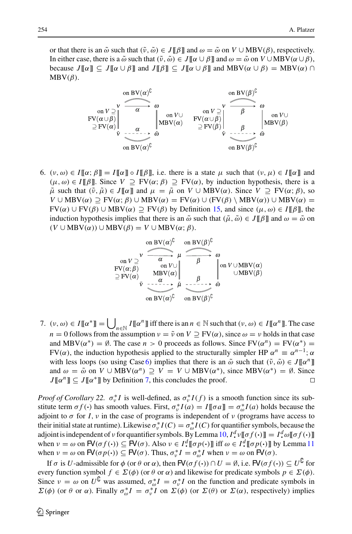or that there is an  $\tilde{\omega}$  such that  $(\tilde{\nu}, \tilde{\omega}) \in J[\![\beta]\!]$  and  $\omega = \tilde{\omega}$  on  $V \cup \text{MBV}(\beta)$ , respectively. In either case, there is a  $\tilde{\omega}$  such that  $(\tilde{\nu}, \tilde{\omega}) \in J[\![\alpha \cup \beta]\!]$  and  $\omega = \tilde{\omega}$  on  $V \cup \text{MBV}(\alpha \cup \beta)$ , because  $J[\![\alpha]\!] \subseteq J[\![\alpha \cup \beta]\!]$  and  $J[\![\beta]\!] \subseteq J[\![\alpha \cup \beta]\!]$  and  $MBV(\alpha \cup \beta) = MBV(\alpha) \cap$  $MBV(\beta)$ .



<span id="page-35-0"></span>6.  $(v, \omega) \in I[\![\alpha; \beta]\!] = I[\![\alpha]\!] \circ I[\![\beta]\!]$ , i.e. there is a state  $\mu$  such that  $(v, \mu) \in I[\![\alpha]\!]$  and  $(\mu, \omega) \in I[\![\beta]\!]$ . Since  $V \supset FV(\alpha; \beta) \supset FV(\alpha)$ , by induction hypothesis, there is a  $\tilde{\mu}$  such that  $(\tilde{\nu}, \tilde{\mu}) \in J[\![\alpha]\!]$  and  $\mu = \tilde{\mu}$  on  $V \cup \text{MBV}(\alpha)$ . Since  $V \supseteq \text{FV}(\alpha; \beta)$ , so  $V \cup \text{MBV}(\alpha) \supseteq \text{FV}(\alpha; \beta) \cup \text{MBV}(\alpha) = \text{FV}(\alpha) \cup (\text{FV}(\beta) \setminus \text{MBV}(\alpha)) \cup \text{MBV}(\alpha) =$ FV(α) ∪ FV(β) ∪ MBV(α) ⊇ FV(β) by Definition [15,](#page-9-0) and since (μ, ω) ∈ *I*[[β]], the induction hypothesis implies that there is an  $\tilde{\omega}$  such that  $(\tilde{\mu}, \tilde{\omega}) \in J[[\beta]]$  and  $\omega = \tilde{\omega}$  on  $(V \cup \text{MBV}(\alpha)) \cup \text{MBV}(\beta) = V \cup \text{MBV}(\alpha; \beta).$ 

7.  $(v, \omega) \in I[\![\alpha^*]\!] = \bigcup_{n \in \mathbb{N}} I[\![\alpha^n]\!]$  iff there is an  $n \in \mathbb{N}$  such that  $(v, \omega) \in I[\![\alpha^n]\!]$ . The case *n* = 0 follows from the assumption  $\nu = \tilde{\nu}$  on  $V \supseteq FV(\alpha)$ , since  $\omega = \nu$  holds in that case and MBV( $\alpha^*$ ) =  $\emptyset$ . The case  $n > 0$  proceeds as follows. Since FV( $\alpha^n$ ) = FV( $\alpha^*$ ) = FV( $\alpha$ ), the induction hypothesis applied to the structurally simpler HP  $\alpha^n \equiv \alpha^{n-1}$ ;  $\alpha$ with less loops (so using Case [6\)](#page-35-0) implies that there is an  $\tilde{\omega}$  such that  $(\tilde{\nu}, \tilde{\omega}) \in J[[\alpha^n]]$ and  $\omega = \tilde{\omega}$  on  $V \cup \text{MBV}(\alpha^n) \supseteq V = V \cup \text{MBV}(\alpha^*)$ , since  $\text{MBV}(\alpha^*) = \emptyset$ . Since  $J\llbracket \alpha^n \rrbracket \subset J\llbracket \alpha^* \rrbracket$  by Definition 7, this concludes the proof.  $J[\![\alpha^n]\!] \subseteq J[\![\alpha^*]\!]$  by Definition [7,](#page-5-2) this concludes the proof.

*Proof of Corollary 22.*  $\sigma_v^* I$  is well-defined, as  $\sigma_v^* I(f)$  is a smooth function since its substitute term  $\sigma f(\cdot)$  has smooth values. First,  $\sigma_v^* I(a) = I[\![\sigma a]\!] = \sigma_o^* I(a)$  holds because the adjoint to  $\sigma$  for *I*,  $\nu$  in the case of programs is independent of  $\nu$  (programs have access to their initial state at runtime). Likewise  $\sigma_v^*I(C) = \sigma_o^*I(C)$  for quantifier symbols, because the adjoint is independent of *v* for quantifier symbols. By Lemma [10,](#page-7-0)  $I^d$  *v*[[ $\sigma f(\cdot)$ ]] =  $I^d$   $\omega$ [[ $\sigma f(\cdot)$ ]] when  $\nu = \omega$  on  $\mathbf{F}(\sigma f(\cdot)) \subseteq \mathbf{F}(\sigma)$ . Also  $\nu \in I^d \llbracket \sigma p(\cdot) \rrbracket$  iff  $\omega \in I^d \llbracket \sigma p(\cdot) \rrbracket$  by Lemma [11](#page-7-3) when  $v = \omega$  on  $\mathsf{FV}(\sigma p(\cdot)) \subseteq \mathsf{FV}(\sigma)$ . Thus,  $\sigma_v^* I = \sigma_\omega^* I$  when  $v = \omega$  on  $\mathsf{FV}(\sigma)$ .

If *σ* is *U*-admissible for *φ* (or *θ* or *α*), then  $\mathsf{FV}(\sigma f(\cdot)) \cap U = \emptyset$ , i.e.  $\mathsf{FV}(\sigma f(\cdot)) \subseteq U^{\mathsf{U}}$  for every function symbol  $f \in \Sigma(\phi)$  (or  $\theta$  or  $\alpha$ ) and likewise for predicate symbols  $p \in \Sigma(\phi)$ . Since  $v = \omega$  on  $U^{\mathsf{U}}$  was assumed,  $\sigma_{\omega}^* I = \sigma_v^* I$  on the function and predicate symbols in  $\Sigma(\phi)$  (or  $\theta$  or  $\alpha$ ). Finally  $\sigma_{\omega}^* I = \sigma_v^* I$  on  $\Sigma(\phi)$  (or  $\Sigma(\theta)$  or  $\Sigma(\alpha)$ , respectively) implies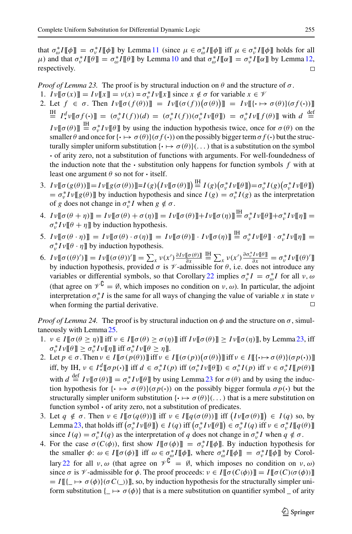that  $\sigma_{\omega}^* I[\![\phi]\!] = \sigma_{\nu}^* I[\![\phi]\!]$  by Lemma [11](#page-7-3) (since  $\mu \in \sigma_{\omega}^* I[\![\phi]\!]$  iff  $\mu \in \sigma_{\nu}^* I[\![\phi]\!]$  holds for all  $\mu$ ) and that  $\sigma_v^* I \llbracket \theta \rrbracket = \sigma_o^* I \llbracket \theta \rrbracket$  by Lemma [10](#page-7-0) and that  $\sigma_o^* I \llbracket \alpha \rrbracket = \sigma_v^* I \llbracket \alpha \rrbracket$  by Lemma [12,](#page-7-1) respectively.

*Proof of Lemma 23.* The proof is by structural induction on  $\theta$  and the structure of  $\sigma$ .

- 1.  $Iv[[\sigma(x)]] = Iv[[x]] = v(x) = \sigma_v^* Iv[[x]]$  since  $x \notin \sigma$  for variable  $x \in V$
- 2. Let  $f \in \sigma$ . Then  $I \nu [\![\sigma(f(\theta))] \!] = I \nu [\![ (\sigma(f))(\sigma(\theta))] \!] = I \nu [\![ \{\cdot \mapsto \sigma(\theta)\}(\sigma(f \cdot))]$  $\begin{array}{lll}\n\frac{\partial H}{\partial t} & I^d \cdot \nu \llbracket \sigma f(\cdot) \rrbracket = (\sigma_v^* I(f))(d) = (\sigma_v^* I(f))(\sigma_v^* I \nu \llbracket \theta \rrbracket) = \sigma_v^* I \nu \llbracket f(\theta) \rrbracket \text{ with } d \stackrel{\text{def}}{=} \end{array}$  $I \nu \llbracket \sigma(\theta) \rrbracket \stackrel{\text{IH}}{=} \sigma_v^* I \nu \llbracket \theta \rrbracket$  by using the induction hypothesis twice, once for  $\sigma(\theta)$  on the smaller  $\theta$  and once for  $\{\cdot \mapsto \sigma(\theta)\}(\sigma f(\cdot))$  on the possibly bigger term  $\sigma f(\cdot)$  but the structurally simpler uniform substitution  $\{\cdot \mapsto \sigma(\theta)\}$ ...) that is a substitution on the symbol **·** of arity zero, not a substitution of functions with arguments. For well-foundedness of the induction note that the  $\cdot$  substitution only happens for function symbols  $f$  with at least one argument  $\theta$  so not for  $\cdot$  itself.
- 3.  $I \nu \llbracket \sigma(g(\theta)) \rrbracket = I \nu \llbracket g(\sigma(\theta)) \rrbracket = I(g) \big( I \nu \llbracket \sigma(\theta) \rrbracket \big) = I(g) \big( \sigma_v^* I \nu \llbracket \theta \rrbracket \big) = \sigma_v^* I(g) \big( \sigma_v^* I \nu \llbracket \theta \rrbracket \big)$  $= \sigma_v^* I v[[g(\theta)]]$  by induction hypothesis and since  $I(g) = \sigma_v^* I(g)$  as the interpretation of *g* does not change in  $\sigma_v^* I$  when  $g \notin \sigma$ .
- 4.  $I \nu \llbracket \sigma(\theta + \eta) \rrbracket = I \nu \llbracket \sigma(\theta) + \sigma(\eta) \rrbracket = I \nu \llbracket \sigma(\theta) \rrbracket + I \nu \llbracket \sigma(\eta) \rrbracket \stackrel{\text{III}}{=} \sigma_v^* I \nu \llbracket \theta \rrbracket + \sigma_v^* I \nu \llbracket \eta \rrbracket =$  $\sigma_v^* I v \llbracket \theta + \eta \rrbracket$  by induction hypothesis.
- 5.  $I\nu[\![\sigma(\theta \cdot \eta)]\!] = I\nu[\![\sigma(\theta) \cdot \sigma(\eta)]\!] = I\nu[\![\sigma(\theta)]\!] \cdot I\nu[\![\sigma(\eta)]\!] \stackrel{\text{IH}}{=} \sigma_{\nu}^* I\nu[\![\theta]\!] \cdot \sigma_{\nu}^* I\nu[\![\eta]\!] =$  $\sigma_v^* I v \llbracket \theta \cdot \eta \rrbracket$  by induction hypothesis.
- 6.  $I\nu[\![\sigma((\theta)')]\!] = I\nu[\![\sigma(\theta))']\!] = \sum_{x} \nu(x') \frac{\partial I\nu[\![\sigma(\theta)]\!]}{\partial x}$  $\frac{\partial \mathbf{H}}{\partial x} \sum_{x} \nu(x') \frac{\partial \sigma_v^* I \nu {\bf P}}{\partial x} = \sigma_v^* I \nu {\bf P} {\bf P}({\bf \theta})' {\bf P}$ by induction hypothesis, provided  $\sigma$  is  $\nu$ -admissible for  $\theta$ , i.e. does not introduce any variables or differential symbols, so that Corollary [22](#page-14-2) implies  $\sigma_v^* I = \sigma_\omega^* I$  for all  $v, \omega$ (that agree on  $\mathcal{V}^{\mathsf{G}} = \emptyset$ , which imposes no condition on  $v, \omega$ ). In particular, the adjoint interpretation  $\sigma_v^* I$  is the same for all ways of changing the value of variable *x* in state *v* when forming the partial derivative.

*Proof of Lemma 24.* The proof is by structural induction on  $\phi$  and the structure on  $\sigma$ , simultaneously with Lemma [25.](#page-14-3)

- 1.  $v \in I[\![\sigma(\theta \geq \eta)]\!]$  iff  $v \in I[\![\sigma(\theta) \geq \sigma(\eta)]\!]$  iff  $Iv[\![\sigma(\theta)]\!] \geq Iv[\![\sigma(\eta)]\!]$ , by Lemma [23,](#page-14-4) iff  $\sigma_v^* I \nu \llbracket \theta \rrbracket \geq \sigma_v^* I \nu \llbracket \eta \rrbracket$  iff  $\sigma_v^* I \nu \llbracket \theta \geq \eta \rrbracket$ .
- 2. Let  $p \in \sigma$ . Then  $\nu \in I[\![\sigma(p(\theta))] \text{ iff } \nu \in I[\![(\sigma(p))(\sigma(\theta))] \text{ iff } \nu \in I[\![(\cdot \mapsto \sigma(\theta)](\sigma(p(\cdot))] \text{]}$ iff, by IH,  $v \in I^d$  [[ $\sigma p(\cdot)$ ]] iff  $d \in \sigma_v^* I(p)$  iff  $(\sigma_v^* I v | [\theta]]) \in \sigma_v^* I(p)$  iff  $v \in \sigma_v^* I [p(\theta)]$ with  $d \stackrel{\text{def}}{=} I \nu [\![ \sigma(\theta) ]\!] = \sigma_v^* I \nu [\![ \theta ]\!]$  by using Lemma [23](#page-14-4) for  $\sigma(\theta)$  and by using the induction hypothesis for  $\{\cdot \mapsto \sigma(\theta)\}(\sigma p(\cdot))$  on the possibly bigger formula  $\sigma p(\cdot)$  but the structurally simpler uniform substitution  $\{\cdot \mapsto \sigma(\theta)\}$ ...) that is a mere substitution on function symbol **·** of arity zero, not a substitution of predicates.
- 3. Let  $q \notin \sigma$ . Then  $\nu \in I[\![\sigma(q(\theta))]$  iff  $\nu \in I[\![q(\sigma(\theta))]$  iff  $(I\nu[\![\sigma(\theta)]\!]) \in I(q)$  so, by Lemma [23,](#page-14-4) that holds iff  $(\sigma_v^* I v \llbracket \theta \rrbracket) \in I(q)$  iff  $(\sigma_v^* I v \llbracket \theta \rrbracket) \in \sigma_v^* I(q)$  iff  $v \in \sigma_v^* I \llbracket q(\theta) \rrbracket$ since  $I(q) = \sigma_v^* I(q)$  as the interpretation of *q* does not change in  $\sigma_v^* I$  when  $q \notin \sigma$ .
- 4. For the case  $\sigma(C(\phi))$ , first show  $I[\![\sigma(\phi)]\!] = \sigma_v^* I[\![\phi]\!]$ . By induction hypothesis for the smaller  $\phi: \omega \in I[\![\sigma(\phi)]\!]$  iff  $\omega \in \sigma_{\omega}^* I[\![\phi]\!]$ , where  $\sigma_{\omega}^* I[\![\phi]\!] = \sigma_v^* I[\![\phi]\!]$  by Corol-lary [22](#page-14-2) for all  $v, \omega$  (that agree on  $\mathcal{V}^{\mathsf{L}} = \emptyset$ , which imposes no condition on  $v, \omega$ ) since  $\sigma$  is  $\mathscr V$ -admissible for  $\phi$ . The proof proceeds:  $\nu \in I[\![\sigma(C(\phi))] = I[\![\sigma(C)(\sigma(\phi))]$  $= I[[\mathcal{L} \mapsto \sigma(\phi)](\sigma C(\mathcal{L}))]$ , so, by induction hypothesis for the structurally simpler uniform substitution  $\{\rightarrow \sigma(\phi)\}\$  that is a mere substitution on quantifier symbol  $\Box$  of arity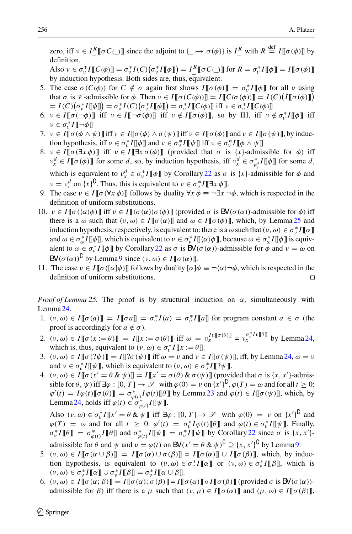zero, iff  $v \in I^R_-\llbracket \sigma C(\_) \rrbracket$  since the adjoint to  $\{\_\mapsto \sigma(\phi)\}\$ is  $I^R_-\$  with  $R \stackrel{\text{def}}{=} I\llbracket \sigma(\phi) \rrbracket$  by definition.

Also  $v \in \sigma_v^* I[[C(\phi)]] = \sigma_v^* I(C) (\sigma_v^* I[[\phi]]) = I^R[[\sigma C(\_)]]$  for  $R = \sigma_v^* I[[\phi]] = I[[\sigma(\phi)]]$ by induction hypothesis. Both sides are, thus, equivalent.

- 5. The case  $\sigma(C(\phi))$  for  $C \notin \sigma$  again first shows  $I[\![\sigma(\phi)]\!] = \sigma_v^*I[\![\phi]\!]$  for all *v* using that  $\sigma$  is  $\mathcal V$ -admissible for  $\phi$ . Then  $\nu \in I[\![\sigma(C(\phi))]]=I[\![C(\sigma(\phi))]\!] = I(C)[I[\![\sigma(\phi)]\!])$  $= I(C) \big( \sigma_v^* I \llbracket \phi \rrbracket \big) = \sigma_v^* I(C) \big( \sigma_v^* I \llbracket \phi \rrbracket \big) = \sigma_v^* I \llbracket C(\phi) \rrbracket$  iff  $v \in \sigma_v^* I \llbracket C(\phi) \rrbracket$
- 6.  $v \in I[[\sigma(\neg\phi)]]$  iff  $v \in I[\neg \sigma(\phi)]$  iff  $v \notin I[[\sigma(\phi)]]$ , so by IH, iff  $v \notin \sigma_v^*I[[\phi]]$  iff  $ν ∈ σ<sub>ν</sub><sup>*</sup> I[[¬φ]]$
- 7.  $v \in I[\![\sigma(\phi \wedge \psi)]\!]$  iff  $v \in I[\![\sigma(\phi) \wedge \sigma(\psi)]\!]$  iff  $v \in I[\![\sigma(\phi)]\!]$  and  $v \in I[\![\sigma(\psi)]\!]$ , by induction hypothesis, iff  $v \in \sigma_v^* I \llbracket \phi \rrbracket$  and  $v \in \sigma_v^* I \llbracket \psi \rrbracket$  iff  $v \in \sigma_v^* I \llbracket \phi \wedge \psi \rrbracket$
- 8.  $v \in I[\![\sigma(\exists x \phi)]\!]$  iff  $v \in I[\![\exists x \sigma(\phi)]\!]$  (provided that  $\sigma$  is  $\{x\}$ -admissible for  $\phi$ ) iff  $v_x^d \in I[\![\sigma(\phi)]\!]$  for some *d*, so, by induction hypothesis, iff  $v_x^d \in \sigma_{v_x^d}^* I[\![\phi]\!]$  for some *d*, which is equivalent to  $v_x^d \in \sigma_v^* I \llbracket \phi \rrbracket$  by Corollary [22](#page-14-2) as  $\sigma$  is  $\{x\}$ -admissible for  $\phi$  and  $\nu = \nu_x^d$  on  $\{x\}^{\complement}$ . Thus, this is equivalent to  $\nu \in \sigma_v^* I \llbracket \exists x \phi \rrbracket$ .
- 9. The case  $v \in I[\![\sigma(\forall x \phi)]\!]$  follows by duality  $\forall x \phi \equiv \neg \exists x \neg \phi$ , which is respected in the definition of uniform substitutions.
- 10.  $v \in I[\![\sigma(\langle \alpha \rangle \phi)]\!]$  iff  $v \in I[\![\langle \sigma(\alpha) \rangle \sigma(\phi)]\!]$  (provided  $\sigma$  is  $BV(\sigma(\alpha))$ -admissible for  $\phi$ ) iff there is a  $\omega$  such that  $(\nu, \omega) \in I[\![\sigma(\alpha)]\!]$  and  $\omega \in I[\![\sigma(\phi)]\!]$ , which, by Lemma [25](#page-14-3) and induction hypothesis, respectively, is equivalent to: there is a  $\omega$  such that  $(v, \omega) \in \sigma_v^* I[\![\alpha]\!]$ and  $\omega \in \sigma_{\omega}^* I[\![\phi]\!]$ , which is equivalent to  $\nu \in \sigma_{\nu}^* I[\![\langle \alpha \rangle \phi]\!]$ , because  $\omega \in \sigma_{\omega}^* I[\![\phi]\!]$  is equivalent to  $\omega \in \sigma_v^* I[\![\phi]\!]$  by Corollary [22](#page-14-2) as  $\sigma$  is  $\mathsf{BV}(\sigma(\alpha))$ -admissible for  $\phi$  and  $\nu = \omega$  on  $\mathbf{B}V(\sigma(\alpha))^{\mathbf{C}}$  by Lemma [9](#page-7-2) since  $(v, \omega) \in I[[\sigma(\alpha)]]$ .
- 11. The case  $v \in I[\![\sigma([\alpha]\phi)]\!]$  follows by duality  $[\alpha]\phi \equiv \neg(\alpha)\neg\phi$ , which is respected in the definition of uniform substitutions.

*Proof of Lemma 25.* The proof is by structural induction on α, simultaneously with Lemma [24.](#page-14-0)

- 1.  $(v, \omega) \in I[\![\sigma(a)]\!] = I[\![\sigma a]\!] = \sigma_v^* I(a) = \sigma_v^* I[\![a]\!]$  for program constant  $a \in \sigma$  (the proof is accordingly for  $a \notin \sigma$ ).
- 2.  $(v, \omega) \in I[\![\sigma(x := \theta)]\!] = I[\![x := \sigma(\theta)]\!]$  iff  $\omega = v_x^{I_v[\![\sigma(\theta)]\!]} = v_x^{\sigma_v^* I_v[\![\theta]\!]}$  by Lemma [24,](#page-14-0) which is, thus, equivalent to  $(v, \omega) \in \sigma_v^* I \llbracket x := \theta \rrbracket$ .
- 3.  $(v, \omega) \in I[\![\sigma(? \psi)]\!] = I[\![? \sigma(\psi)]\!]$  iff  $\omega = v$  and  $v \in I[\![\sigma(\psi)]\!]$ , iff, by Lemma [24,](#page-14-0)  $\omega = v$ and  $v \in \sigma_v^* I[\![\psi]\!]$ , which is equivalent to  $(v, \omega) \in \sigma_v^* I[\![? \psi]\!]$ .
- 4.  $(v, \omega) \in I[\![\sigma(x' = \theta \& \psi)]\!] = I[\![x' = \sigma(\theta) \& \sigma(\psi)]\!]$  (provided that  $\sigma$  is  $\{x, x'\}$ -admissible for  $\theta$ ,  $\psi$ ) iff  $\exists \varphi : [0, T] \rightarrow \mathscr{S}$  with  $\varphi(0) = \nu$  on  $\{x'\}^{\mathsf{U}}, \varphi(T) = \omega$  and for all  $t \geq 0$ :  $\varphi'(t) = I\varphi(t)[[\sigma(\theta)]] = \sigma_{\varphi(t)}^* I\varphi(t)[[\theta]]$  by Lemma [23](#page-14-4) and  $\varphi(t) \in I[[\sigma(\psi)]]$ , which, by Lemma [24,](#page-14-0) holds iff  $\varphi(t) \in \sigma_{\varphi(t)}^* I \llbracket \psi \rrbracket$ .

Also  $(v, \omega) \in \sigma_v^* I[[x' = \theta \& \psi]]$  iff  $\exists \varphi : [0, T] \rightarrow \mathscr{S}$  with  $\varphi(0) = v$  on  $\{x'\}^{\complement}$  and  $\varphi(T) = \omega$  and for all  $t \geq 0$ :  $\varphi'(t) = \sigma_v^* I \varphi(t) [\![\theta]\!]$  and  $\varphi(t) \in \sigma_v^* I [\![\psi]\!]$ . Finally,  $\sigma_v^* I \llbracket \theta \rrbracket = \sigma_{\varphi(t)}^* I \llbracket \theta \rrbracket$  and  $\sigma_{\varphi(t)}^* I \llbracket \psi \rrbracket = \sigma_v^* I \llbracket \psi \rrbracket$  by Corollary [22](#page-14-2) since  $\sigma$  is  $\{x, x'\}$ admissible for  $\theta$  and  $\psi$  and  $\nu = \varphi(t)$  on  $\mathsf{BV}(x' = \theta \& \psi)^\mathsf{U} \supseteq \{x, x'\}^\mathsf{U}$  by Lemma [9.](#page-7-2)

- 5.  $(v, \omega) \in I[\![\sigma(\alpha \cup \beta)]\!] = I[\![\sigma(\alpha) \cup \sigma(\beta)]\!] = I[\![\sigma(\alpha)]\!] \cup I[\![\sigma(\beta)]\!]$ , which, by induction hypothesis, is equivalent to  $(v, \omega) \in \sigma_v^* I[[\alpha]]$  or  $(v, \omega) \in \sigma_v^* I[[\beta]]$ , which is  $(v, \omega) \in \sigma_v^* I[\![\alpha]\!] \cup \sigma_v^* I[\![\beta]\!] = \sigma_v^* I[\![\alpha \cup \beta]\!]$ .
- 6.  $(v, \omega) \in I[\![\sigma(\alpha;\beta)]\!] = I[\![\sigma(\alpha);\sigma(\beta)]\!] = I[\![\sigma(\alpha)]\!] \circ I[\![\sigma(\beta)]\!]$  (provided  $\sigma$  is  $\mathbb{B}\mathbb{V}(\sigma(\alpha))$ admissible for  $\beta$ ) iff there is a  $\mu$  such that  $(\nu, \mu) \in I[\![\sigma(\alpha)]\!]$  and  $(\mu, \omega) \in I[\![\sigma(\beta)]\!]$ ,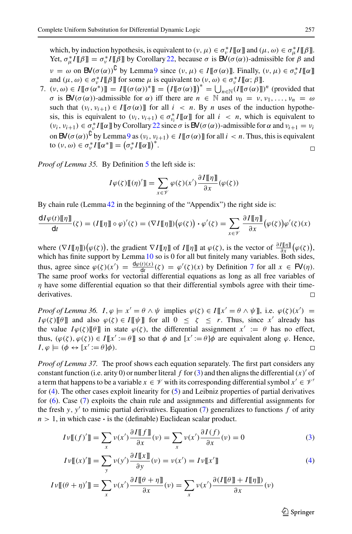which, by induction hypothesis, is equivalent to  $(v, \mu) \in \sigma_v^* I[\![\alpha]\!]$  and  $(\mu, \omega) \in \sigma_\mu^* I[\![\beta]\!]$ . Yet,  $\sigma_{\mu}^* I \llbracket \beta \rrbracket = \sigma_{\nu}^* I \llbracket \beta \rrbracket$  by Corollary [22,](#page-14-2) because  $\sigma$  is  $\mathsf{BV}(\sigma(\alpha))$ -admissible for  $\beta$  and  $\nu = \omega$  on  $\mathsf{BV}(\sigma(\alpha))^{\mathsf{U}}$  by Lemma [9](#page-7-2) since  $(\nu, \mu) \in I[\![\sigma(\alpha)]\!]$ . Finally,  $(\nu, \mu) \in \sigma_v^* I[\![\alpha]\!]$ and  $(\mu, \omega) \in \sigma_v^* I[\![\beta]\!]$  for some  $\mu$  is equivalent to  $(v, \omega) \in \sigma_v^* I[\![\alpha; \beta]\!]$ .

7.  $(v, \omega) \in I[\![\sigma(\alpha^*)]\!] = I[\![\sigma(\alpha))^*]\!] = (I[\![\sigma(\alpha)]\!])^* = \bigcup_{n \in \mathbb{N}} (I[\![\sigma(\alpha)]\!])^n$  (provided that σ is  $\mathsf{BV}(\sigma(\alpha))$ -admissible for  $\alpha$ ) iff there are  $n \in \mathbb{N}$  and  $v_0 = v, v_1, \ldots, v_n = \omega$ such that  $(v_i, v_{i+1}) \in I[\![\sigma(\alpha)]\!]$  for all  $i \leq n$ . By *n* uses of the induction hypothesis, this is equivalent to  $(v_i, v_{i+1}) \in \sigma_{v_i}^* I[[\alpha]]$  for all  $i < n$ , which is equivalent to  $(v_i, v_{i+1}) \in \sigma_v^* I[\![\alpha]\!]$  by Corollary [22](#page-14-2) since  $\sigma$  is  $BV(\sigma(\alpha))$ -admissible for  $\alpha$  and  $v_{i+1} = v_i$ on  $\mathsf{BV}(\sigma(\alpha))^{\mathsf{U}}$  by Lemma [9](#page-7-2) as  $(v_i, v_{i+1}) \in I[\![\sigma(\alpha)]\!]$  for all  $i < n$ . Thus, this is equivalent to  $(v, \omega) \in \sigma_v^* I \llbracket \alpha^* \rrbracket = (\sigma_v^* I \llbracket \alpha \rrbracket)^*.$  $\Box$ 

*Proof of Lemma 35.* By Definition [5](#page-4-1) the left side is:

$$
I\varphi(\zeta)\mathbb{I}(\eta)'\mathbb{I} = \sum_{x \in \mathcal{V}} \varphi(\zeta)(x') \frac{\partial I[\![\eta]\!]}{\partial x}(\varphi(\zeta))
$$

By chain rule (Lemma [42](#page-31-2) in the beginning of the "Appendix") the right side is:

$$
\frac{dI\varphi(t)[\![\eta]\!]}{dt}(\zeta) = (I[\![\eta]\!]) \circ \varphi)'(\zeta) = (\nabla I[\![\eta]\!]) (\varphi(\zeta)) \cdot \varphi'(\zeta) = \sum_{x \in \mathscr{V}} \frac{\partial I[\![\eta]\!]}{\partial x} (\varphi(\zeta)) \varphi'(\zeta)(x)
$$

where  $(\nabla I[\![\eta]\!]) (\varphi(\zeta))$ , the gradient  $\nabla I[\![\eta]\!]$  of  $I[\![\eta]\!]$  at  $\varphi(\zeta)$ , is the vector of  $\frac{\partial I[\![\eta]\!]}{\partial x} (\varphi(\zeta))$ , which has finite support by Lemma [10](#page-7-0) so is 0 for all but finitely many variables. Both sides, thus, agree since  $\varphi(\zeta)(x') = \frac{d\varphi(t)(x)}{dt}(\zeta) = \varphi'(\zeta)(x)$  by Definition [7](#page-5-2) for all  $x \in \mathbb{F}(n)$ . The same proof works for vectorial differential equations as long as all free variables of  $\eta$  have some differential equation so that their differential symbols agree with their timederivatives.  $\Box$ 

*Proof of Lemma 36.*  $I, \varphi \models x' = \theta \land \psi$  implies  $\varphi(\zeta) \in I[[x' = \theta \land \psi]],$  i.e.  $\varphi(\zeta)(x') =$ *I* $\varphi(\zeta)$  [[ $\theta$ ] and also  $\varphi(\zeta) \in I[\![\psi]\!]$  for all  $0 \leq \zeta \leq r$ . Thus, since *x*<sup>1</sup> already has the value  $I\varphi(\zeta)[\![\theta]\!]$  in state  $\varphi(\zeta)$ , the differential assignment  $x' := \theta$  has no effect, thus,  $(\varphi(\zeta), \varphi(\zeta)) \in I[[x] := \theta]]$  so that  $\phi$  and  $[x] := \theta \phi$  are equivalent along  $\varphi$ . Hence,  $I, \varphi \models (\phi \leftrightarrow [x] := \theta] \varphi).$ 

*Proof of Lemma 37.* The proof shows each equation separately. The first part considers any constant function (i.e. arity 0) or number literal  $f$  for [\(3\)](#page-25-6) and then aligns the differential  $(x)'$  of a term that happens to be a variable  $x \in V$  with its corresponding differential symbol  $x' \in V'$ for [\(4\)](#page-25-7). The other cases exploit linearity for [\(5\)](#page-25-3) and Leibniz properties of partial derivatives for [\(6\)](#page-25-4). Case [\(7\)](#page-25-5) exploits the chain rule and assignments and differential assignments for the fresh  $y$ ,  $y'$  to mimic partial derivatives. Equation [\(7\)](#page-25-5) generalizes to functions  $f$  of arity  $n > 1$ , in which case  $\cdot$  is the (definable) Euclidean scalar product.

$$
I\nu\llbracket (f)'\rrbracket = \sum_{x} \nu(x') \frac{\partial I\llbracket f \rrbracket}{\partial x}(\nu) = \sum_{x} \nu(x') \frac{\partial I(f)}{\partial x}(\nu) = 0
$$
 (3)

$$
I\nu[[(x)']] = \sum_{y} \nu(y') \frac{\partial I[[x]]}{\partial y}(\nu) = \nu(x') = I\nu[[x']] \tag{4}
$$

$$
I\nu[[(\theta + \eta)']] = \sum_{x} \nu(x') \frac{\partial I[\![\theta + \eta]\!]}{\partial x}(\nu) = \sum_{x} \nu(x') \frac{\partial (I[\![\theta]\!] + I[\![\eta]\!])}{\partial x}(\nu)
$$

 $\circled{2}$  Springer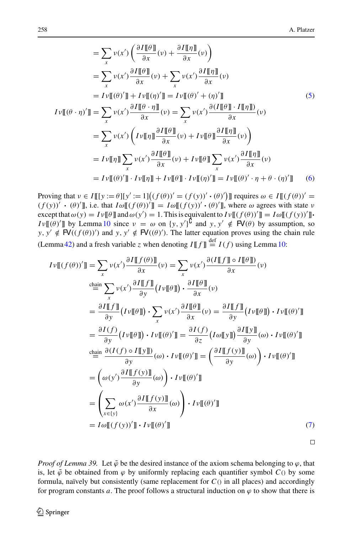$$
= \sum_{x} \nu(x') \left( \frac{\partial I[\![\theta]\!]}{\partial x} (v) + \frac{\partial I[\![\eta]\!]}{\partial x} (v) \right)
$$
  
\n
$$
= \sum_{x} \nu(x') \frac{\partial I[\![\theta]\!]}{\partial x} (v) + \sum_{x} \nu(x') \frac{\partial I[\![\eta]\!]}{\partial x} (v)
$$
  
\n
$$
= I \nu[\![\theta')]\!] + I \nu[\![\eta')]\!] = I \nu[\![\theta)' + (\eta)']\!] \tag{5}
$$
  
\n
$$
I \nu[\![\theta \cdot \eta)']\!] = \sum_{x} \nu(x') \frac{\partial I[\![\theta \cdot \eta]\!]}{\partial x} (v) = \sum_{x} \nu(x') \frac{\partial (I[\![\theta]\!] \cdot I[\![\eta]\!])}{\partial x} (v)
$$
  
\n
$$
= \sum_{x} \nu(x') \left( I \nu[\![\eta]\!] \frac{\partial I[\![\theta]\!]}{\partial x} (v) + I \nu[\![\theta]\!] \frac{\partial I[\![\eta]\!]}{\partial x} (v) \right)
$$
  
\n
$$
= I \nu[\![\eta]\!] \sum_{x} \nu(x') \frac{\partial I[\![\theta]\!]}{\partial x} (v) + I \nu[\![\theta]\!] \sum_{x} \nu(x') \frac{\partial I[\![\eta]\!]}{\partial x} (v)
$$
  
\n
$$
= I \nu[\![\theta)']\!] \cdot I \nu[\![\eta]\!] + I \nu[\![\theta]\!] \cdot I \nu[\![\eta)']\!] = I \nu[\![\theta)' \cdot \eta + \theta \cdot (\eta)']\!] \tag{6}
$$

Proving that  $v \in I[[[y := \theta]][y' := 1]((f(\theta))' = (f(y))' \cdot (\theta)']$  requires  $\omega \in I[(f(\theta))' =$  $(f(y))' \cdot (\theta)'$ , i.e. that  $I\omega[[(f(\theta))']] = I\omega[[(f(y))' \cdot (\theta)']]$ , where  $\omega$  agrees with state v  $\text{except that } \omega(y) = I \vee \llbracket \theta \rrbracket \text{ and } \omega(y') = 1. \text{ This is equivalent to } I \vee \llbracket (f(\theta))' \rrbracket = I \omega \llbracket (f(y))' \rrbracket.$  $Iv(\theta)$  by Lemma [10](#page-7-0) since  $v = \omega$  on  $\{y, y'\}^{\mathsf{U}}$  and  $y, y' \notin \mathsf{FV}(\theta)$  by assumption, so  $y, y' \notin \mathsf{FV}((f(\theta))')$  and  $y, y' \notin \mathsf{FV}((\theta)')$ . The latter equation proves using the chain rule (Lemma [42\)](#page-31-2) and a fresh variable *z* when denoting  $I \llbracket f \rrbracket \stackrel{\text{def}}{=} I(f)$  using Lemma [10:](#page-7-0)

$$
I\nu\llbracket (f(\theta))'\rrbracket = \sum_{x} \nu(x') \frac{\partial I\llbracket f(\theta) \rrbracket}{\partial x} (v) = \sum_{x} \nu(x') \frac{\partial (I\llbracket f \rrbracket \circ I\llbracket \theta \rrbracket)}{\partial x} (v)
$$
\n
$$
\stackrel{\text{chain}}{=} \sum_{x} \nu(x') \frac{\partial I\llbracket f \rrbracket}{\partial y} (I\nu\llbracket \theta \rrbracket) \cdot \frac{\partial I\llbracket \theta \rrbracket}{\partial x} (v)
$$
\n
$$
= \frac{\partial I\llbracket f \rrbracket}{\partial y} (I\nu\llbracket \theta \rrbracket) \cdot \sum_{x} \nu(x') \frac{\partial I\llbracket \theta \rrbracket}{\partial x} (v) = \frac{\partial I\llbracket f \rrbracket}{\partial y} (I\nu\llbracket \theta \rrbracket) \cdot I\nu\llbracket (\theta')'\rrbracket
$$
\n
$$
= \frac{\partial I(f)}{\partial y} (I\nu\llbracket \theta \rrbracket) \cdot I\nu\llbracket (\theta')'\rrbracket = \frac{\partial I(f)}{\partial z} (I\omega\llbracket y \rrbracket) \frac{\partial I\llbracket y \rrbracket}{\partial y} (\omega) \cdot I\nu\llbracket (\theta')'\rrbracket
$$
\n
$$
\stackrel{\text{chain}}{=} \frac{\partial (I(f) \circ I\llbracket y \rrbracket)}{\partial y} (\omega) \cdot I\nu\llbracket (\theta')'\rrbracket = \left(\frac{\partial I\llbracket f(y) \rrbracket}{\partial y} (\omega)\right) \cdot I\nu\llbracket (\theta')'\rrbracket
$$
\n
$$
= \left(\sum_{x \in \{y\}} \omega(x') \frac{\partial I\llbracket f(y) \rrbracket}{\partial x} (\omega)\right) \cdot I\nu\llbracket (\theta')'\rrbracket
$$
\n
$$
= I\omega\llbracket (f(y))'\rrbracket \cdot I\nu\llbracket (\theta')'\rrbracket
$$
\n(7)

 $\Box$ 

*Proof of Lemma 39.* Let  $\tilde{\varphi}$  be the desired instance of the axiom schema belonging to  $\varphi$ , that is, let  $\tilde{\varphi}$  be obtained from  $\varphi$  by uniformly replacing each quantifier symbol  $C()$  by some formula, naïvely but consistently (same replacement for  $C()$  in all places) and accordingly for program constants *a*. The proof follows a structural induction on  $\varphi$  to show that there is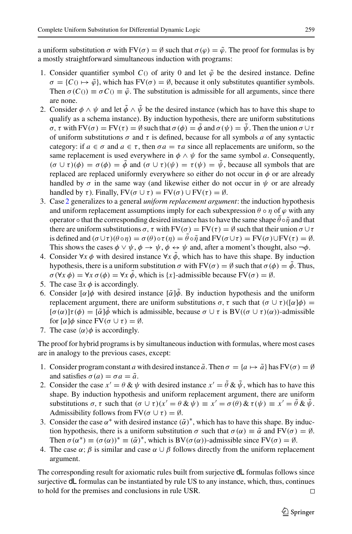a uniform substitution  $\sigma$  with  $FV(\sigma) = \emptyset$  such that  $\sigma(\varphi) = \tilde{\varphi}$ . The proof for formulas is by a mostly straightforward simultaneous induction with programs:

- 1. Consider quantifier symbol  $C()$  of arity 0 and let  $\tilde{\varphi}$  be the desired instance. Define  $\sigma = \{C \cap \rightarrow \tilde{\varphi}\}\$ , which has FV( $\sigma$ ) =  $\emptyset$ , because it only substitutes quantifier symbols. Then  $\sigma(C_0) \equiv \sigma C_0 \equiv \tilde{\varphi}$ . The substitution is admissible for all arguments, since there are none.
- <span id="page-40-0"></span>2. Consider  $\phi \wedge \psi$  and let  $\tilde{\phi} \wedge \tilde{\psi}$  be the desired instance (which has to have this shape to qualify as a schema instance). By induction hypothesis, there are uniform substitutions  $\sigma$ , τ with FV( $\sigma$ ) = FV( $\tau$ ) =  $\emptyset$  such that  $\sigma(\phi) = \phi$  and  $\sigma(\psi) = \psi$ . Then the union  $\sigma \cup \tau$ of uniform substitutions  $\sigma$  and  $\tau$  is defined, because for all symbols *a* of any syntactic category: if  $a \in \sigma$  and  $a \in \tau$ , then  $\sigma a = \tau a$  since all replacements are uniform, so the same replacement is used everywhere in  $\phi \wedge \psi$  for the same symbol *a*. Consequently,  $(\sigma \cup \tau)(\phi) = \sigma(\phi) = \phi$  and  $(\sigma \cup \tau)(\psi) = \tau(\psi) = \psi$ , because all symbols that are replaced are replaced uniformly everywhere so either do not occur in  $\phi$  or are already handled by  $\sigma$  in the same way (and likewise either do not occur in  $\psi$  or are already handled by τ). Finally,  $FV(\sigma \cup \tau) = FV(\sigma) \cup FV(\tau) = \emptyset$ .
- 3. Case [2](#page-40-0) generalizes to a general *uniform replacement argument*: the induction hypothesis and uniform replacement assumptions imply for each subexpression  $\theta \circ \eta$  of  $\varphi$  with any operator  $\circ$  that the corresponding desired instance has to have the same shape  $\hat{\theta} \circ \tilde{\eta}$  and that there are uniform substitutions  $\sigma$ ,  $\tau$  with  $FV(\sigma) = FV(\tau) = \emptyset$  such that their union  $\sigma \cup \tau$ is defined and  $(\sigma \cup \tau)(\theta \circ \eta) = \sigma(\theta) \circ \tau(\eta) = \tilde{\theta} \circ \tilde{\eta}$  and  $FV(\sigma \cup \tau) = FV(\sigma) \cup FV(\tau) = \emptyset$ . This shows the cases  $\phi \lor \psi$ ,  $\phi \to \psi$ ,  $\phi \leftrightarrow \psi$  and, after a moment's thought, also  $\neg \phi$ .
- 4. Consider ∀*x*  $\phi$  with desired instance ∀*x*  $\ddot{\phi}$ , which has to have this shape. By induction hypothesis, there is a uniform substitution  $\sigma$  with  $FV(\sigma) = \emptyset$  such that  $\sigma(\phi) = \tilde{\phi}$ . Thus,  $\sigma(\forall x \phi) = \forall x \sigma(\phi) = \forall x \phi$ , which is {*x*}-admissible because  $FV(\sigma) = \emptyset$ .
- 5. The case  $\exists x \phi$  is accordingly.
- 6. Consider  $\lceil \alpha \rceil \phi$  with desired instance  $\lceil \alpha \rceil \phi$ . By induction hypothesis and the uniform replacement argument, there are uniform substitutions σ, τ such that  $(σ ∪ τ)([α]φ) =$  $[\sigma(\alpha)]\tau(\phi) = [\tilde{\alpha}]\phi$  which is admissible, because  $\sigma \cup \tau$  is BV( $(\sigma \cup \tau)(\alpha)$ )-admissible for  $\lbrack \alpha \rbrack \phi$  since  $\text{FV}(\sigma \cup \tau) = \emptyset$ .
- 7. The case  $\langle \alpha \rangle \phi$  is accordingly.

The proof for hybrid programs is by simultaneous induction with formulas, where most cases are in analogy to the previous cases, except:

- 1. Consider program constant *a* with desired instance  $\tilde{a}$ . Then  $\sigma = \{a \mapsto \tilde{a}\}\$ has FV( $\sigma$ ) = Ø and satisfies  $\sigma(a) = \sigma a = \tilde{a}$ .
- 2. Consider the case  $x' = \theta \& \psi$  with desired instance  $x' = \theta \& \psi$ , which has to have this shape. By induction hypothesis and uniform replacement argument, there are uniform substitutions  $\sigma$ ,  $\tau$  such that  $(\sigma \cup \tau)(x' = \theta \& \psi) \equiv x' = \sigma(\theta) \& \tau(\psi) \equiv x' = \theta \& \psi$ . Admissibility follows from  $FV(\sigma \cup \tau) = \emptyset$ .
- 3. Consider the case  $\alpha^*$  with desired instance  $(\tilde{\alpha})^*$ , which has to have this shape. By induction hypothesis, there is a uniform substitution  $\sigma$  such that  $\sigma(\alpha) \equiv \tilde{\alpha}$  and  $FV(\sigma) = \emptyset$ . Then  $\sigma(\alpha^*) \equiv (\sigma(\alpha))^* \equiv (\tilde{\alpha})^*$ , which is BV( $\sigma(\alpha)$ )-admissible since FV( $\sigma$ ) =  $\emptyset$ .
- 4. The case  $\alpha$ ;  $\beta$  is similar and case  $\alpha \cup \beta$  follows directly from the uniform replacement argument.

The corresponding result for axiomatic rules built from surjective dL formulas follows since surjective dL formulas can be instantiated by rule US to any instance, which, thus, continues to hold for the premises and conclusions in rule USR.  $\Box$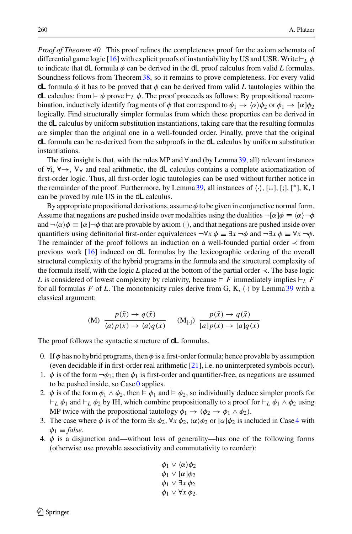*Proof of Theorem 40.* This proof refines the completeness proof for the axiom schemata of differential game logic [\[16\]](#page-45-4) with explicit proofs of instantiability by US and USR. Write  $\vdash_L \phi$ to indicate that  $dL$  formula  $\phi$  can be derived in the  $dL$  proof calculus from valid *L* formulas. Soundness follows from Theorem[38,](#page-25-1) so it remains to prove completeness. For every valid dL formula  $\phi$  it has to be proved that  $\phi$  can be derived from valid L tautologies within the dL calculus: from  $\models \phi$  prove  $\models_L \phi$ . The proof proceeds as follows: By propositional recombination, inductively identify fragments of  $\phi$  that correspond to  $\phi_1 \to \langle \alpha \rangle \phi_2$  or  $\phi_1 \to [\alpha]\phi_2$ logically. Find structurally simpler formulas from which these properties can be derived in the dL calculus by uniform substitution instantiations, taking care that the resulting formulas are simpler than the original one in a well-founded order. Finally, prove that the original dL formula can be re-derived from the subproofs in the dL calculus by uniform substitution instantiations.

The first insight is that, with the rules MP and  $\forall$  and (by Lemma [39,](#page-29-0) all) relevant instances of  $\forall i, \forall \rightarrow, V_{\forall}$  and real arithmetic, the dL calculus contains a complete axiomatization of first-order logic. Thus, all first-order logic tautologies can be used without further notice in the remainder of the proof. Furthermore, by Lemma [39,](#page-29-0) all instances of  $\langle \cdot \rangle$ , [∪], [;], [\*], K, I can be proved by rule US in the dL calculus.

By appropriate propositional derivations, assume  $\phi$  to be given in conjunctive normal form. Assume that negations are pushed inside over modalities using the dualities  $\neg[\alpha]\phi \equiv \langle \alpha \rangle \neg \phi$ and  $\neg(\alpha)\phi \equiv [\alpha]\neg\phi$  that are provable by axiom  $\langle \cdot \rangle$ , and that negations are pushed inside over quantifiers using definitorial first-order equivalences  $\neg \forall x \phi \equiv \exists x \neg \phi$  and  $\neg \exists x \phi \equiv \forall x \neg \phi$ . The remainder of the proof follows an induction on a well-founded partial order ≺ from previous work [\[16](#page-45-4)] induced on dL formulas by the lexicographic ordering of the overall structural complexity of the hybrid programs in the formula and the structural complexity of the formula itself, with the logic *L* placed at the bottom of the partial order ≺. The base logic L is considered of lowest complexity by relativity, because  $\models$  F immediately implies  $\models$  F for all formulas F of L. The monotonicity rules derive from G, K,  $\langle \cdot \rangle$  by Lemma [39](#page-29-0) with a classical argument:

<span id="page-41-2"></span>(M) 
$$
\frac{p(\bar{x}) \to q(\bar{x})}{\langle a \rangle p(\bar{x}) \to \langle a \rangle q(\bar{x})}
$$
 (M[.])  $\frac{p(\bar{x}) \to q(\bar{x})}{[a]p(\bar{x}) \to [a]q(\bar{x})}$ 

<span id="page-41-0"></span>The proof follows the syntactic structure of **dL** formulas.

- 0. If  $\phi$  has no hybrid programs, then  $\phi$  is a first-order formula; hence provable by assumption (even decidable if in first-order real arithmetic [\[21](#page-46-3)], i.e. no uninterpreted symbols occur).
- 1.  $\phi$  is of the form  $\neg \phi_1$ ; then  $\phi_1$  is first-order and quantifier-free, as negations are assumed to be pushed inside, so  $\text{Case 0}$  $\text{Case 0}$  $\text{Case 0}$  applies.
- 2.  $\phi$  is of the form  $\phi_1 \wedge \phi_2$ , then  $\models \phi_1$  and  $\models \phi_2$ , so individually deduce simpler proofs for *L*  $\phi_1$  and  $\vdash_L \phi_2$  by IH, which combine propositionally to a proof for  $\vdash_L \phi_1 \land \phi_2$  using MP twice with the propositional tautology  $\phi_1 \rightarrow (\phi_2 \rightarrow \phi_1 \land \phi_2)$ .
- 3. The case where  $\phi$  is of the form  $\exists x \phi_2$ ,  $\forall x \phi_2$ ,  $\langle \alpha \rangle \phi_2$  or  $[\alpha] \phi_2$  is included in Case [4](#page-41-1) with  $\phi_1 \equiv \text{false}.$
- <span id="page-41-1"></span>4.  $\phi$  is a disjunction and—without loss of generality—has one of the following forms (otherwise use provable associativity and commutativity to reorder):

$$
\begin{aligned}\n\phi_1 \lor \langle \alpha \rangle \phi_2 \\
\phi_1 \lor [\alpha] \phi_2 \\
\phi_1 \lor \exists x \phi_2 \\
\phi_1 \lor \forall x \phi_2.\n\end{aligned}
$$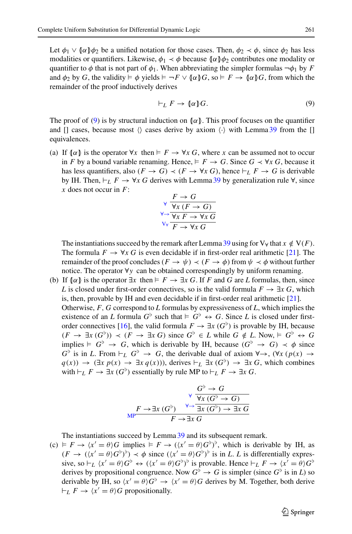Let  $\phi_1 \vee (\alpha) \phi_2$  be a unified notation for those cases. Then,  $\phi_2 \prec \phi$ , since  $\phi_2$  has less modalities or quantifiers. Likewise,  $\phi_1 \prec \phi$  because  $\{\alpha\} \phi_2$  contributes one modality or quantifier to  $\phi$  that is not part of  $\phi_1$ . When abbreviating the simpler formulas  $\neg \phi_1$  by *F* and  $\phi_2$  by *G*, the validity  $\models \phi$  yields  $\models \neg F \lor (\![\alpha]\!]$ *G*, so  $\models F \to (\![\alpha]\!]$ *G*, from which the remainder of the proof inductively derives

<span id="page-42-0"></span>
$$
\vdash_L F \to \llbracket \alpha \rrbracket G. \tag{9}
$$

The proof of [\(9\)](#page-42-0) is by structural induction on  $\{\alpha\}$ . This proof focuses on the quantifier and [] cases, because most  $\langle \rangle$  cases derive by axiom  $\langle \cdot \rangle$  with Lemma [39](#page-29-0) from the [] equivalences.

(a) If  $\llbracket \alpha \rrbracket$  is the operator  $\forall x$  then  $\models F \rightarrow \forall x G$ , where *x* can be assumed not to occur in *F* by a bound variable renaming. Hence,  $\models F \rightarrow G$ . Since  $G \prec \forall x \ G$ , because it has less quantifiers, also  $(F \to G) \prec (F \to \forall x \ G)$ , hence  $\vdash_L F \to G$  is derivable by IH. Then,  $\vdash_L F \rightarrow \forall x \ G$  derives with Lemma [39](#page-29-0) by generalization rule  $\forall$ , since  $\bar{x}$  does not occur in  $\bar{F}$ :

$$
\sqrt{\frac{F \rightarrow G}{\forall x (F \rightarrow G)}}
$$
  
\n
$$
\sqrt{\frac{F \rightarrow G}{\forall x F \rightarrow \forall x G}}
$$
  
\n
$$
\sqrt{\frac{F \rightarrow \forall x G}{F \rightarrow \forall x G}}
$$

The instantiations succeed by the remark after Lemma [39](#page-29-0) using for  $V_\forall$  that  $x \notin V(F)$ . The formula  $F \to \forall x G$  is even decidable if in first-order real arithmetic [\[21](#page-46-3)]. The remainder of the proof concludes ( $F \to \psi$ )  $\prec$  ( $F \to \phi$ ) from  $\psi \prec \phi$  without further notice. The operator ∀*y* can be obtained correspondingly by uniform renaming.

(b) If  $\{\alpha\}$  is the operator  $\exists x \text{ then } F \rightarrow \exists x \text{ } G$ . If *F* and *G* are *L* formulas, then, since *L* is closed under first-order connectives, so is the valid formula  $F \to \exists x \, G$ , which is, then, provable by IH and even decidable if in first-order real arithmetic [\[21\]](#page-46-3). Otherwise, *F*, *G* correspond to *L* formulas by expressiveness of *L*, which implies the existence of an *L* formula  $G^{\flat}$  such that  $\models G^{\flat} \leftrightarrow G$ . Since *L* is closed under first-order connectives [\[16](#page-45-4)], the valid formula  $F \to \exists x \ (G^{\flat})$  is provable by IH, because  $(F \rightarrow \exists x (G^{\flat}) \rightarrow (F \rightarrow \exists x G)$  since  $G^{\flat} \in L$  while  $G \notin L$ . Now,  $\models G^{\flat} \leftrightarrow G$ implies  $\vdash$  *G*<sup>b</sup>  $\rightarrow$  *G*, which is derivable by IH, because  $(G^{\flat} \rightarrow G) \prec \phi$  since  $G^{\flat}$  is in *L*. From  $\vdash_L G^{\flat} \to G$ , the derivable dual of axiom  $\forall \rightarrow, (\forall x \ (p(x) \rightarrow$ *q*(*x*)) → ( $\exists x \ p(x)$  →  $\exists x \ q(x)$ )), derives  $\vdash_L \exists x \ (G^{\flat})$  →  $\exists x \ G$ , which combines with  $\vdash_L F \to \exists x \ (G^{\flat})$  essentially by rule MP to  $\vdash_L F \to \exists x \ G$ .

$$
\begin{array}{cccc}\n & G^{\flat} \to G \\
 & \forall x (G^{\flat} \to G) \\
F \to \exists x (G^{\flat}) & \forall \to \exists x (G^{\flat}) \to \exists x G \\
 & F \to \exists x G\n\end{array}
$$

The instantiations succeed by Lemma [39](#page-29-0) and its subsequent remark.

 $(c) \models F \rightarrow \langle x' = \theta \rangle G$  implies  $\models F \rightarrow (\langle x' = \theta \rangle G^{\flat})^{\flat}$ , which is derivable by IH, as  $(F \to ((x' = \theta)G^{\flat})^{\flat}) \prec \phi$  since  $((x' = \theta)G^{\flat})^{\flat}$  is in *L*. *L* is differentially expressive, so  $\vdash_L \langle x' = \theta \rangle G^{\flat} \leftrightarrow (\langle x' = \theta \rangle G^{\flat})^{\flat}$  is provable. Hence  $\vdash_L F \rightarrow \langle x' = \theta \rangle G^{\flat}$ derives by propositional congruence. Now  $G^{\flat} \to G$  is simpler (since  $G^{\flat}$  is in *L*) so derivable by IH, so  $\langle x' = \theta \rangle G^{\dagger} \rightarrow \langle x' = \theta \rangle G$  derives by M. Together, both derive  $\vdash_L F \to \langle x' = \theta \rangle G$  propositionally.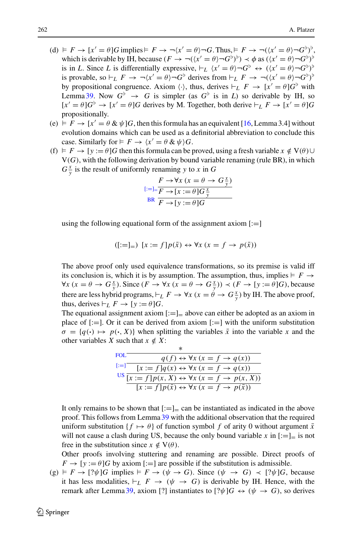- (d)  $\models F \rightarrow [x' = \theta]G$  implies  $\models F \rightarrow \neg(x' = \theta) \neg G$ . Thus,  $\models F \rightarrow \neg((x' = \theta) \neg G^{\flat})^{\flat}$ which is derivable by IH, because  $(F \to \neg ((x' = \theta) \neg G^{\flat})^{\flat}) \prec \phi$  as  $((x' = \theta) \neg G^{\flat})^{\flat}$ is in *L*. Since *L* is differentially expressive,  $\vdash_L \langle x' = \theta \rangle \neg G^{\flat} \leftrightarrow (\langle x' = \theta \rangle \neg G^{\flat})^{\flat}$ is provable, so  $\vdash_L F \to \neg(x' = \theta) \neg G^{\flat}$  derives from  $\vdash_L F \to \neg((x' = \theta) \neg G^{\flat})^{\flat}$ by propositional congruence. Axiom  $\langle \cdot \rangle$ , thus, derives  $\vdash_L F \to [x' = \theta]G^{\flat}$  with Lemma [39.](#page-29-0) Now  $G^{\flat} \rightarrow G$  is simpler (as  $G^{\flat}$  is in *L*) so derivable by IH, so  $[x' = \theta]G^{\flat} \to [x' = \theta]G$  derives by M. Together, both derive  $\vdash_L F \to [x' = \theta]G$ propositionally.
- (e)  $F \rightarrow [x' = \theta \& \psi]G$ , then this formula has an equivalent [\[16](#page-45-4), Lemma 3.4] without evolution domains which can be used as a definitorial abbreviation to conclude this case. Similarly for  $\models F \rightarrow \langle x' = \theta \& \psi \rangle G$ .
- <span id="page-43-1"></span> $(f) \vDash F \rightarrow [y := \theta]G$  then this formula can be proved, using a fresh variable  $x \notin V(\theta) \cup$  $V(G)$ , with the following derivation by bound variable renaming (rule BR), in which  $G_y^x$  is the result of uniformly renaming *y* to *x* in *G*

$$
[:=]=\frac{F \to \forall x (x = \theta \to G\frac{x}{y})}{F \to [x := \theta]G\frac{x}{y}}
$$
  
BR 
$$
\overline{F \to [y := \theta]G}
$$

using the following equational form of the assignment axiom  $[:=]$ 

<span id="page-43-0"></span>
$$
([-:=]_{=}) [x := f]p(\bar{x}) \leftrightarrow \forall x (x = f \to p(\bar{x}))
$$

The above proof only used equivalence transformations, so its premise is valid iff its conclusion is, which it is by assumption. The assumption, thus, implies  $\models$   $F \rightarrow$  $\forall x (x = \theta \rightarrow G_{\overline{y}}^x)$ . Since  $(F \rightarrow \forall x (x = \theta \rightarrow G_{\overline{y}}^x)) \prec (F \rightarrow [y := \theta]G)$ , because there are less hybrid programs,  $\vdash_L F \to \forall x$  ( $x = \theta \to G_y^x$ ) by IH. The above proof, thus, derives  $\vdash_L F \to \lbrack y := \theta \rbrack G$ .

<span id="page-43-2"></span>The equational assignment axiom  $[:=]_$  above can either be adopted as an axiom in place of  $[:=]$ . Or it can be derived from axiom  $[:=]$  with the uniform substitution  $\sigma = \{q(\cdot) \mapsto p(\cdot, X)\}\$  when splitting the variables  $\bar{x}$  into the variable x and the other variables *X* such that  $x \notin X$ :

| FOL.              | $q(f) \leftrightarrow \forall x (x = f \rightarrow q(x))$                         |
|-------------------|-----------------------------------------------------------------------------------|
| $\left[:=\right]$ | $[x := f]q(x) \leftrightarrow \forall x (x = f \rightarrow q(x))$                 |
|                   | US $\overline{[x:=f]p(x,X)} \leftrightarrow \forall x (x = f \rightarrow p(x,X))$ |
|                   | $[x := f] p(\bar{x}) \leftrightarrow \forall x (x = f \rightarrow p(\bar{x}))$    |

It only remains to be shown that  $[:=]_$  can be instantiated as indicated in the above proof. This follows from Lemma [39](#page-29-0) with the additional observation that the required uniform substitution  $\{f \mapsto \theta\}$  of function symbol f of arity 0 without argument  $\bar{x}$ will not cause a clash during US, because the only bound variable x in  $[:=]_$  is not free in the substitution since  $x \notin V(\theta)$ .

Other proofs involving stuttering and renaming are possible. Direct proofs of  $F \to [y := \theta]$ *G* by axiom [:=] are possible if the substitution is admissible.

 $(g) \models F \rightarrow [? \psi] G$  implies  $\models F \rightarrow (\psi \rightarrow G)$ . Since  $(\psi \rightarrow G) \prec [? \psi] G$ , because it has less modalities,  $\vdash_L F \to (\psi \to G)$  is derivable by IH. Hence, with the remark after Lemma [39,](#page-29-0) axiom [?] instantiates to  $[? \psi] G \leftrightarrow (\psi \rightarrow G)$ , so derives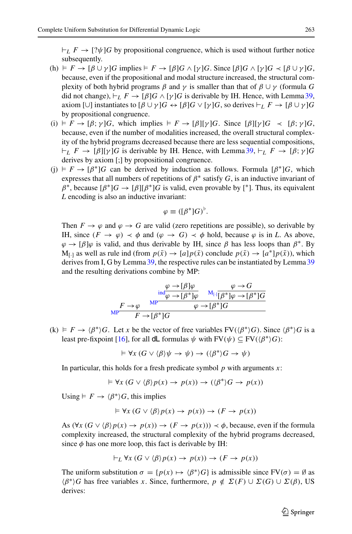$L_L F \to [? \psi] G$  by propositional congruence, which is used without further notice subsequently.

- (h)  $\models F \rightarrow [\beta \cup \gamma]G$  implies  $\models F \rightarrow [\beta]G \wedge [\gamma]G$ . Since  $[\beta]G \wedge [\gamma]G \prec [\beta \cup \gamma]G$ , because, even if the propositional and modal structure increased, the structural complexity of both hybrid programs  $\beta$  and  $\gamma$  is smaller than that of  $\beta \cup \gamma$  (formula *G* did not change),  $\vdash_L F \to [\beta] G \wedge [\gamma] G$  is derivable by IH. Hence, with Lemma [39,](#page-29-0) axiom  $[\cup]$  instantiates to  $[\beta \cup \gamma]G \leftrightarrow [\beta]G \vee [\gamma]G$ , so derives  $\vdash_L F \rightarrow [\beta \cup \gamma]G$ by propositional congruence.
- (i)  $F \to [\beta; \gamma]G$ , which implies  $F \to [\beta][\gamma]G$ . Since  $[\beta][\gamma]G \prec [\beta; \gamma]G$ , because, even if the number of modalities increased, the overall structural complexity of the hybrid programs decreased because there are less sequential compositions,  $L_F \rightarrow [\beta][\gamma]$ *G* is derivable by IH. Hence, with Lemma [39,](#page-29-0)  $L_F \rightarrow [\beta; \gamma]$ *G* derives by axiom [;] by propositional congruence.
- (j)  $\models$  *F* → [ $\beta^*$ ]*G* can be derived by induction as follows. Formula [ $\beta^*$ ]*G*, which expresses that all numbers of repetitions of  $\beta^*$  satisfy *G*, is an inductive invariant of  $\beta^*$ , because  $[\beta^*]G \to [\beta][\beta^*]G$  is valid, even provable by [<sup>\*</sup>]. Thus, its equivalent *L* encoding is also an inductive invariant:

$$
\varphi \equiv ([\beta^*]G)^{\flat}.
$$

Then  $F \to \varphi$  and  $\varphi \to G$  are valid (zero repetitions are possible), so derivable by IH, since  $(F \to \varphi) \prec \varphi$  and  $(\varphi \to G) \prec \varphi$  hold, because  $\varphi$  is in *L*. As above,  $\varphi \to [\beta]\varphi$  is valid, and thus derivable by IH, since  $\beta$  has less loops than  $\beta^*$ . By  $M_{[-]}$  as well as rule ind (from  $p(\bar{x}) \rightarrow [a]p(\bar{x})$  conclude  $p(\bar{x}) \rightarrow [a^*]p(\bar{x})$ ), which derives from I, G by Lemma [39,](#page-29-0) the respective rules can be instantiated by Lemma [39](#page-29-0) and the resulting derivations combine by MP:

$$
\frac{\varphi \to [\beta]\varphi}{\text{ind}_{\varphi \to [\beta^*]\varphi}} \xrightarrow{\text{M}_{[\cdot]} \overline{[\beta^*]\varphi} \to G} \frac{\varphi \to G}{\text{M}_{[\cdot]} \overline{[\beta^*]\varphi} \to [\beta^*]G}
$$
\n
$$
\frac{F \to \varphi \xrightarrow{\text{MP}} \varphi \to [\beta^*]G}{F \to [\beta^*]G}
$$

 $f(k) \models F \rightarrow \langle \beta^* \rangle G$ . Let *x* be the vector of free variables FV( $\langle \beta^* \rangle G$ ). Since  $\langle \beta^* \rangle G$  is a least pre-fixpoint [\[16](#page-45-4)], for all **dL** formulas  $\psi$  with  $FV(\psi) \subseteq FV(\langle \beta^* \rangle G)$ :

$$
\vDash \forall x (G \vee \langle \beta \rangle \psi \to \psi) \to (\langle \beta^* \rangle G \to \psi)
$$

In particular, this holds for a fresh predicate symbol *p* with arguments *x*:

$$
\vDash \forall x (G \lor \langle \beta \rangle p(x) \to p(x)) \to (\langle \beta^* \rangle G \to p(x))
$$

Using  $\models F \rightarrow \langle \beta^* \rangle G$ , this implies

$$
\vDash \forall x (G \lor \langle \beta \rangle p(x) \to p(x)) \to (F \to p(x))
$$

As  $(\forall x (G \lor \langle \beta \rangle p(x) \to p(x)) \to (F \to p(x))) \prec \phi$ , because, even if the formula complexity increased, the structural complexity of the hybrid programs decreased, since  $\phi$  has one more loop, this fact is derivable by IH:

$$
\vdash_L \forall x \ (G \lor \langle \beta \rangle p(x) \to p(x)) \to (F \to p(x))
$$

The uniform substitution  $\sigma = \{p(x) \mapsto \langle \beta^* \rangle G\}$  is admissible since  $FV(\sigma) = \emptyset$  as  $(β<sup>*</sup>)G$  has free variables *x*. Since, furthermore, *p* ∉  $Σ(F) ∪ Σ(G) ∪ Σ(β)$ , US derives:

 $\circled{2}$  Springer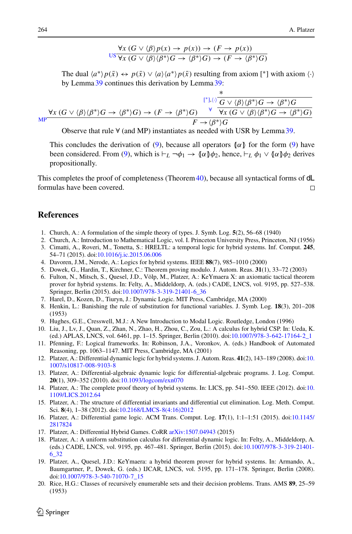$$
\frac{\forall x (G \lor \langle \beta \rangle p(x) \to p(x)) \to (F \to p(x))}{\forall x (G \lor \langle \beta \rangle \langle \beta^* \rangle G \to \langle \beta^* \rangle G) \to (F \to \langle \beta^* \rangle G)}
$$

The dual  $\langle a^* \rangle p(\bar{x}) \leftrightarrow p(\bar{x}) \vee \langle a \rangle \langle a^* \rangle p(\bar{x})$  resulting from axiom [\*] with axiom  $\langle \cdot \rangle$ by Lemma [39](#page-29-0) continues this derivation by Lemma [39:](#page-29-0)

$$
\frac{\forall x (G \vee \langle \beta \rangle \langle \beta^* \rangle G \to \langle \beta^* \rangle G)}{\mathsf{MP}^{\mathsf{F}} \to (\beta^* \rangle G \to (\beta^* \rangle G) \to (F \to \langle \beta^* \rangle G)} \qquad \forall \frac{\mathsf{F}^{\mathsf{F}} \cup \langle \beta \rangle \langle \beta^* \rangle G \to \langle \beta^* \rangle G}{\forall x (G \vee \langle \beta \rangle \langle \beta^* \rangle G \to \langle \beta^* \rangle G)}
$$

Observe that rule  $\forall$  (and MP) instantiates as needed with USR by Lemma [39.](#page-29-0)

This concludes the derivation of [\(9\)](#page-42-0), because all operators  $\alpha$  for the form (9) have been considered. From [\(9\)](#page-42-0), which is  $\vdash_L \neg \phi_1 \rightarrow (\alpha \phi_2)$ , hence,  $\vdash_L \phi_1 \vee (\alpha \phi_2)$  derives propositionally.

This completes the proof of completeness (Theorem [40\)](#page-30-1), because all syntactical forms of  $dL$ formulas have been covered.  $\Box$ 

## **References**

- <span id="page-45-6"></span>1. Church, A.: A formulation of the simple theory of types. J. Symb. Log. **5**(2), 56–68 (1940)
- <span id="page-45-5"></span>2. Church, A.: Introduction to Mathematical Logic, vol. I. Princeton University Press, Princeton, NJ (1956)
- <span id="page-45-11"></span>3. Cimatti, A., Roveri, M., Tonetta, S.: HRELTL: a temporal logic for hybrid systems. Inf. Comput. **245**, 54–71 (2015). doi[:10.1016/j.ic.2015.06.006](http://dx.doi.org/10.1016/j.ic.2015.06.006)
- <span id="page-45-12"></span>4. Davoren, J.M., Nerode, A.: Logics for hybrid systems. IEEE **88**(7), 985–1010 (2000)
- <span id="page-45-18"></span>5. Dowek, G., Hardin, T., Kirchner, C.: Theorem proving modulo. J. Autom. Reas. **31**(1), 33–72 (2003)
- <span id="page-45-19"></span>6. Fulton, N., Mitsch, S., Quesel, J.D., Völp, M., Platzer, A.: KeYmaera X: an axiomatic tactical theorem prover for hybrid systems. In: Felty, A., Middeldorp, A. (eds.) CADE, LNCS, vol. 9195, pp. 527–538. Springer, Berlin (2015). doi[:10.1007/978-3-319-21401-6\\_36](http://dx.doi.org/10.1007/978-3-319-21401-6_36)
- <span id="page-45-15"></span>7. Harel, D., Kozen, D., Tiuryn, J.: Dynamic Logic. MIT Press, Cambridge, MA (2000)
- <span id="page-45-7"></span>8. Henkin, L.: Banishing the rule of substitution for functional variables. J. Symb. Log. **18**(3), 201–208 (1953)
- <span id="page-45-16"></span>9. Hughes, G.E., Cresswell, M.J.: A New Introduction to Modal Logic. Routledge, London (1996)
- <span id="page-45-13"></span>10. Liu, J., Lv, J., Quan, Z., Zhan, N., Zhao, H., Zhou, C., Zou, L.: A calculus for hybrid CSP. In: Ueda, K. (ed.) APLAS, LNCS, vol. 6461, pp. 1–15. Springer, Berlin (2010). doi[:10.1007/978-3-642-17164-2\\_1](http://dx.doi.org/10.1007/978-3-642-17164-2_1)
- <span id="page-45-8"></span>11. Pfenning, F.: Logical frameworks. In: Robinson, J.A., Voronkov, A. (eds.) Handbook of Automated Reasoning, pp. 1063–1147. MIT Press, Cambridge, MA (2001)
- <span id="page-45-0"></span>12. Platzer, A.: Differential dynamic logic for hybrid systems. J. Autom. Reas. **41**(2), 143–189 (2008). doi[:10.](http://dx.doi.org/10.1007/s10817-008-9103-8) [1007/s10817-008-9103-8](http://dx.doi.org/10.1007/s10817-008-9103-8)
- <span id="page-45-9"></span>13. Platzer, A.: Differential-algebraic dynamic logic for differential-algebraic programs. J. Log. Comput. **20**(1), 309–352 (2010). doi[:10.1093/logcom/exn070](http://dx.doi.org/10.1093/logcom/exn070)
- <span id="page-45-1"></span>14. Platzer, A.: The complete proof theory of hybrid systems. In: LICS, pp. 541–550. IEEE (2012). doi[:10.](http://dx.doi.org/10.1109/LICS.2012.64) [1109/LICS.2012.64](http://dx.doi.org/10.1109/LICS.2012.64)
- <span id="page-45-10"></span>15. Platzer, A.: The structure of differential invariants and differential cut elimination. Log. Meth. Comput. Sci. **8**(4), 1–38 (2012). doi[:10.2168/LMCS-8\(4:16\)2012](http://dx.doi.org/10.2168/LMCS-8(4:16)2012)
- <span id="page-45-4"></span>16. Platzer, A.: Differential game logic. ACM Trans. Comput. Log. **17**(1), 1:1–1:51 (2015). doi[:10.1145/](http://dx.doi.org/10.1145/2817824) [2817824](http://dx.doi.org/10.1145/2817824)
- <span id="page-45-17"></span>17. Platzer, A.: Differential Hybrid Games. CoRR [arXiv:1507.04943](http://arxiv.org/abs/1507.04943) (2015)
- <span id="page-45-2"></span>18. Platzer, A.: A uniform substitution calculus for differential dynamic logic. In: Felty, A., Middeldorp, A. (eds.) CADE, LNCS, vol. 9195, pp. 467–481. Springer, Berlin (2015). doi[:10.1007/978-3-319-21401-](http://dx.doi.org/10.1007/978-3-319-21401-6_32) [6\\_32](http://dx.doi.org/10.1007/978-3-319-21401-6_32)
- <span id="page-45-3"></span>19. Platzer, A., Quesel, J.D.: KeYmaera: a hybrid theorem prover for hybrid systems. In: Armando, A., Baumgartner, P., Dowek, G. (eds.) IJCAR, LNCS, vol. 5195, pp. 171–178. Springer, Berlin (2008). doi[:10.1007/978-3-540-71070-7\\_15](http://dx.doi.org/10.1007/978-3-540-71070-7_15)
- <span id="page-45-14"></span>20. Rice, H.G.: Classes of recursively enumerable sets and their decision problems. Trans. AMS **89**, 25–59 (1953)